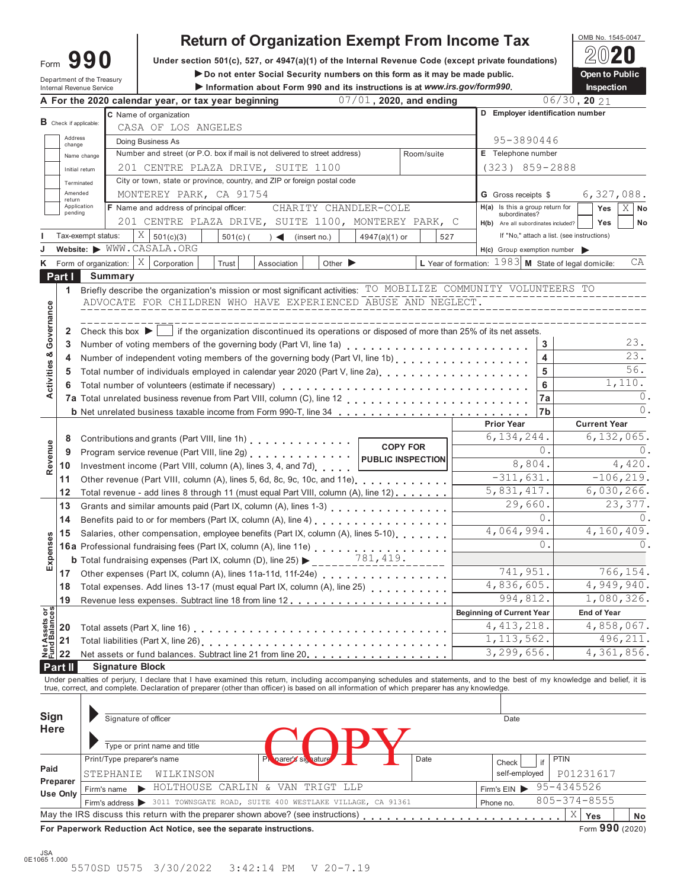| ∙orm | 990 |  |
|------|-----|--|
|      |     |  |

# **Return of Organization Exempt From Income Tax**<br>  $\frac{\text{OMB NO. 1545-0047}}{2020}$

Form **990** Under section 501(c), 527, or 4947(a)(1) of the Internal Revenue Code (except private foundations) 2020

**Do not enter Social Security numbers on this form as it may be made public. Open to Public** Department of the Treasury **Internal Revenue Service 1 information about Form 990 and its instructions is at** *www.irs.gov/form990***. <b>Inspection**<br>Information about Form 990 and its instructions is at *www.irs.gov/form990*. Inspection<br>Inspection

|                                        |                          | ווונפווופו ולפעפווטפ טפועוטפ |                                      | A For the 2020 calendar year, or tax year beginning                                                                                        |            |                                  |                             | $\blacktriangleright$ implies that about 1 only you and its modulations is at www.irs.gov/formspo.<br>07/01, 2020, and ending |                 |     |                                                                                                                 |                   | пюресноп<br>$06/30$ , 20 21                                                                                                                                                |          |
|----------------------------------------|--------------------------|------------------------------|--------------------------------------|--------------------------------------------------------------------------------------------------------------------------------------------|------------|----------------------------------|-----------------------------|-------------------------------------------------------------------------------------------------------------------------------|-----------------|-----|-----------------------------------------------------------------------------------------------------------------|-------------------|----------------------------------------------------------------------------------------------------------------------------------------------------------------------------|----------|
|                                        |                          |                              |                                      | C Name of organization                                                                                                                     |            |                                  |                             |                                                                                                                               |                 |     | D Employer identification number                                                                                |                   |                                                                                                                                                                            |          |
|                                        | $B$ Check if applicable: |                              |                                      | CASA OF LOS ANGELES                                                                                                                        |            |                                  |                             |                                                                                                                               |                 |     |                                                                                                                 |                   |                                                                                                                                                                            |          |
|                                        | Address<br>change        |                              |                                      | Doing Business As                                                                                                                          |            |                                  |                             |                                                                                                                               |                 |     | 95-3890446                                                                                                      |                   |                                                                                                                                                                            |          |
|                                        |                          | Name change                  |                                      | Number and street (or P.O. box if mail is not delivered to street address)                                                                 |            |                                  |                             |                                                                                                                               | Room/suite      |     | E Telephone number                                                                                              |                   |                                                                                                                                                                            |          |
|                                        | Initial return           |                              |                                      | 201 CENTRE PLAZA DRIVE, SUITE 1100                                                                                                         |            |                                  |                             |                                                                                                                               |                 |     | $(323)$ $859 - 2888$                                                                                            |                   |                                                                                                                                                                            |          |
|                                        | Terminated               |                              |                                      | City or town, state or province, country, and ZIP or foreign postal code                                                                   |            |                                  |                             |                                                                                                                               |                 |     |                                                                                                                 |                   |                                                                                                                                                                            |          |
|                                        | Amended<br>return        |                              |                                      | MONTEREY PARK, CA 91754                                                                                                                    |            |                                  |                             |                                                                                                                               |                 |     | <b>G</b> Gross receipts \$                                                                                      |                   | 6,327,088.                                                                                                                                                                 |          |
|                                        | Application<br>pending   |                              |                                      | F Name and address of principal officer:                                                                                                   |            |                                  |                             | CHARITY CHANDLER-COLE                                                                                                         |                 |     | $H(a)$ Is this a group return for                                                                               |                   | Yes<br>X                                                                                                                                                                   | No       |
|                                        |                          |                              |                                      | 201 CENTRE PLAZA DRIVE, SUITE 1100, MONTEREY PARK, C                                                                                       |            |                                  |                             |                                                                                                                               |                 |     | subordinates?<br>H(b) Are all subordinates included?                                                            |                   | Yes                                                                                                                                                                        | No       |
|                                        | Tax-exempt status:       |                              | $X \mid$                             | 501(c)(3)                                                                                                                                  | $501(c)$ ( | $) \triangleleft$ (insert no.)   |                             | $4947(a)(1)$ or                                                                                                               |                 | 527 |                                                                                                                 |                   | If "No," attach a list. (see instructions)                                                                                                                                 |          |
|                                        |                          |                              |                                      | Website: WWW.CASALA.ORG                                                                                                                    |            |                                  |                             |                                                                                                                               |                 |     | $H(c)$ Group exemption number                                                                                   |                   |                                                                                                                                                                            |          |
| ĸ                                      |                          |                              | Form of organization: $ X $          | Corporation                                                                                                                                | Trust      | Association                      | Other $\blacktriangleright$ |                                                                                                                               |                 |     | L Year of formation: $1983$ M State of legal domicile:                                                          |                   |                                                                                                                                                                            | СA       |
|                                        | Part I                   |                              | <b>Summary</b>                       |                                                                                                                                            |            |                                  |                             |                                                                                                                               |                 |     |                                                                                                                 |                   |                                                                                                                                                                            |          |
|                                        | $\mathbf{1}$             |                              |                                      |                                                                                                                                            |            |                                  |                             |                                                                                                                               |                 |     | Briefly describe the organization's mission or most significant activities: TO MOBILIZE COMMUNITY VOLUNTEERS TO |                   |                                                                                                                                                                            |          |
|                                        |                          |                              |                                      | ADVOCATE FOR CHILDREN WHO HAVE EXPERIENCED ABUSE AND NEGLECT.                                                                              |            |                                  |                             |                                                                                                                               |                 |     |                                                                                                                 |                   |                                                                                                                                                                            |          |
|                                        |                          |                              |                                      |                                                                                                                                            |            |                                  |                             |                                                                                                                               |                 |     |                                                                                                                 |                   |                                                                                                                                                                            |          |
| Governance                             | 2                        |                              | Check this box $\blacktriangleright$ |                                                                                                                                            |            |                                  |                             |                                                                                                                               |                 |     | if the organization discontinued its operations or disposed of more than 25% of its net assets.                 |                   |                                                                                                                                                                            |          |
|                                        | 3                        |                              |                                      |                                                                                                                                            |            |                                  |                             |                                                                                                                               |                 |     |                                                                                                                 | 3                 |                                                                                                                                                                            | 23.      |
|                                        | 4                        |                              |                                      |                                                                                                                                            |            |                                  |                             |                                                                                                                               |                 |     |                                                                                                                 | 4                 |                                                                                                                                                                            | 23.      |
| Activities &                           | 5                        |                              |                                      |                                                                                                                                            |            |                                  |                             |                                                                                                                               |                 |     |                                                                                                                 | 5                 |                                                                                                                                                                            | 56.      |
|                                        | 6                        |                              |                                      | Total number of volunteers (estimate if necessary)                                                                                         |            |                                  |                             |                                                                                                                               |                 |     |                                                                                                                 | 6                 | 1,110.                                                                                                                                                                     |          |
|                                        |                          |                              |                                      |                                                                                                                                            |            |                                  |                             |                                                                                                                               |                 |     |                                                                                                                 | 7a                |                                                                                                                                                                            | 0        |
|                                        |                          |                              |                                      |                                                                                                                                            |            |                                  |                             |                                                                                                                               |                 |     |                                                                                                                 | 7b                |                                                                                                                                                                            | $\circ$  |
|                                        |                          |                              |                                      |                                                                                                                                            |            |                                  |                             |                                                                                                                               |                 |     | <b>Prior Year</b>                                                                                               |                   | <b>Current Year</b>                                                                                                                                                        |          |
|                                        | 8                        |                              |                                      | Contributions and grants (Part VIII, line 1h)                                                                                              |            |                                  |                             |                                                                                                                               | <b>COPY FOR</b> |     | 6, 134, 244.                                                                                                    |                   | 6,132,065.                                                                                                                                                                 |          |
| Revenue                                | 9                        |                              |                                      | Program service revenue (Part VIII, line 2g)                                                                                               |            |                                  |                             | <b>PUBLIC INSPECTION</b>                                                                                                      |                 |     |                                                                                                                 | $\mathbf{0}$ .    |                                                                                                                                                                            | $\Omega$ |
|                                        | 10                       |                              |                                      | Investment income (Part VIII, column (A), lines 3, 4, and 7d)                                                                              |            |                                  |                             |                                                                                                                               |                 |     | 8,804.<br>$\overline{-311,631}$ .                                                                               |                   | 4,420.<br>$-106, 219.$                                                                                                                                                     |          |
|                                        | 11                       |                              |                                      | Other revenue (Part VIII, column (A), lines 5, 6d, 8c, 9c, 10c, and 11e)<br>1.1.1.1.1.1.1                                                  |            |                                  |                             |                                                                                                                               |                 |     | 5,831,417.                                                                                                      |                   | 6,030,266.                                                                                                                                                                 |          |
|                                        | 12                       |                              |                                      | Total revenue - add lines 8 through 11 (must equal Part VIII, column (A), line 12)                                                         |            |                                  |                             |                                                                                                                               |                 |     | 29,660.                                                                                                         |                   | 23,377.                                                                                                                                                                    |          |
|                                        | 13<br>14                 |                              |                                      | Grants and similar amounts paid (Part IX, column (A), lines 1-3)<br>                                                                       |            |                                  |                             |                                                                                                                               |                 |     |                                                                                                                 | 0.                |                                                                                                                                                                            | $\Omega$ |
|                                        |                          |                              |                                      | Benefits paid to or for members (Part IX, column (A), line 4)                                                                              |            |                                  |                             |                                                                                                                               |                 |     | 4,064,994.                                                                                                      |                   | 4,160,409.                                                                                                                                                                 |          |
|                                        | 15                       |                              |                                      | Salaries, other compensation, employee benefits (Part IX, column (A), lines 5-10)                                                          |            |                                  |                             |                                                                                                                               |                 |     |                                                                                                                 | 0.                |                                                                                                                                                                            | 0        |
| Expenses                               |                          |                              |                                      | <b>16a</b> Professional fundraising fees (Part IX, column (A), line 11e)<br>$\begin{array}{ccc}\n & 781,419\n \end{array}$                 |            |                                  |                             |                                                                                                                               |                 |     |                                                                                                                 |                   |                                                                                                                                                                            |          |
|                                        | 17                       |                              |                                      |                                                                                                                                            |            |                                  |                             |                                                                                                                               |                 |     | 741,951.                                                                                                        |                   | 766,154.                                                                                                                                                                   |          |
|                                        | 18                       |                              |                                      | Total expenses. Add lines 13-17 (must equal Part IX, column (A), line 25)                                                                  |            |                                  |                             |                                                                                                                               |                 |     | 4,836,605.                                                                                                      |                   | 4,949,940.                                                                                                                                                                 |          |
|                                        | 19                       |                              |                                      |                                                                                                                                            |            |                                  |                             |                                                                                                                               |                 |     | 994,812.                                                                                                        |                   | 1,080,326.                                                                                                                                                                 |          |
|                                        |                          |                              |                                      |                                                                                                                                            |            |                                  |                             |                                                                                                                               |                 |     | <b>Beginning of Current Year</b>                                                                                |                   | <b>End of Year</b>                                                                                                                                                         |          |
| <b>Net Assets or<br/>Fund Balances</b> | 20                       |                              |                                      |                                                                                                                                            |            |                                  |                             |                                                                                                                               |                 |     | 4, 413, 218.                                                                                                    |                   | 4,858,067.                                                                                                                                                                 |          |
|                                        | 21                       |                              |                                      | Total liabilities (Part X, line 26)                                                                                                        |            |                                  |                             |                                                                                                                               |                 |     | 1, 113, 562.                                                                                                    |                   | 496, 211.                                                                                                                                                                  |          |
|                                        | 22                       |                              |                                      | Net assets or fund balances. Subtract line 21 from line 20.                                                                                |            |                                  |                             |                                                                                                                               |                 |     | 3, 299, 656.                                                                                                    |                   | 4,361,856.                                                                                                                                                                 |          |
|                                        | Part II                  |                              | <b>Signature Block</b>               |                                                                                                                                            |            |                                  |                             |                                                                                                                               |                 |     |                                                                                                                 |                   |                                                                                                                                                                            |          |
|                                        |                          |                              |                                      |                                                                                                                                            |            |                                  |                             |                                                                                                                               |                 |     |                                                                                                                 |                   | Under penalties of perjury, I declare that I have examined this return, including accompanying schedules and statements, and to the best of my knowledge and belief, it is |          |
|                                        |                          |                              |                                      | true, correct, and complete. Declaration of preparer (other than officer) is based on all information of which preparer has any knowledge. |            |                                  |                             |                                                                                                                               |                 |     |                                                                                                                 |                   |                                                                                                                                                                            |          |
|                                        |                          |                              |                                      |                                                                                                                                            |            |                                  |                             |                                                                                                                               |                 |     |                                                                                                                 |                   |                                                                                                                                                                            |          |
| Sign                                   |                          |                              | Signature of officer                 |                                                                                                                                            |            |                                  |                             |                                                                                                                               |                 |     | Date                                                                                                            |                   |                                                                                                                                                                            |          |
| <b>Here</b>                            |                          |                              |                                      |                                                                                                                                            |            |                                  |                             |                                                                                                                               |                 |     |                                                                                                                 |                   |                                                                                                                                                                            |          |
|                                        |                          |                              |                                      | Type or print name and title                                                                                                               |            |                                  |                             |                                                                                                                               |                 |     |                                                                                                                 |                   |                                                                                                                                                                            |          |
|                                        |                          |                              | Print/Type preparer's name           |                                                                                                                                            |            | parer's signature                |                             |                                                                                                                               | Date            |     | Check                                                                                                           | <b>PTIN</b><br>if |                                                                                                                                                                            |          |
| Paid                                   | Preparer                 |                              | STEPHANIE                            | WILKINSON                                                                                                                                  |            |                                  |                             |                                                                                                                               |                 |     | self-employed                                                                                                   |                   | P01231617                                                                                                                                                                  |          |
|                                        | <b>Use Only</b>          |                              | Firm's name                          |                                                                                                                                            |            | HOLTHOUSE CARLIN & VAN TRIGT LLP |                             |                                                                                                                               |                 |     | Firm's EIN                                                                                                      |                   | 95-4345526                                                                                                                                                                 |          |
|                                        |                          |                              |                                      | Firm's address > 3011 TOWNSGATE ROAD, SUITE 400 WESTLAKE VILLAGE, CA 91361                                                                 |            |                                  |                             |                                                                                                                               |                 |     | Phone no.                                                                                                       |                   | $805 - 374 - 8555$                                                                                                                                                         |          |
|                                        |                          |                              |                                      | May the IRS discuss this return with the preparer shown above? (see instructions)                                                          |            |                                  |                             |                                                                                                                               |                 |     |                                                                                                                 |                   | Χ<br>Yes                                                                                                                                                                   | No       |
|                                        |                          |                              |                                      | For Paperwork Reduction Act Notice, see the separate instructions.                                                                         |            |                                  |                             |                                                                                                                               |                 |     |                                                                                                                 |                   | Form 990 (2020)                                                                                                                                                            |          |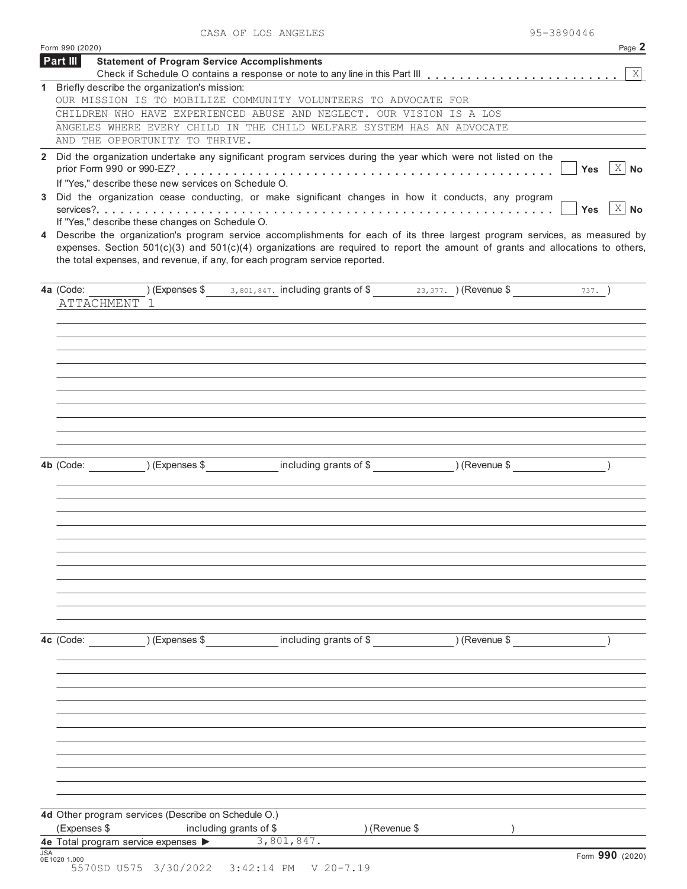|  |  | CASA OF LOS ANGELES | 95-3890446 |
|--|--|---------------------|------------|
|--|--|---------------------|------------|

|            | Form 990 (2020)                                                                                                                                                                                                                                                                                                                                   |                                                                             |                                    | Page 2                               |
|------------|---------------------------------------------------------------------------------------------------------------------------------------------------------------------------------------------------------------------------------------------------------------------------------------------------------------------------------------------------|-----------------------------------------------------------------------------|------------------------------------|--------------------------------------|
|            | Part III<br><b>Statement of Program Service Accomplishments</b>                                                                                                                                                                                                                                                                                   |                                                                             |                                    | $\vert X \vert$                      |
|            | 1 Briefly describe the organization's mission:                                                                                                                                                                                                                                                                                                    |                                                                             |                                    |                                      |
|            | OUR MISSION IS TO MOBILIZE COMMUNITY VOLUNTEERS TO ADVOCATE FOR                                                                                                                                                                                                                                                                                   |                                                                             |                                    |                                      |
|            | CHILDREN WHO HAVE EXPERIENCED ABUSE AND NEGLECT. OUR VISION IS A LOS                                                                                                                                                                                                                                                                              |                                                                             |                                    |                                      |
|            | ANGELES WHERE EVERY CHILD IN THE CHILD WELFARE SYSTEM HAS AN ADVOCATE                                                                                                                                                                                                                                                                             |                                                                             |                                    |                                      |
|            | AND THE OPPORTUNITY TO THRIVE.                                                                                                                                                                                                                                                                                                                    |                                                                             |                                    |                                      |
|            | 2 Did the organization undertake any significant program services during the year which were not listed on the<br>If "Yes," describe these new services on Schedule O.                                                                                                                                                                            |                                                                             |                                    | $X \vert$<br><b>No</b><br><b>Yes</b> |
| 3          | Did the organization cease conducting, or make significant changes in how it conducts, any program                                                                                                                                                                                                                                                |                                                                             |                                    |                                      |
|            |                                                                                                                                                                                                                                                                                                                                                   |                                                                             |                                    | $\overline{X}$ No<br><b>Yes</b>      |
|            | If "Yes," describe these changes on Schedule O.                                                                                                                                                                                                                                                                                                   |                                                                             |                                    |                                      |
|            | 4 Describe the organization's program service accomplishments for each of its three largest program services, as measured by<br>expenses. Section $501(c)(3)$ and $501(c)(4)$ organizations are required to report the amount of grants and allocations to others,<br>the total expenses, and revenue, if any, for each program service reported. |                                                                             |                                    |                                      |
|            | 4a (Code:                                                                                                                                                                                                                                                                                                                                         | ) (Expenses $$3, 801, 847$ . including grants of $$3, 377$ . ) (Revenue $$$ |                                    | $737.$ )                             |
|            | ATTACHMENT 1                                                                                                                                                                                                                                                                                                                                      |                                                                             |                                    |                                      |
|            |                                                                                                                                                                                                                                                                                                                                                   |                                                                             |                                    |                                      |
|            |                                                                                                                                                                                                                                                                                                                                                   |                                                                             |                                    |                                      |
|            |                                                                                                                                                                                                                                                                                                                                                   |                                                                             |                                    |                                      |
|            |                                                                                                                                                                                                                                                                                                                                                   |                                                                             |                                    |                                      |
|            |                                                                                                                                                                                                                                                                                                                                                   |                                                                             |                                    |                                      |
|            |                                                                                                                                                                                                                                                                                                                                                   |                                                                             |                                    |                                      |
|            |                                                                                                                                                                                                                                                                                                                                                   |                                                                             |                                    |                                      |
|            |                                                                                                                                                                                                                                                                                                                                                   |                                                                             |                                    |                                      |
|            |                                                                                                                                                                                                                                                                                                                                                   |                                                                             |                                    |                                      |
|            |                                                                                                                                                                                                                                                                                                                                                   |                                                                             |                                    |                                      |
|            | (Express \$<br>4b (Code:                                                                                                                                                                                                                                                                                                                          |                                                                             | including grants of \$ (Revenue \$ |                                      |
|            |                                                                                                                                                                                                                                                                                                                                                   |                                                                             |                                    |                                      |
|            |                                                                                                                                                                                                                                                                                                                                                   |                                                                             |                                    |                                      |
|            |                                                                                                                                                                                                                                                                                                                                                   |                                                                             |                                    |                                      |
|            |                                                                                                                                                                                                                                                                                                                                                   |                                                                             |                                    |                                      |
|            |                                                                                                                                                                                                                                                                                                                                                   |                                                                             |                                    |                                      |
|            |                                                                                                                                                                                                                                                                                                                                                   |                                                                             |                                    |                                      |
|            |                                                                                                                                                                                                                                                                                                                                                   |                                                                             |                                    |                                      |
|            |                                                                                                                                                                                                                                                                                                                                                   |                                                                             |                                    |                                      |
|            |                                                                                                                                                                                                                                                                                                                                                   |                                                                             |                                    |                                      |
|            |                                                                                                                                                                                                                                                                                                                                                   |                                                                             |                                    |                                      |
|            |                                                                                                                                                                                                                                                                                                                                                   |                                                                             |                                    |                                      |
|            | 4c (Code: ) (Expenses \$ including grants of \$ ) (Revenue \$                                                                                                                                                                                                                                                                                     |                                                                             |                                    |                                      |
|            |                                                                                                                                                                                                                                                                                                                                                   |                                                                             |                                    |                                      |
|            |                                                                                                                                                                                                                                                                                                                                                   |                                                                             |                                    |                                      |
|            |                                                                                                                                                                                                                                                                                                                                                   |                                                                             |                                    |                                      |
|            |                                                                                                                                                                                                                                                                                                                                                   |                                                                             |                                    |                                      |
|            |                                                                                                                                                                                                                                                                                                                                                   |                                                                             |                                    |                                      |
|            |                                                                                                                                                                                                                                                                                                                                                   |                                                                             |                                    |                                      |
|            |                                                                                                                                                                                                                                                                                                                                                   |                                                                             |                                    |                                      |
|            |                                                                                                                                                                                                                                                                                                                                                   |                                                                             |                                    |                                      |
|            |                                                                                                                                                                                                                                                                                                                                                   |                                                                             |                                    |                                      |
|            |                                                                                                                                                                                                                                                                                                                                                   |                                                                             |                                    |                                      |
|            |                                                                                                                                                                                                                                                                                                                                                   |                                                                             |                                    |                                      |
|            | 4d Other program services (Describe on Schedule O.)                                                                                                                                                                                                                                                                                               |                                                                             |                                    |                                      |
|            | (Expenses \$<br>including grants of \$                                                                                                                                                                                                                                                                                                            | ) (Revenue \$                                                               |                                    |                                      |
|            | 4e Total program service expenses                                                                                                                                                                                                                                                                                                                 | 3,801,847.                                                                  |                                    |                                      |
| <b>JSA</b> | 0E1020 1.000                                                                                                                                                                                                                                                                                                                                      |                                                                             |                                    | Form 990 (2020)                      |
|            | 5570SD U575 3/30/2022 3:42:14 PM                                                                                                                                                                                                                                                                                                                  | $V$ 20-7.19                                                                 |                                    |                                      |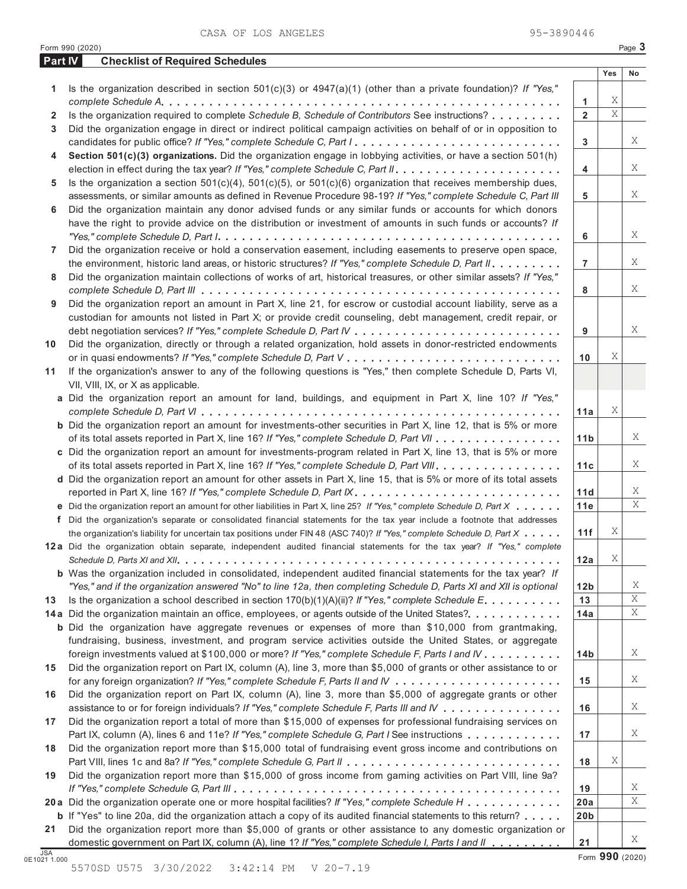CASA OF LOS ANGELES 95-3890446

|                | Part IV<br><b>Checklist of Required Schedules</b>                                                                                                                                                                           |                       |     |    |
|----------------|-----------------------------------------------------------------------------------------------------------------------------------------------------------------------------------------------------------------------------|-----------------------|-----|----|
|                |                                                                                                                                                                                                                             |                       | Yes | No |
| 1              | Is the organization described in section $501(c)(3)$ or $4947(a)(1)$ (other than a private foundation)? If "Yes,"                                                                                                           |                       |     |    |
|                |                                                                                                                                                                                                                             | 1                     | Χ   |    |
| 2              | Is the organization required to complete Schedule B, Schedule of Contributors See instructions?                                                                                                                             | $\overline{2}$        | X   |    |
| 3              | Did the organization engage in direct or indirect political campaign activities on behalf of or in opposition to                                                                                                            |                       |     |    |
|                | candidates for public office? If "Yes," complete Schedule C, Part I                                                                                                                                                         | 3                     |     |    |
| 4              | Section 501(c)(3) organizations. Did the organization engage in lobbying activities, or have a section 501(h)                                                                                                               |                       |     |    |
|                |                                                                                                                                                                                                                             | 4                     |     |    |
| 5              | Is the organization a section $501(c)(4)$ , $501(c)(5)$ , or $501(c)(6)$ organization that receives membership dues,                                                                                                        |                       |     |    |
|                | assessments, or similar amounts as defined in Revenue Procedure 98-19? If "Yes," complete Schedule C, Part III                                                                                                              | 5                     |     |    |
| 6              | Did the organization maintain any donor advised funds or any similar funds or accounts for which donors                                                                                                                     |                       |     |    |
|                | have the right to provide advice on the distribution or investment of amounts in such funds or accounts? If                                                                                                                 |                       |     |    |
|                |                                                                                                                                                                                                                             | 6                     |     |    |
| $\overline{7}$ | Did the organization receive or hold a conservation easement, including easements to preserve open space,                                                                                                                   |                       |     |    |
|                | the environment, historic land areas, or historic structures? If "Yes," complete Schedule D, Part II.                                                                                                                       | $\overline{7}$        |     |    |
| 8              | Did the organization maintain collections of works of art, historical treasures, or other similar assets? If "Yes,"                                                                                                         |                       |     |    |
|                |                                                                                                                                                                                                                             | 8                     |     |    |
| 9              | Did the organization report an amount in Part X, line 21, for escrow or custodial account liability, serve as a                                                                                                             |                       |     |    |
|                | custodian for amounts not listed in Part X; or provide credit counseling, debt management, credit repair, or                                                                                                                |                       |     |    |
|                |                                                                                                                                                                                                                             | 9                     |     |    |
| 10             | Did the organization, directly or through a related organization, hold assets in donor-restricted endowments                                                                                                                |                       |     |    |
|                |                                                                                                                                                                                                                             | 10                    | Χ   |    |
| 11             | If the organization's answer to any of the following questions is "Yes," then complete Schedule D, Parts VI,                                                                                                                |                       |     |    |
|                | VII, VIII, IX, or X as applicable.                                                                                                                                                                                          |                       |     |    |
|                | a Did the organization report an amount for land, buildings, and equipment in Part X, line 10? If "Yes,"                                                                                                                    |                       | Χ   |    |
|                |                                                                                                                                                                                                                             | 11a                   |     |    |
|                | <b>b</b> Did the organization report an amount for investments-other securities in Part X, line 12, that is 5% or more                                                                                                      |                       |     |    |
|                | of its total assets reported in Part X, line 16? If "Yes," complete Schedule D, Part VII                                                                                                                                    | 11 <sub>b</sub>       |     |    |
|                | c Did the organization report an amount for investments-program related in Part X, line 13, that is 5% or more                                                                                                              |                       |     |    |
|                | of its total assets reported in Part X, line 16? If "Yes," complete Schedule D, Part VIII                                                                                                                                   | 11c                   |     |    |
|                | d Did the organization report an amount for other assets in Part X, line 15, that is 5% or more of its total assets                                                                                                         |                       |     |    |
|                |                                                                                                                                                                                                                             | 11d                   |     |    |
|                | e Did the organization report an amount for other liabilities in Part X, line 25? If "Yes," complete Schedule D, Part X                                                                                                     | 11e                   |     |    |
|                | f Did the organization's separate or consolidated financial statements for the tax year include a footnote that addresses                                                                                                   |                       | Χ   |    |
|                | the organization's liability for uncertain tax positions under FIN 48 (ASC 740)? If "Yes," complete Schedule D, Part X                                                                                                      | 11f                   |     |    |
|                | 12a Did the organization obtain separate, independent audited financial statements for the tax year? If "Yes," complete                                                                                                     |                       | Χ   |    |
|                | <b>b</b> Was the organization included in consolidated, independent audited financial statements for the tax year? If                                                                                                       | 12a                   |     |    |
|                |                                                                                                                                                                                                                             |                       |     |    |
| 13             | "Yes," and if the organization answered "No" to line 12a, then completing Schedule D, Parts XI and XII is optional<br>Is the organization a school described in section $170(b)(1)(A)(ii)$ ? If "Yes," complete Schedule E. | 12 <sub>b</sub><br>13 |     |    |
|                | 14a Did the organization maintain an office, employees, or agents outside of the United States?.                                                                                                                            | 14a                   |     |    |
|                | <b>b</b> Did the organization have aggregate revenues or expenses of more than \$10,000 from grantmaking,                                                                                                                   |                       |     |    |
|                | fundraising, business, investment, and program service activities outside the United States, or aggregate                                                                                                                   |                       |     |    |
|                | foreign investments valued at \$100,000 or more? If "Yes," complete Schedule F, Parts I and IV                                                                                                                              | 14 <sub>b</sub>       |     |    |
| 15             | Did the organization report on Part IX, column (A), line 3, more than \$5,000 of grants or other assistance to or                                                                                                           |                       |     |    |
|                |                                                                                                                                                                                                                             | 15                    |     |    |
|                | Did the organization report on Part IX, column (A), line 3, more than \$5,000 of aggregate grants or other                                                                                                                  |                       |     |    |
| 16             | assistance to or for foreign individuals? If "Yes," complete Schedule F, Parts III and IV                                                                                                                                   | 16                    |     |    |
| 17             | Did the organization report a total of more than \$15,000 of expenses for professional fundraising services on                                                                                                              |                       |     |    |
|                | Part IX, column (A), lines 6 and 11e? If "Yes," complete Schedule G, Part I See instructions                                                                                                                                | 17                    |     |    |
|                | Did the organization report more than \$15,000 total of fundraising event gross income and contributions on                                                                                                                 |                       |     |    |
| 18             |                                                                                                                                                                                                                             | 18                    | Χ   |    |
| 19             | Did the organization report more than \$15,000 of gross income from gaming activities on Part VIII, line 9a?                                                                                                                |                       |     |    |
|                |                                                                                                                                                                                                                             | 19                    |     |    |
|                | 20 a Did the organization operate one or more hospital facilities? If "Yes," complete Schedule H                                                                                                                            | 20a                   |     |    |
|                | <b>b</b> If "Yes" to line 20a, did the organization attach a copy of its audited financial statements to this return?                                                                                                       | 20 <sub>b</sub>       |     |    |
| 21             | Did the organization report more than \$5,000 of grants or other assistance to any domestic organization or                                                                                                                 |                       |     |    |
|                | domestic government on Part IX, column (A), line 1? If "Yes," complete Schedule I, Parts I and II                                                                                                                           | 21                    |     |    |
|                |                                                                                                                                                                                                                             |                       |     |    |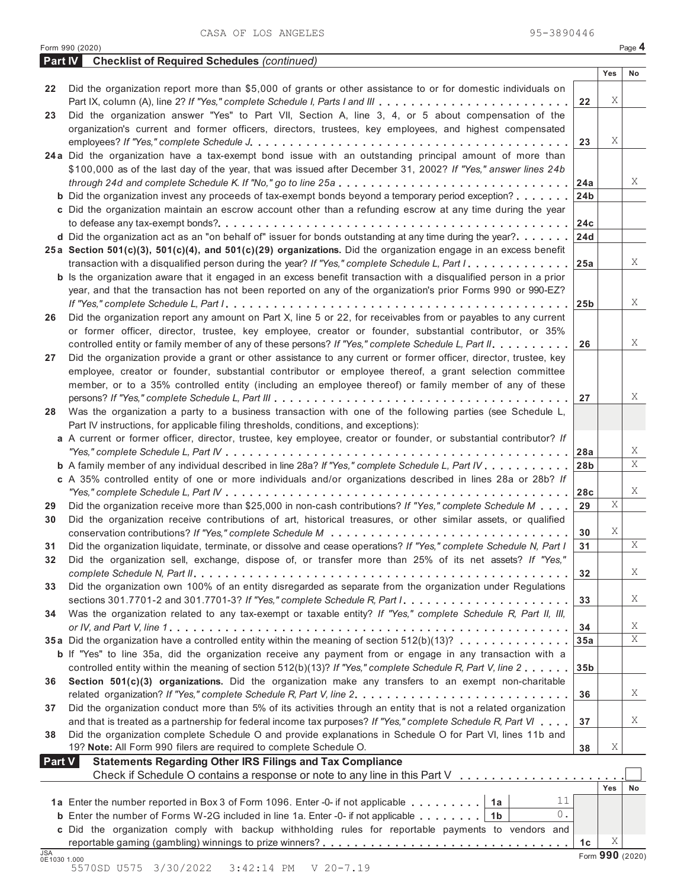|               | <b>Part IV</b> Checklist of Required Schedules (continued)                                                                    |                 |     |    |
|---------------|-------------------------------------------------------------------------------------------------------------------------------|-----------------|-----|----|
|               |                                                                                                                               |                 | Yes | No |
| 22            | Did the organization report more than \$5,000 of grants or other assistance to or for domestic individuals on                 |                 |     |    |
|               | Part IX, column (A), line 2? If "Yes," complete Schedule I, Parts I and III                                                   | 22              | Χ   |    |
| 23            | Did the organization answer "Yes" to Part VII, Section A, line 3, 4, or 5 about compensation of the                           |                 |     |    |
|               | organization's current and former officers, directors, trustees, key employees, and highest compensated                       |                 |     |    |
|               |                                                                                                                               | 23              | Χ   |    |
|               | 24a Did the organization have a tax-exempt bond issue with an outstanding principal amount of more than                       |                 |     |    |
|               | \$100,000 as of the last day of the year, that was issued after December 31, 2002? If "Yes," answer lines 24b                 |                 |     |    |
|               |                                                                                                                               | 24a             |     | X  |
|               | <b>b</b> Did the organization invest any proceeds of tax-exempt bonds beyond a temporary period exception?                    | 24 <sub>b</sub> |     |    |
|               | c Did the organization maintain an escrow account other than a refunding escrow at any time during the year                   |                 |     |    |
|               |                                                                                                                               | 24c             |     |    |
|               | <b>d</b> Did the organization act as an "on behalf of" issuer for bonds outstanding at any time during the year? $\ldots$     | 24d             |     |    |
|               | 25a Section 501(c)(3), 501(c)(4), and 501(c)(29) organizations. Did the organization engage in an excess benefit              |                 |     |    |
|               | transaction with a disqualified person during the year? If "Yes," complete Schedule L, Part I.                                | 25a             |     | Χ  |
|               | <b>b</b> Is the organization aware that it engaged in an excess benefit transaction with a disqualified person in a prior     |                 |     |    |
|               | year, and that the transaction has not been reported on any of the organization's prior Forms 990 or 990-EZ?                  |                 |     |    |
|               |                                                                                                                               | 25 <sub>b</sub> |     | X  |
|               | Did the organization report any amount on Part X, line 5 or 22, for receivables from or payables to any current               |                 |     |    |
| 26            |                                                                                                                               |                 |     |    |
|               | or former officer, director, trustee, key employee, creator or founder, substantial contributor, or 35%                       |                 |     | Χ  |
|               | controlled entity or family member of any of these persons? If "Yes," complete Schedule L, Part II.                           | 26              |     |    |
| 27            | Did the organization provide a grant or other assistance to any current or former officer, director, trustee, key             |                 |     |    |
|               | employee, creator or founder, substantial contributor or employee thereof, a grant selection committee                        |                 |     |    |
|               | member, or to a 35% controlled entity (including an employee thereof) or family member of any of these                        |                 |     |    |
|               |                                                                                                                               | 27              |     | Χ  |
| 28            | Was the organization a party to a business transaction with one of the following parties (see Schedule L,                     |                 |     |    |
|               | Part IV instructions, for applicable filing thresholds, conditions, and exceptions):                                          |                 |     |    |
|               | a A current or former officer, director, trustee, key employee, creator or founder, or substantial contributor? If            |                 |     |    |
|               |                                                                                                                               | 28a             |     | X  |
|               | <b>b</b> A family member of any individual described in line 28a? If "Yes," complete Schedule L, Part IV                      | 28 <sub>b</sub> |     | X  |
|               | c A 35% controlled entity of one or more individuals and/or organizations described in lines 28a or 28b? If                   |                 |     |    |
|               |                                                                                                                               | 28c             |     | Χ  |
| 29            | Did the organization receive more than \$25,000 in non-cash contributions? If "Yes," complete Schedule M                      | 29              | Χ   |    |
| 30            | Did the organization receive contributions of art, historical treasures, or other similar assets, or qualified                |                 |     |    |
|               |                                                                                                                               | 30              | Χ   |    |
| 31            | Did the organization liquidate, terminate, or dissolve and cease operations? If "Yes," complete Schedule N, Part I            | 31              |     | X  |
| 32            | Did the organization sell, exchange, dispose of, or transfer more than 25% of its net assets? If "Yes,"                       |                 |     |    |
|               |                                                                                                                               | 32              |     | X  |
| 33            | Did the organization own 100% of an entity disregarded as separate from the organization under Regulations                    |                 |     |    |
|               | sections 301.7701-2 and 301.7701-3? If "Yes," complete Schedule R, Part $l_1, \ldots, \ldots, \ldots, \ldots, \ldots, \ldots$ | 33              |     | X  |
| 34            | Was the organization related to any tax-exempt or taxable entity? If "Yes," complete Schedule R, Part II, III,                |                 |     |    |
|               |                                                                                                                               | 34              |     | X  |
|               | 35a Did the organization have a controlled entity within the meaning of section 512(b)(13)?                                   | 35a             |     | Χ  |
|               | <b>b</b> If "Yes" to line 35a, did the organization receive any payment from or engage in any transaction with a              |                 |     |    |
|               | controlled entity within the meaning of section 512(b)(13)? If "Yes," complete Schedule R, Part V, line 2                     | 35 <sub>b</sub> |     |    |
| 36            | Section 501(c)(3) organizations. Did the organization make any transfers to an exempt non-charitable                          |                 |     |    |
|               |                                                                                                                               | 36              |     | X  |
| 37            | Did the organization conduct more than 5% of its activities through an entity that is not a related organization              |                 |     |    |
|               | and that is treated as a partnership for federal income tax purposes? If "Yes," complete Schedule R, Part VI                  | 37              |     | X  |
| 38            | Did the organization complete Schedule O and provide explanations in Schedule O for Part VI, lines 11b and                    |                 |     |    |
|               | 19? Note: All Form 990 filers are required to complete Schedule O.                                                            | 38              | Χ   |    |
| <b>Part V</b> | <b>Statements Regarding Other IRS Filings and Tax Compliance</b>                                                              |                 |     |    |
|               | Check if Schedule O contains a response or note to any line in this Part V                                                    |                 |     |    |
|               |                                                                                                                               |                 | Yes | No |
|               | 11<br>1a Enter the number reported in Box 3 of Form 1096. Enter -0- if not applicable   1a                                    |                 |     |    |
|               | 0.<br><b>b</b> Enter the number of Forms W-2G included in line 1a. Enter -0- if not applicable $\dots \dots$ .                |                 |     |    |
|               | c Did the organization comply with backup withholding rules for reportable payments to vendors and                            |                 |     |    |
|               |                                                                                                                               | 1c              | Χ   |    |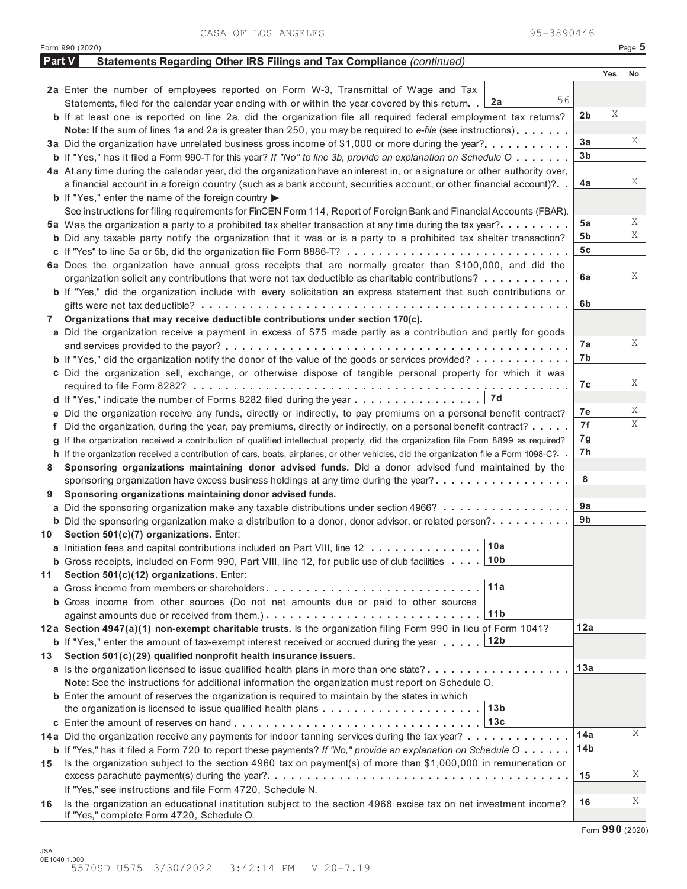CASA OF LOS ANGELES 95-3890446

|        | Form 990 (2020)                                                                                                                                                    |                 |     | Page 5 |
|--------|--------------------------------------------------------------------------------------------------------------------------------------------------------------------|-----------------|-----|--------|
| Part V | Statements Regarding Other IRS Filings and Tax Compliance (continued)                                                                                              |                 |     |        |
|        |                                                                                                                                                                    |                 | Yes | No     |
|        | 2a Enter the number of employees reported on Form W-3, Transmittal of Wage and Tax                                                                                 |                 |     |        |
|        | 56<br>2a<br>Statements, filed for the calendar year ending with or within the year covered by this return. .                                                       |                 |     |        |
|        | b If at least one is reported on line 2a, did the organization file all required federal employment tax returns?                                                   | 2b              | Χ   |        |
|        | Note: If the sum of lines 1a and 2a is greater than 250, you may be required to e-file (see instructions)                                                          |                 |     |        |
|        | 3a Did the organization have unrelated business gross income of \$1,000 or more during the year?                                                                   | 3a              |     | Χ      |
|        | <b>b</b> If "Yes," has it filed a Form 990-T for this year? If "No" to line 3b, provide an explanation on Schedule O                                               | 3b              |     |        |
|        | 4a At any time during the calendar year, did the organization have an interest in, or a signature or other authority over,                                         |                 |     | Χ      |
|        | a financial account in a foreign country (such as a bank account, securities account, or other financial account)?                                                 | 4a              |     |        |
|        | <b>b</b> If "Yes," enter the name of the foreign country $\blacktriangleright$                                                                                     |                 |     |        |
|        | See instructions for filing requirements for FinCEN Form 114, Report of Foreign Bank and Financial Accounts (FBAR).                                                |                 |     | X      |
|        | 5a Was the organization a party to a prohibited tax shelter transaction at any time during the tax year?.                                                          | 5а              |     | Χ      |
|        | <b>b</b> Did any taxable party notify the organization that it was or is a party to a prohibited tax shelter transaction?                                          | 5b              |     |        |
|        |                                                                                                                                                                    | 5c              |     |        |
|        | 6a Does the organization have annual gross receipts that are normally greater than \$100,000, and did the                                                          | 6a              |     | X      |
|        | organization solicit any contributions that were not tax deductible as charitable contributions?                                                                   |                 |     |        |
|        | <b>b</b> If "Yes," did the organization include with every solicitation an express statement that such contributions or                                            | 6b              |     |        |
| 7      | Organizations that may receive deductible contributions under section 170(c).                                                                                      |                 |     |        |
|        | a Did the organization receive a payment in excess of \$75 made partly as a contribution and partly for goods                                                      |                 |     |        |
|        |                                                                                                                                                                    | 7a              |     | X      |
|        | <b>b</b> If "Yes," did the organization notify the donor of the value of the goods or services provided?                                                           | 7b              |     |        |
|        | c Did the organization sell, exchange, or otherwise dispose of tangible personal property for which it was                                                         |                 |     |        |
|        |                                                                                                                                                                    | 7с              |     | X      |
|        | 7d<br>d If "Yes," indicate the number of Forms 8282 filed during the year $\dots \dots \dots \dots \dots$                                                          |                 |     |        |
|        | e Did the organization receive any funds, directly or indirectly, to pay premiums on a personal benefit contract?                                                  | 7e              |     | X      |
|        | f Did the organization, during the year, pay premiums, directly or indirectly, on a personal benefit contract?                                                     | 7f              |     | X      |
|        | g If the organization received a contribution of qualified intellectual property, did the organization file Form 8899 as required?                                 | 7g              |     |        |
|        | h If the organization received a contribution of cars, boats, airplanes, or other vehicles, did the organization file a Form 1098-C?                               | 7h              |     |        |
| 8      | Sponsoring organizations maintaining donor advised funds. Did a donor advised fund maintained by the                                                               |                 |     |        |
|        | sponsoring organization have excess business holdings at any time during the year?                                                                                 | 8               |     |        |
| 9      | Sponsoring organizations maintaining donor advised funds.                                                                                                          |                 |     |        |
|        | a Did the sponsoring organization make any taxable distributions under section 4966?                                                                               | 9a              |     |        |
|        | <b>b</b> Did the sponsoring organization make a distribution to a donor, donor advisor, or related person?                                                         | 9b              |     |        |
| 10     | Section 501(c)(7) organizations. Enter:                                                                                                                            |                 |     |        |
|        | 10a <br>a Initiation fees and capital contributions included on Part VIII, line 12                                                                                 |                 |     |        |
|        | ∣10b<br><b>b</b> Gross receipts, included on Form 990, Part VIII, line 12, for public use of club facilities                                                       |                 |     |        |
| 11     | Section 501(c)(12) organizations. Enter:                                                                                                                           |                 |     |        |
|        | 11a<br>a Gross income from members or shareholders                                                                                                                 |                 |     |        |
|        | <b>b</b> Gross income from other sources (Do not net amounts due or paid to other sources<br>11 <sub>b</sub>                                                       |                 |     |        |
|        |                                                                                                                                                                    | 12a             |     |        |
|        | 12a Section 4947(a)(1) non-exempt charitable trusts. Is the organization filing Form 990 in lieu of Form 1041?<br>12b                                              |                 |     |        |
|        | <b>b</b> If "Yes," enter the amount of tax-exempt interest received or accrued during the year<br>Section 501(c)(29) qualified nonprofit health insurance issuers. |                 |     |        |
| 13     | a Is the organization licensed to issue qualified health plans in more than one state?                                                                             | 13a             |     |        |
|        | Note: See the instructions for additional information the organization must report on Schedule O.                                                                  |                 |     |        |
|        | <b>b</b> Enter the amount of reserves the organization is required to maintain by the states in which                                                              |                 |     |        |
|        | 13b<br>the organization is licensed to issue qualified health plans                                                                                                |                 |     |        |
|        | 13c                                                                                                                                                                |                 |     |        |
|        | 14a Did the organization receive any payments for indoor tanning services during the tax year?                                                                     | 14a             |     | Χ      |
|        | <b>b</b> If "Yes," has it filed a Form 720 to report these payments? If "No," provide an explanation on Schedule O $\cdots$                                        | 14 <sub>b</sub> |     |        |
| 15     | Is the organization subject to the section 4960 tax on payment(s) of more than \$1,000,000 in remuneration or                                                      |                 |     |        |
|        |                                                                                                                                                                    | 15              |     | X      |
|        | If "Yes," see instructions and file Form 4720, Schedule N.                                                                                                         |                 |     |        |
| 16     | Is the organization an educational institution subject to the section 4968 excise tax on net investment income?                                                    | 16              |     | X      |
|        | If "Yes," complete Form 4720, Schedule O.                                                                                                                          |                 |     |        |

Form **990** (2020)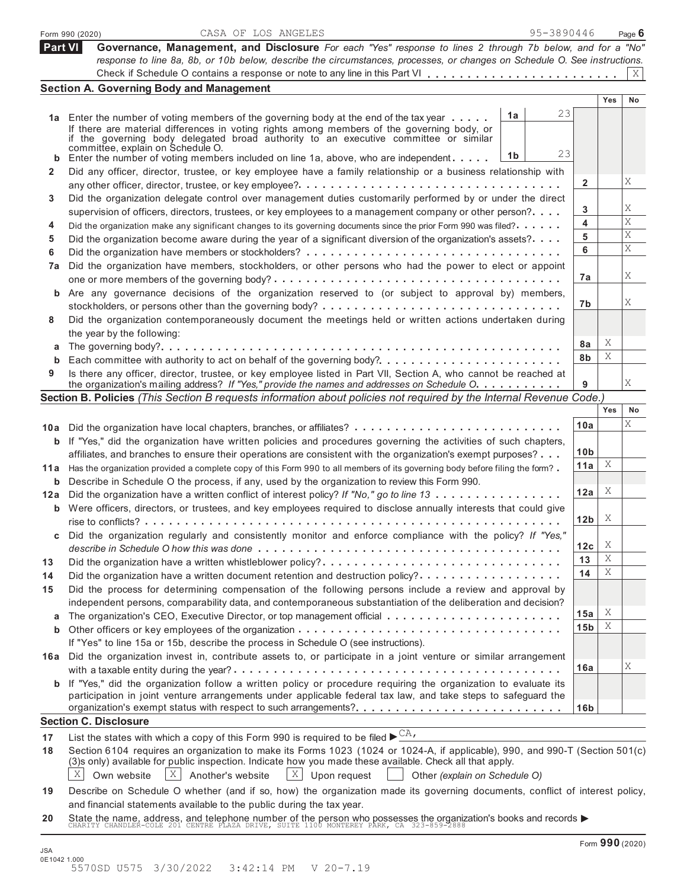|            | 95-3890446<br>CASA OF LOS ANGELES<br>Form 990 (2020)                                                                                                                                                                         |                 |     | Page $6$        |
|------------|------------------------------------------------------------------------------------------------------------------------------------------------------------------------------------------------------------------------------|-----------------|-----|-----------------|
| Part VI    | Governance, Management, and Disclosure For each "Yes" response to lines 2 through 7b below, and for a "No"                                                                                                                   |                 |     |                 |
|            | response to line 8a, 8b, or 10b below, describe the circumstances, processes, or changes on Schedule O. See instructions.                                                                                                    |                 |     |                 |
|            |                                                                                                                                                                                                                              |                 |     | X               |
|            | <b>Section A. Governing Body and Management</b>                                                                                                                                                                              |                 |     |                 |
|            |                                                                                                                                                                                                                              |                 | Yes | No              |
|            | 23<br>1a<br>1a Enter the number of voting members of the governing body at the end of the tax year                                                                                                                           |                 |     |                 |
|            | If there are material differences in voting rights among members of the governing body, or<br>if the governing body delegated broad authority to an executive committee or similar                                           |                 |     |                 |
|            | committée, explain on Schedule O.                                                                                                                                                                                            |                 |     |                 |
| b          | 23<br>1 <sub>b</sub><br>Enter the number of voting members included on line 1a, above, who are independent $\dots$ .                                                                                                         |                 |     |                 |
| 2          | Did any officer, director, trustee, or key employee have a family relationship or a business relationship with                                                                                                               |                 |     |                 |
|            | any other officer, director, trustee, or key employee?                                                                                                                                                                       | $\mathbf{2}$    |     | Χ               |
| 3          | Did the organization delegate control over management duties customarily performed by or under the direct                                                                                                                    |                 |     |                 |
|            | supervision of officers, directors, trustees, or key employees to a management company or other person?                                                                                                                      | 3               |     | Χ               |
| 4          | Did the organization make any significant changes to its governing documents since the prior Form 990 was filed?                                                                                                             | 4               |     | X               |
| 5          | Did the organization become aware during the year of a significant diversion of the organization's assets?                                                                                                                   | 5               |     | Χ               |
| 6          |                                                                                                                                                                                                                              | 6               |     | X               |
| 7a         | Did the organization have members, stockholders, or other persons who had the power to elect or appoint                                                                                                                      |                 |     |                 |
|            |                                                                                                                                                                                                                              | 7a              |     | Χ               |
|            | b Are any governance decisions of the organization reserved to (or subject to approval by) members,                                                                                                                          |                 |     |                 |
|            |                                                                                                                                                                                                                              | 7b              |     | Χ               |
| 8          | Did the organization contemporaneously document the meetings held or written actions undertaken during                                                                                                                       |                 |     |                 |
|            | the year by the following:                                                                                                                                                                                                   |                 |     |                 |
| a          |                                                                                                                                                                                                                              | 8a              | Χ   |                 |
|            |                                                                                                                                                                                                                              | 8b              | Χ   |                 |
| 9          | Is there any officer, director, trustee, or key employee listed in Part VII, Section A, who cannot be reached at                                                                                                             |                 |     |                 |
|            | the organization's mailing address? If "Yes," provide the names and addresses on Schedule O.                                                                                                                                 | 9               |     | Χ               |
|            | Section B. Policies (This Section B requests information about policies not required by the Internal Revenue Code.)                                                                                                          |                 |     |                 |
|            |                                                                                                                                                                                                                              |                 | Yes | No              |
|            | 10a Did the organization have local chapters, branches, or affiliates?                                                                                                                                                       | 10a             |     | X               |
|            | <b>b</b> If "Yes," did the organization have written policies and procedures governing the activities of such chapters,                                                                                                      |                 |     |                 |
|            | affiliates, and branches to ensure their operations are consistent with the organization's exempt purposes?                                                                                                                  | 10 <sub>b</sub> |     |                 |
| 11 a       | Has the organization provided a complete copy of this Form 990 to all members of its governing body before filing the form?                                                                                                  | 11a             | Χ   |                 |
|            | <b>b</b> Describe in Schedule O the process, if any, used by the organization to review this Form 990.                                                                                                                       |                 |     |                 |
| 12a        | Did the organization have a written conflict of interest policy? If "No," go to line 13                                                                                                                                      | 12a             | Χ   |                 |
|            | <b>b</b> Were officers, directors, or trustees, and key employees required to disclose annually interests that could give                                                                                                    |                 |     |                 |
|            |                                                                                                                                                                                                                              | 12 <sub>b</sub> | X   |                 |
|            | Did the organization regularly and consistently monitor and enforce compliance with the policy? If "Yes,'                                                                                                                    |                 |     |                 |
|            |                                                                                                                                                                                                                              | 12c             | Χ   |                 |
| 13         | Did the organization have a written whistleblower policy?                                                                                                                                                                    | 13              | Χ   |                 |
| 14         | Did the organization have a written document retention and destruction policy?                                                                                                                                               | 14              | Χ   |                 |
| 15         | Did the process for determining compensation of the following persons include a review and approval by                                                                                                                       |                 |     |                 |
|            | independent persons, comparability data, and contemporaneous substantiation of the deliberation and decision?                                                                                                                |                 |     |                 |
| а          |                                                                                                                                                                                                                              | 15a             | Χ   |                 |
| b          |                                                                                                                                                                                                                              | 15 <sub>b</sub> | Χ   |                 |
|            | If "Yes" to line 15a or 15b, describe the process in Schedule O (see instructions).                                                                                                                                          |                 |     |                 |
|            | 16a Did the organization invest in, contribute assets to, or participate in a joint venture or similar arrangement                                                                                                           |                 |     | Χ               |
|            |                                                                                                                                                                                                                              | 16a             |     |                 |
|            | <b>b</b> If "Yes," did the organization follow a written policy or procedure requiring the organization to evaluate its                                                                                                      |                 |     |                 |
|            | participation in joint venture arrangements under applicable federal tax law, and take steps to safeguard the                                                                                                                |                 |     |                 |
|            |                                                                                                                                                                                                                              | 16 <sub>b</sub> |     |                 |
|            | <b>Section C. Disclosure</b>                                                                                                                                                                                                 |                 |     |                 |
| 17         | List the states with which a copy of this Form 990 is required to be filed $\blacktriangleright^{\text{CA}}$ .                                                                                                               |                 |     |                 |
| 18         | Section 6104 requires an organization to make its Forms 1023 (1024 or 1024-A, if applicable), 990, and 990-T (Section 501(c)                                                                                                 |                 |     |                 |
|            | (3)s only) available for public inspection. Indicate how you made these available. Check all that apply.<br>X l<br>$\vert X \vert$<br>Own website<br>X<br>Another's website<br>Upon request<br>Other (explain on Schedule O) |                 |     |                 |
|            |                                                                                                                                                                                                                              |                 |     |                 |
| 19         | Describe on Schedule O whether (and if so, how) the organization made its governing documents, conflict of interest policy,                                                                                                  |                 |     |                 |
|            | and financial statements available to the public during the tax year.                                                                                                                                                        |                 |     |                 |
| 20         | State the name, address, and telephone number of the person who possesses the organization's books and records $\blacktriangleright$ CHARITY CHANDLER-COLE 201 CENTRE PLAZA DRIVE, SUITE 1100 MONTEREY PARK, CA 323-859-2888 |                 |     |                 |
|            |                                                                                                                                                                                                                              |                 |     | Form 990 (2020) |
| <b>JSA</b> |                                                                                                                                                                                                                              |                 |     |                 |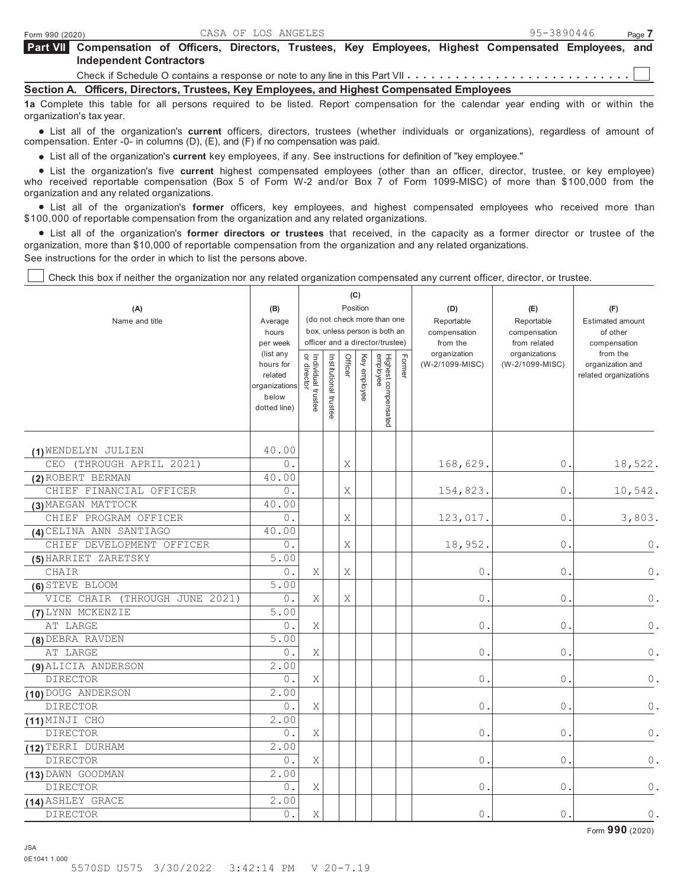| Part VII Compensation of Officers, Directors, Trustees, Key Employees, Highest Compensated Employees, and |  |  |  |  |  |
|-----------------------------------------------------------------------------------------------------------|--|--|--|--|--|
| <b>Independent Contractors</b>                                                                            |  |  |  |  |  |
|                                                                                                           |  |  |  |  |  |

Check if Schedule O contains a response or note to any line in this Part VII  $\dots$ ...

**Section A. Officers, Directors, Trustees, Key Employees, and Highest Compensated Employees**

**1a** Complete this table for all persons required to be listed. Report compensation for the calendar year ending with or within the organization's tax year.

 List all of the organization's **current** officers, directors, trustees (whether individuals or organizations), regardless of amount of compensation. Enter -0- in columns (D), (E), and (F) if no compensation was paid.

List all of the organization's **current** key employees, if any. See instructions for definition of "key employee."

 List the organization's five **current** highest compensated employees (other than an officer, director, trustee, or key employee) who received reportable compensation (Box 5 of Form W-2 and/or Box 7 of Form 1099-MISC) of more than \$100,000 from the organization and any related organizations.

anization and any related organizations.<br>● List all of the organization's **former** officers, key employees, and highest compensated employees who received more than \$100,000 of reportable compensation from the organization and any related organizations.

00,000 of reportable compensation from the organization and any related organizations.<br>● List all of the organization's **former directors or trustees** that received, in the capacity as a former director or organization, more than \$10,000 of reportable compensation from the organization and any related organizations. See instructions for the order in which to list the persons above.

 $\mathbf{C}$ 

Check this box if neither the organization nor any related organization compensated any current officer, director, or trustee.

| (A)<br>Name and title          | (B)<br>Average<br>hours<br>per week                                         |                                   |                       |         | (ပ)<br>Position | (do not check more than one<br>box, unless person is both an<br>officer and a director/trustee) |        | (D)<br>Reportable<br>compensation<br>from the | (E)<br>Reportable<br>compensation<br>from related | (F)<br><b>Estimated amount</b><br>of other<br>compensation |
|--------------------------------|-----------------------------------------------------------------------------|-----------------------------------|-----------------------|---------|-----------------|-------------------------------------------------------------------------------------------------|--------|-----------------------------------------------|---------------------------------------------------|------------------------------------------------------------|
|                                | (list any<br>hours for<br>related<br>organizations<br>below<br>dotted line) | or director<br>Individual trustee | Institutional trustee | Officer | Key employee    | Highest compensated<br>employee                                                                 | Former | organization<br>(W-2/1099-MISC)               | organizations<br>(W-2/1099-MISC)                  | from the<br>organization and<br>related organizations      |
| (1) WENDELYN JULIEN            | 40.00                                                                       |                                   |                       |         |                 |                                                                                                 |        |                                               |                                                   |                                                            |
| CEO (THROUGH APRIL 2021)       | $0$ .                                                                       |                                   |                       | X       |                 |                                                                                                 |        | 168,629.                                      | 0.                                                | 18,522.                                                    |
| (2) ROBERT BERMAN              | 40.00                                                                       |                                   |                       |         |                 |                                                                                                 |        |                                               |                                                   |                                                            |
| CHIEF FINANCIAL OFFICER        | 0.                                                                          |                                   |                       | Χ       |                 |                                                                                                 |        | 154,823.                                      | 0.                                                | 10,542.                                                    |
| (3) MAEGAN MATTOCK             | 40.00                                                                       |                                   |                       |         |                 |                                                                                                 |        |                                               |                                                   |                                                            |
| CHIEF PROGRAM OFFICER          | $0$ .                                                                       |                                   |                       | Χ       |                 |                                                                                                 |        | 123,017.                                      | $0$ .                                             | 3,803.                                                     |
| (4) CELINA ANN SANTIAGO        | 40.00                                                                       |                                   |                       |         |                 |                                                                                                 |        |                                               |                                                   |                                                            |
| CHIEF DEVELOPMENT OFFICER      | 0.                                                                          |                                   |                       | Χ       |                 |                                                                                                 |        | 18,952.                                       | 0.                                                | 0.                                                         |
| (5) HARRIET ZARETSKY           | 5.00                                                                        |                                   |                       |         |                 |                                                                                                 |        |                                               |                                                   |                                                            |
| CHAIR                          | $0$ .                                                                       | X                                 |                       | Χ       |                 |                                                                                                 |        | $0$ .                                         | $\circledcirc$ .                                  | $0$ .                                                      |
| (6) STEVE BLOOM                | 5.00                                                                        |                                   |                       |         |                 |                                                                                                 |        |                                               |                                                   |                                                            |
| VICE CHAIR (THROUGH JUNE 2021) | 0.                                                                          | Χ                                 |                       | Χ       |                 |                                                                                                 |        | $0$ .                                         | 0.                                                | $\mathbf 0$ .                                              |
| (7) LYNN MCKENZIE              | 5.00                                                                        |                                   |                       |         |                 |                                                                                                 |        |                                               |                                                   |                                                            |
| AT LARGE                       | 0.                                                                          | Χ                                 |                       |         |                 |                                                                                                 |        | 0.                                            | 0.                                                | $\mathbb O$ .                                              |
| (8) DEBRA RAVDEN               | 5.00                                                                        |                                   |                       |         |                 |                                                                                                 |        |                                               |                                                   |                                                            |
| AT LARGE                       | $0$ .                                                                       | X                                 |                       |         |                 |                                                                                                 |        | $\overline{0}$ .                              | $\circ$                                           | $\mathbb O$ .                                              |
| (9) ALICIA ANDERSON            | 2.00                                                                        |                                   |                       |         |                 |                                                                                                 |        |                                               |                                                   |                                                            |
| <b>DIRECTOR</b>                | $0$ .                                                                       | Χ                                 |                       |         |                 |                                                                                                 |        | $0$ .                                         | $0$ .                                             | $\mathbb O$ .                                              |
| (10) DOUG ANDERSON             | 2.00                                                                        |                                   |                       |         |                 |                                                                                                 |        |                                               |                                                   |                                                            |
| DIRECTOR                       | $0$ .                                                                       | Χ                                 |                       |         |                 |                                                                                                 |        | $0$ .                                         | 0.                                                | 0.                                                         |
| (11) MINJI CHO                 | 2.00                                                                        |                                   |                       |         |                 |                                                                                                 |        |                                               |                                                   |                                                            |
| <b>DIRECTOR</b>                | $0$ .                                                                       | Χ                                 |                       |         |                 |                                                                                                 |        | $\overline{0}$ .                              | $\mathbf{0}$ .                                    | 0.                                                         |
| (12) TERRI DURHAM              | 2.00                                                                        |                                   |                       |         |                 |                                                                                                 |        |                                               |                                                   |                                                            |
| <b>DIRECTOR</b>                | $0$ .                                                                       | Χ                                 |                       |         |                 |                                                                                                 |        | $0$ .                                         | 0.                                                | $\mathbb O$ .                                              |
| (13) DAWN GOODMAN              | 2.00                                                                        |                                   |                       |         |                 |                                                                                                 |        |                                               |                                                   |                                                            |
| <b>DIRECTOR</b>                | $0$ .                                                                       | Χ                                 |                       |         |                 |                                                                                                 |        | $0$ .                                         | 0.                                                | $\mathbf 0$ .                                              |
| (14) ASHLEY GRACE              | 2.00                                                                        |                                   |                       |         |                 |                                                                                                 |        |                                               |                                                   |                                                            |
| <b>DIRECTOR</b>                | $\overline{0}$ .                                                            | Χ                                 |                       |         |                 |                                                                                                 |        | $0$ .                                         | $\overline{0}$ .                                  | $0$ .                                                      |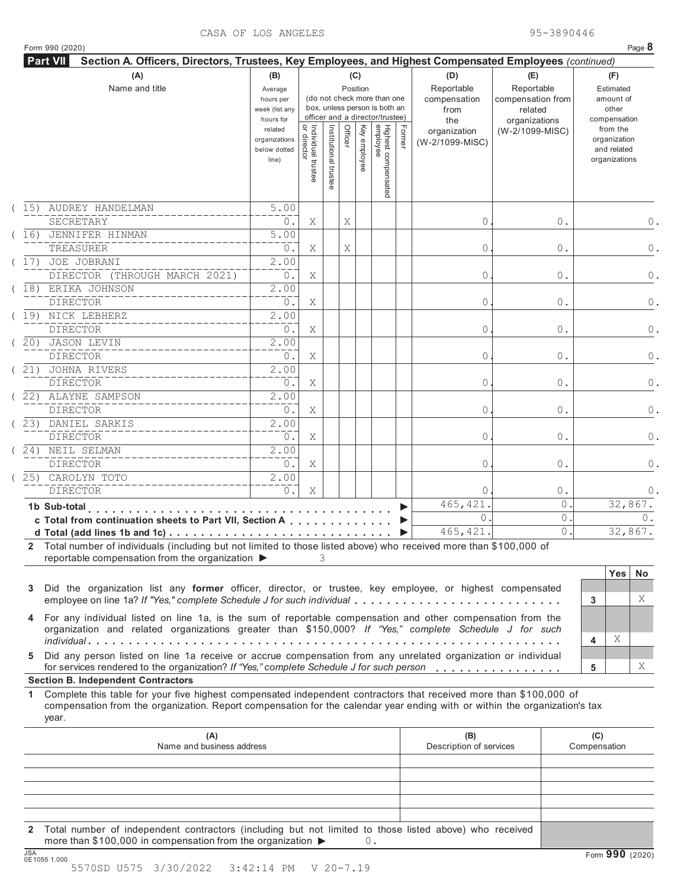## CASA OF LOS ANGELES 95-3890446

|  | Form 990 (2020) |  |
|--|-----------------|--|
|  |                 |  |

|      | Form 990 (2020)<br><b>Part VII</b><br>Section A. Officers, Directors, Trustees, Key Employees, and Highest Compensated Employees (continued)                                                                                                                                                           |                                                            |                                   |                             |                 |                                                                                                 |        |                                           |                                                   | Page 8                                                                   |  |
|------|--------------------------------------------------------------------------------------------------------------------------------------------------------------------------------------------------------------------------------------------------------------------------------------------------------|------------------------------------------------------------|-----------------------------------|-----------------------------|-----------------|-------------------------------------------------------------------------------------------------|--------|-------------------------------------------|---------------------------------------------------|--------------------------------------------------------------------------|--|
|      | (A)<br>Name and title                                                                                                                                                                                                                                                                                  | (B)<br>Average<br>hours per<br>week (list any<br>hours for |                                   |                             | (C)<br>Position | (do not check more than one<br>box, unless person is both an<br>officer and a director/trustee) |        | (D)<br>Reportable<br>compensation<br>from | (E)<br>Reportable<br>compensation from<br>related | (F)<br>Estimated<br>amount of<br>other                                   |  |
|      |                                                                                                                                                                                                                                                                                                        | related<br>organizations<br>below dotted<br>line)          | Individual trustee<br>or director | Ξ<br>stitutional<br>trustee | Officer         | Highest compensated<br>employee<br>Key employee                                                 | Former | the<br>organization<br>(W-2/1099-MISC)    | organizations<br>(W-2/1099-MISC)                  | compensation<br>from the<br>organization<br>and related<br>organizations |  |
|      | 15) AUDREY HANDELMAN<br>SECRETARY                                                                                                                                                                                                                                                                      | 5.00<br>0.                                                 | Χ                                 |                             | Χ               |                                                                                                 |        | 0                                         | 0.                                                |                                                                          |  |
|      | (16) JENNIFER HINMAN<br>TREASURER                                                                                                                                                                                                                                                                      | $\overline{5.00}$<br>0.                                    | Χ                                 |                             | Χ               |                                                                                                 |        | 0                                         | 0.                                                |                                                                          |  |
| (17) | JOE JOBRANI<br>DIRECTOR (THROUGH MARCH 2021)                                                                                                                                                                                                                                                           | 2.00<br>$0$ .                                              | Χ                                 |                             |                 |                                                                                                 |        | 0                                         | 0.                                                |                                                                          |  |
|      | (18) ERIKA JOHNSON<br><b>DIRECTOR</b>                                                                                                                                                                                                                                                                  | 2.00<br>0.                                                 | Χ                                 |                             |                 |                                                                                                 |        | 0                                         | 0.                                                |                                                                          |  |
|      | (19) NICK LEBHERZ<br><b>DIRECTOR</b>                                                                                                                                                                                                                                                                   | $\overline{2}$ .00<br>0.                                   | Χ                                 |                             |                 |                                                                                                 |        | 0                                         | 0.                                                |                                                                          |  |
| (20) | <b>JASON LEVIN</b><br><b>DIRECTOR</b>                                                                                                                                                                                                                                                                  | 2.00<br>0.                                                 | Χ                                 |                             |                 |                                                                                                 |        | 0                                         | 0.                                                |                                                                          |  |
| (21) | JOHNA RIVERS<br><b>DIRECTOR</b>                                                                                                                                                                                                                                                                        | $\overline{2}$ .00<br>0.                                   | Χ                                 |                             |                 |                                                                                                 |        | 0                                         | 0.                                                |                                                                          |  |
|      | (22) ALAYNE SAMPSON<br><b>DIRECTOR</b>                                                                                                                                                                                                                                                                 | 2.00<br>0.                                                 | Χ                                 |                             |                 |                                                                                                 |        | 0                                         | 0.                                                |                                                                          |  |
| (23) | DANIEL SARKIS<br><b>DIRECTOR</b>                                                                                                                                                                                                                                                                       | $\overline{2}$ .00<br>0.                                   | Χ                                 |                             |                 |                                                                                                 |        | 0                                         | 0.                                                |                                                                          |  |
|      | (24) NEIL SELMAN<br><b>DIRECTOR</b>                                                                                                                                                                                                                                                                    | $\overline{2}$ .00<br>0.                                   | Χ                                 |                             |                 |                                                                                                 |        | 0                                         | 0.                                                |                                                                          |  |
|      | 25) CAROLYN TOTO<br><b>DIRECTOR</b>                                                                                                                                                                                                                                                                    | $\overline{2}$ .00<br>0.                                   | Χ                                 |                             |                 |                                                                                                 |        | 0                                         | $0$ .                                             |                                                                          |  |
|      | 1b Sub-total<br>.                                                                                                                                                                                                                                                                                      |                                                            |                                   |                             |                 |                                                                                                 |        | 465, 421                                  | 0                                                 | 32,867.                                                                  |  |
|      | c Total from continuation sheets to Part VII, Section A                                                                                                                                                                                                                                                |                                                            |                                   |                             |                 |                                                                                                 |        | $\circ$                                   | 0                                                 |                                                                          |  |
|      | 2 Total number of individuals (including but not limited to those listed above) who received more than \$100,000 of<br>reportable compensation from the organization ▶                                                                                                                                 |                                                            |                                   | 3                           |                 |                                                                                                 |        | 465, 421.                                 | 0.                                                | 32,867.<br><b>Yes</b><br><b>No</b>                                       |  |
| 3    | Did the organization list any former officer, director, or trustee, key employee, or highest compensated<br>employee on line 1a? If "Yes," complete Schedule J for such individual                                                                                                                     |                                                            |                                   |                             |                 |                                                                                                 |        |                                           |                                                   | 3                                                                        |  |
|      | 4 For any individual listed on line 1a, is the sum of reportable compensation and other compensation from the                                                                                                                                                                                          |                                                            |                                   |                             |                 |                                                                                                 |        |                                           |                                                   |                                                                          |  |
|      | organization and related organizations greater than \$150,000? If "Yes," complete Schedule J for such                                                                                                                                                                                                  |                                                            |                                   |                             |                 |                                                                                                 |        |                                           |                                                   | X<br>4                                                                   |  |
| 5    | Did any person listed on line 1a receive or accrue compensation from any unrelated organization or individual<br>for services rendered to the organization? If "Yes," complete Schedule J for such person                                                                                              |                                                            |                                   |                             |                 |                                                                                                 |        |                                           |                                                   | 5                                                                        |  |
| 1.   | <b>Section B. Independent Contractors</b><br>Complete this table for your five highest compensated independent contractors that received more than \$100,000 of<br>compensation from the organization. Report compensation for the calendar year ending with or within the organization's tax<br>year. |                                                            |                                   |                             |                 |                                                                                                 |        |                                           |                                                   |                                                                          |  |

**2** Total number of independent contractors (including but not limited to those listed above) who received more than \$100,000 in compensation from the organization ▶ 0.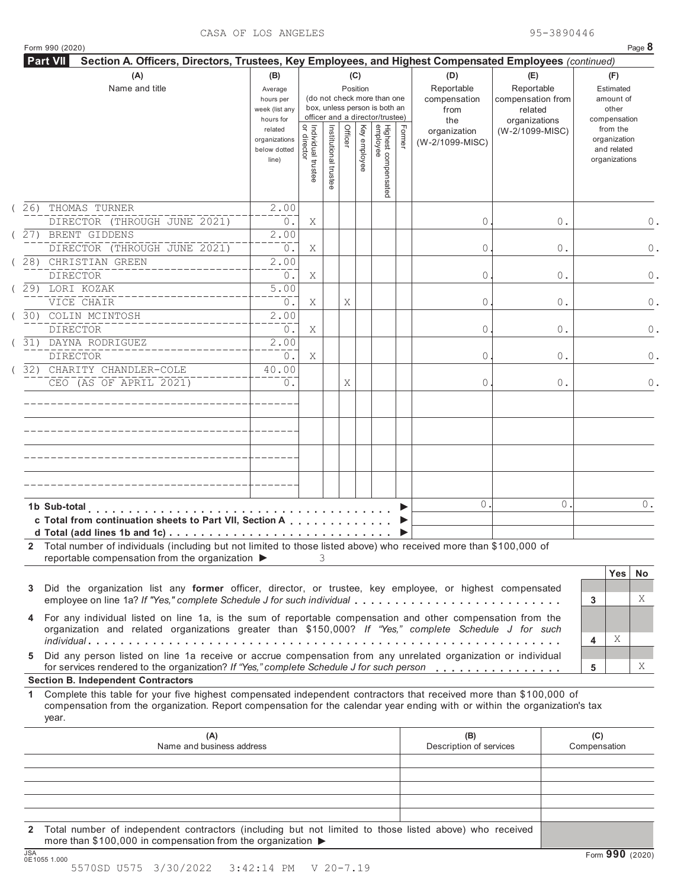|  | Form 990 (2020) |  |
|--|-----------------|--|

|     | <b>Part VII</b><br>Section A. Officers, Directors, Trustees, Key Employees, and Highest Compensated Employees (continued)<br>(A)                                                                                                                          | (B)                                                 |                                               |                       | (C)      |              |                                                                                                 |        | (D)                                       | (E)                                                         |          |                                                 | (F)                                                      |                |
|-----|-----------------------------------------------------------------------------------------------------------------------------------------------------------------------------------------------------------------------------------------------------------|-----------------------------------------------------|-----------------------------------------------|-----------------------|----------|--------------|-------------------------------------------------------------------------------------------------|--------|-------------------------------------------|-------------------------------------------------------------|----------|-------------------------------------------------|----------------------------------------------------------|----------------|
|     | Name and title                                                                                                                                                                                                                                            | Average<br>hours per<br>week (list any<br>hours for |                                               |                       | Position |              | (do not check more than one<br>box, unless person is both an<br>officer and a director/trustee) |        | Reportable<br>compensation<br>from<br>the | Reportable<br>compensation from<br>related<br>organizations |          | Estimated<br>amount of<br>other<br>compensation |                                                          |                |
|     |                                                                                                                                                                                                                                                           | related<br>organizations<br>below dotted<br>line)   | Individual trustee<br>or director<br>director | Institutional trustee | Officer  | Key employee | Highest compensated<br>employee                                                                 | Former | organization<br>(W-2/1099-MISC)           | (W-2/1099-MISC)                                             |          |                                                 | from the<br>organization<br>and related<br>organizations |                |
| 26) | THOMAS TURNER<br>DIRECTOR (THROUGH JUNE 2021)                                                                                                                                                                                                             | 2.00<br>0.                                          | Χ                                             |                       |          |              |                                                                                                 |        | 0                                         |                                                             | 0.       |                                                 |                                                          |                |
|     | (27) BRENT GIDDENS<br>DIRECTOR (THROUGH JUNE 2021)                                                                                                                                                                                                        | 2.00<br>0.                                          | Χ                                             |                       |          |              |                                                                                                 |        | 0                                         |                                                             | 0.       |                                                 |                                                          |                |
|     | (28) CHRISTIAN GREEN<br><b>DIRECTOR</b>                                                                                                                                                                                                                   | 2.00<br>0.                                          | Χ                                             |                       |          |              |                                                                                                 |        | 0                                         |                                                             | 0.       |                                                 |                                                          |                |
|     | (29) LORI KOZAK<br>VICE CHAIR                                                                                                                                                                                                                             | 5.00<br>0.                                          | Χ                                             |                       | Χ        |              |                                                                                                 |        | 0                                         |                                                             | 0.       |                                                 |                                                          |                |
| 30) | COLIN MCINTOSH<br><b>DIRECTOR</b>                                                                                                                                                                                                                         | 2.00<br>0.                                          | Χ                                             |                       |          |              |                                                                                                 |        | 0                                         |                                                             | 0.       |                                                 |                                                          |                |
|     | 31) DAYNA RODRIGUEZ<br><b>DIRECTOR</b><br>32) CHARITY CHANDLER-COLE                                                                                                                                                                                       | 2.00<br>0.<br>40.00                                 | Χ                                             |                       |          |              |                                                                                                 |        | 0                                         |                                                             | 0.       |                                                 |                                                          |                |
|     | CEO (AS OF APRIL 2021)                                                                                                                                                                                                                                    | 0.                                                  |                                               |                       | Χ        |              |                                                                                                 |        | 0                                         |                                                             | 0.       |                                                 |                                                          |                |
|     |                                                                                                                                                                                                                                                           |                                                     |                                               |                       |          |              |                                                                                                 |        |                                           |                                                             |          |                                                 |                                                          |                |
|     |                                                                                                                                                                                                                                                           |                                                     |                                               |                       |          |              |                                                                                                 |        |                                           |                                                             |          |                                                 |                                                          |                |
|     |                                                                                                                                                                                                                                                           |                                                     |                                               |                       |          |              |                                                                                                 |        |                                           |                                                             |          |                                                 |                                                          |                |
|     | 1b Sub-total                                                                                                                                                                                                                                              |                                                     |                                               |                       |          |              |                                                                                                 |        | 0                                         |                                                             | $\Omega$ |                                                 |                                                          | $0$ .          |
|     | c Total from continuation sheets to Part VII, Section A                                                                                                                                                                                                   |                                                     |                                               |                       |          |              |                                                                                                 |        |                                           |                                                             |          |                                                 |                                                          |                |
|     | 2 Total number of individuals (including but not limited to those listed above) who received more than \$100,000 of<br>reportable compensation from the organization ▶                                                                                    |                                                     |                                               | 3                     |          |              |                                                                                                 |        |                                           |                                                             |          |                                                 |                                                          |                |
| 3   | Did the organization list any former officer, director, or trustee, key employee, or highest compensated<br>employee on line 1a? If "Yes," complete Schedule J for such individual                                                                        |                                                     |                                               |                       |          |              |                                                                                                 |        |                                           |                                                             |          | 3                                               | <b>Yes</b>                                               | <b>No</b><br>Χ |
|     | 4 For any individual listed on line 1a, is the sum of reportable compensation and other compensation from the<br>organization and related organizations greater than \$150,000? If "Yes," complete Schedule J for such                                    |                                                     |                                               |                       |          |              |                                                                                                 |        |                                           |                                                             |          | 4                                               | Χ                                                        |                |
| 5   | Did any person listed on line 1a receive or accrue compensation from any unrelated organization or individual<br>for services rendered to the organization? If "Yes," complete Schedule J for such person                                                 |                                                     |                                               |                       |          |              |                                                                                                 |        |                                           |                                                             |          | 5                                               |                                                          | Χ              |
|     | <b>Section B. Independent Contractors</b>                                                                                                                                                                                                                 |                                                     |                                               |                       |          |              |                                                                                                 |        |                                           |                                                             |          |                                                 |                                                          |                |
| 1.  | Complete this table for your five highest compensated independent contractors that received more than \$100,000 of<br>compensation from the organization. Report compensation for the calendar year ending with or within the organization's tax<br>year. |                                                     |                                               |                       |          |              |                                                                                                 |        |                                           |                                                             |          |                                                 |                                                          |                |
|     | (A)<br>Name and business address                                                                                                                                                                                                                          |                                                     |                                               |                       |          |              |                                                                                                 |        | (B)<br>Description of services            |                                                             |          | (C)<br>Compensation                             |                                                          |                |
|     |                                                                                                                                                                                                                                                           |                                                     |                                               |                       |          |              |                                                                                                 |        |                                           |                                                             |          |                                                 |                                                          |                |
|     |                                                                                                                                                                                                                                                           |                                                     |                                               |                       |          |              |                                                                                                 |        |                                           |                                                             |          |                                                 |                                                          |                |
|     |                                                                                                                                                                                                                                                           |                                                     |                                               |                       |          |              |                                                                                                 |        |                                           |                                                             |          |                                                 |                                                          |                |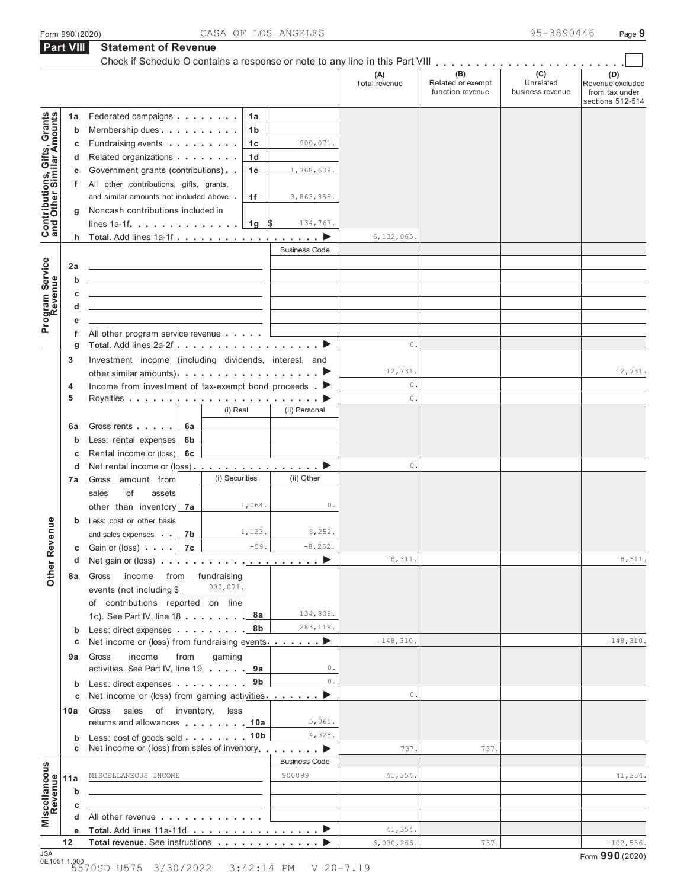|  | Form 990 (2020) |  |
|--|-----------------|--|

**Part VIII Statement of Revenue**

|                                                           | <b>Part VIII</b> | <b>Statement of Revenue</b><br>Check if Schedule O contains a response or note to any line in this Part VIII          |                                                             |                      |                      |                                              |                                      |                                                               |
|-----------------------------------------------------------|------------------|-----------------------------------------------------------------------------------------------------------------------|-------------------------------------------------------------|----------------------|----------------------|----------------------------------------------|--------------------------------------|---------------------------------------------------------------|
|                                                           |                  |                                                                                                                       |                                                             |                      | (A)<br>Total revenue | (B)<br>Related or exempt<br>function revenue | (C)<br>Unrelated<br>business revenue | (D)<br>Revenue excluded<br>from tax under<br>sections 512-514 |
|                                                           | 1a               | Federated campaigns                                                                                                   | 1a                                                          |                      |                      |                                              |                                      |                                                               |
| Contributions, Gifts, Grants<br>and Other Similar Amounts | b                | Membership dues                                                                                                       | 1 <sub>b</sub>                                              |                      |                      |                                              |                                      |                                                               |
|                                                           | С                | Fundraising events                                                                                                    | 1c                                                          | 900,071.             |                      |                                              |                                      |                                                               |
|                                                           | d                | Related organizations                                                                                                 | 1 <sub>d</sub>                                              |                      |                      |                                              |                                      |                                                               |
|                                                           | е                | Government grants (contributions)                                                                                     | 1e                                                          | 1,368,639.           |                      |                                              |                                      |                                                               |
|                                                           | f                | All other contributions, gifts, grants,                                                                               |                                                             |                      |                      |                                              |                                      |                                                               |
|                                                           |                  | and similar amounts not included above.                                                                               | 1f                                                          | 3,863,355.           |                      |                                              |                                      |                                                               |
|                                                           | g                | Noncash contributions included in                                                                                     |                                                             |                      |                      |                                              |                                      |                                                               |
|                                                           |                  | lines $1a-1f$ . $\ldots$ . $\ldots$ . $\ldots$ .                                                                      | $1g \sqrt{3}$                                               | 134,767.             |                      |                                              |                                      |                                                               |
|                                                           |                  | h Total. Add lines 1a-1f                                                                                              |                                                             |                      | 6,132,065.           |                                              |                                      |                                                               |
|                                                           |                  |                                                                                                                       |                                                             | <b>Business Code</b> |                      |                                              |                                      |                                                               |
| Program Service                                           | 2a               | the control of the control of the control of the control of the control of the control of                             |                                                             |                      |                      |                                              |                                      |                                                               |
|                                                           | b                | <u> 1989 - Johann Stein, mars an deus Amerikaansk kommunister (</u>                                                   |                                                             |                      |                      |                                              |                                      |                                                               |
|                                                           | c                | the control of the control of the control of the control of the control of                                            |                                                             |                      |                      |                                              |                                      |                                                               |
|                                                           | d                | <u> 1989 - Johann Harry Harry Harry Harry Harry Harry Harry Harry Harry Harry Harry Harry Harry Harry Harry Harry</u> |                                                             |                      |                      |                                              |                                      |                                                               |
|                                                           | е                |                                                                                                                       |                                                             |                      |                      |                                              |                                      |                                                               |
|                                                           | f                | All other program service revenue                                                                                     |                                                             |                      |                      |                                              |                                      |                                                               |
|                                                           | g                |                                                                                                                       |                                                             |                      | 0.                   |                                              |                                      |                                                               |
|                                                           | 3                | Investment income (including dividends, interest, and                                                                 |                                                             |                      |                      |                                              |                                      |                                                               |
|                                                           |                  | other similar amounts). $\ldots$ $\ldots$ $\ldots$ $\ldots$ $\ldots$ $\ldots$ $\ldots$                                |                                                             |                      | 12,731.              |                                              |                                      | 12,731.                                                       |
|                                                           | 4                | Income from investment of tax-exempt bond proceeds $\blacksquare$                                                     |                                                             |                      | 0.                   |                                              |                                      |                                                               |
|                                                           | 5                |                                                                                                                       | (i) Real                                                    |                      | 0.                   |                                              |                                      |                                                               |
|                                                           |                  |                                                                                                                       |                                                             | (ii) Personal        |                      |                                              |                                      |                                                               |
|                                                           | 6а               | Gross rents<br>6а                                                                                                     |                                                             |                      |                      |                                              |                                      |                                                               |
|                                                           | b                | Less: rental expenses<br>6b                                                                                           |                                                             |                      |                      |                                              |                                      |                                                               |
|                                                           | c                | Rental income or (loss) 6c                                                                                            |                                                             |                      |                      |                                              |                                      |                                                               |
|                                                           | d                | Net rental income or (loss) ▶                                                                                         | (i) Securities                                              |                      | 0.                   |                                              |                                      |                                                               |
|                                                           | 7a               | Gross amount from                                                                                                     |                                                             | (ii) Other           |                      |                                              |                                      |                                                               |
|                                                           |                  | sales<br>of<br>assets                                                                                                 | 1,064.                                                      | 0.                   |                      |                                              |                                      |                                                               |
|                                                           |                  | other than inventory<br>7а                                                                                            |                                                             |                      |                      |                                              |                                      |                                                               |
| venue                                                     | b                | Less: cost or other basis                                                                                             | 1,123.                                                      | 8,252.               |                      |                                              |                                      |                                                               |
|                                                           |                  | 7b<br>and sales expenses                                                                                              |                                                             | $-8, 252.$           |                      |                                              |                                      |                                                               |
|                                                           |                  | Gain or (loss) $\ldots$ 7c                                                                                            | $-59.$                                                      |                      | $-8,311.$            |                                              |                                      | $-8,311.$                                                     |
| Other <sub>R</sub>                                        | d                | Net gain or (loss) $\ldots$ , $\ldots$ , $\ldots$ , $\ldots$ , $\ldots$ , $\blacktriangleright$                       |                                                             |                      |                      |                                              |                                      |                                                               |
|                                                           | 8а               | Gross<br>income                                                                                                       | from fundraising<br>900,071.                                |                      |                      |                                              |                                      |                                                               |
|                                                           |                  | events (not including \$                                                                                              |                                                             |                      |                      |                                              |                                      |                                                               |
|                                                           |                  | of contributions reported on line                                                                                     | 8а                                                          | 134,809.             |                      |                                              |                                      |                                                               |
|                                                           |                  | 1c). See Part IV, line 18                                                                                             | 8b                                                          | 283,119.             |                      |                                              |                                      |                                                               |
|                                                           | b<br>с           | Less: direct expenses<br>Net income or (loss) from fundraising events ▶                                               |                                                             |                      | $-148, 310.$         |                                              |                                      | $-148, 310.$                                                  |
|                                                           |                  | income                                                                                                                |                                                             |                      |                      |                                              |                                      |                                                               |
|                                                           | 9а               | Gross<br>from<br>activities. See Part IV, line 19                                                                     | gaming<br>9а                                                | 0.                   |                      |                                              |                                      |                                                               |
|                                                           |                  | Less: direct expenses                                                                                                 | 9b                                                          | 0.                   |                      |                                              |                                      |                                                               |
|                                                           | b<br>С           | Net income or (loss) from gaming activities ▶                                                                         |                                                             |                      | 0.                   |                                              |                                      |                                                               |
|                                                           | 10a              | sales of inventory,<br>Gross                                                                                          | less                                                        |                      |                      |                                              |                                      |                                                               |
|                                                           |                  | returns and allowances entering the set of the set of the set of the set of the set of the set of the set of the      | 10a                                                         | 5,065.               |                      |                                              |                                      |                                                               |
|                                                           | b                | Less: cost of goods sold                                                                                              | 10 <sub>b</sub>                                             | 4,328.               |                      |                                              |                                      |                                                               |
|                                                           | c                | Net income or (loss) from sales of inventory <b>example 1</b> ▶                                                       |                                                             |                      | 737.                 | 737.                                         |                                      |                                                               |
|                                                           |                  |                                                                                                                       |                                                             | <b>Business Code</b> |                      |                                              |                                      |                                                               |
|                                                           | 11a              | MISCELLANEOUS INCOME                                                                                                  |                                                             | 900099               | 41,354.              |                                              |                                      | 41,354.                                                       |
|                                                           | b                |                                                                                                                       |                                                             |                      |                      |                                              |                                      |                                                               |
|                                                           | c                |                                                                                                                       | the control of the control of the control of the control of |                      |                      |                                              |                                      |                                                               |
| Miscellaneous<br>Revenue                                  | d                | All other revenue                                                                                                     |                                                             |                      |                      |                                              |                                      |                                                               |
|                                                           | е                | Total. Add lines 11a-11d ▶                                                                                            |                                                             |                      | 41,354.              |                                              |                                      |                                                               |
|                                                           | 12               | Total revenue. See instructions                                                                                       |                                                             |                      | 6,030,266.           | 737.                                         |                                      | $-102,536.$                                                   |
| <b>JSA</b>                                                | 0E1051 1.000     |                                                                                                                       |                                                             |                      |                      |                                              |                                      | Form 990 (2020)                                               |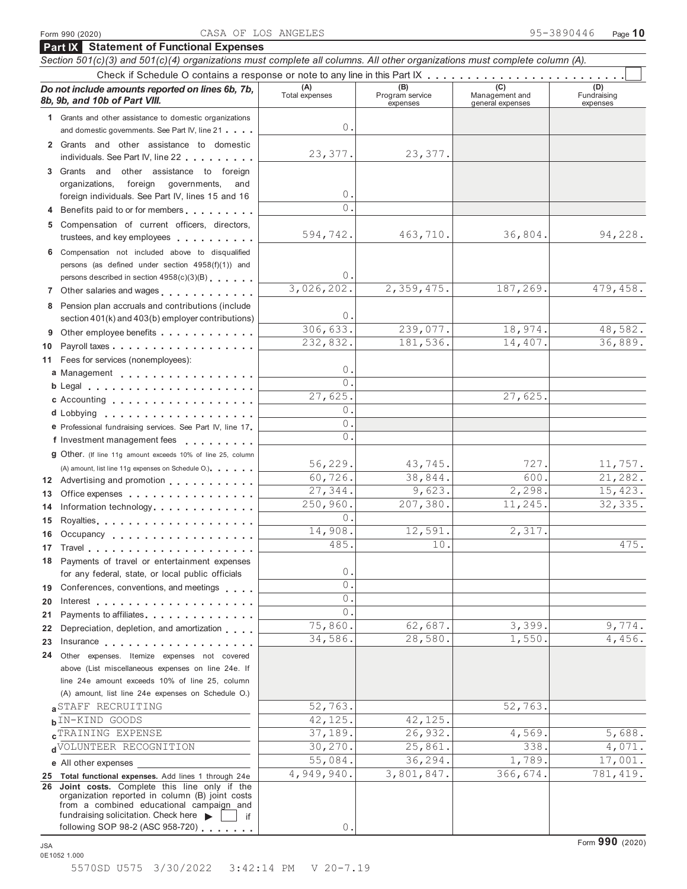**Part IX Statement of Functional Expenses**

### *Section 501(c)(3) and 501(c)(4) organizations must complete all columns. All other organizations must complete column (A).* Check if Schedule O contains a response or note to any line in this Part IX . . . . . . . . . . . . . . *Do not include amounts reported on lines 6b, 7b,* **(A) (A) (B) (B) (B) (B) (B)** 8b, 9b, and 10b of Part VIII. expenses Management and general expenses (D)<br>Fundraising expenses **1** Grants and other assistance to domestic organizations and domestic governments. See Part IV, line 21 . . . . **2** Grants and other assistance to domestic individuals. See Part IV, line 22 **3** Grants and other assistance to foreign organizations, foreign governments, and foreign individuals. See Part IV, lines 15 and 16 **<sup>4</sup>** Benefits paid to or for members **5** Compensation of current officers, directors, trustees, and key employees **6** Compensation not included above to disqualified persons (as defined under section 4958(f)(1)) and persons described in section 4958(c)(3)(B) **<sup>7</sup>** Other salaries and wages **8** Pension plan accruals and contributions (include section 401(k) and 403(b) employer contributions) **9** Other employee benefits **1998** Other employee benefits Payroll taxes **10** Fees for services (nonemployees): **11 12** Advertising and promotion **13** Office expenses **14** Information technology **15 16 17 18 19 20 21 22** for any federal, state, or local public officials<br> **20** Interest<br> **20** Interest<br> **21** Payments to affiliates<br> **22** Depreciation, depletion, and amortization<br> **23** Insurance **24** Other expenses. Itemize expenses not covered **a** Management **b** Legal **c** Accounting **d** Lobbying **e** Professional fundraising services. See Part IV, line 17 **F** Professional fundraising services. See Part IV, line 17<br>**f** Investment management fees **g** Other. (If line 11g amount exceeds 10% of line 25, column (A) amount, list line 11g expenses on Schedule O.) Royalties **Occupancy** Travel Payments of travel or entertainment expenses for any federal, state, or local public officials Conferences, conventions, and meetings Interest Payments to affiliates. . . . . . . . . . . . . . Depreciation, depletion, and amortization above (List miscellaneous expenses on line 24e. If line 24e amount exceeds 10% of line 25, column (A) amount, list line 24e expenses on Schedule O.) **a**STAFF RECRUITING  $\begin{bmatrix} 52, 763 \\ 4, 52 \end{bmatrix}$  52,763. **b**IN-KIND GOODS 42,125. 42,125. **c** TRAINING EXPENSE 37,189. 26,932. 4,569. 5,688. **d d**VOLUNTEER
RECOGNITION  $\begin{bmatrix} 30,270 \\ -25,861. \end{bmatrix}$   $\begin{bmatrix} 25,861. \end{bmatrix}$   $\begin{bmatrix} 338. \end{bmatrix}$   $\begin{bmatrix} 4,071. \end{bmatrix}$ **e** All other expenses **25 Total functional expenses.** Add lines 1 through 24e **26 Joint costs.** Complete this line only if the organization reported in column (B) joint costs from a combined educational campaign and from a combined educational campaign and<br>fundraising solicitation. Check here ► if if<br>following SOP 98-2 (ASC 958-720)  $\Omega$ 23,377. 23,377.  $\Omega$ 0. 594,742. 463,710. 36,804. 94,228.  $\Omega$ 3,026,202. 2,359,475. 187,269. 479,458.  $\bigcap$ 306,633. 239,077. 18,974. 48,582. 232,832. 181,536. 14,407. 36,889.  $\Omega$  $\overline{0}$ . 27,625.  $\Omega$ . 0.  $\overline{0}$ . 56,229. 43,745. 727. 11,757. 60,726. 38,844. 600. 21,282. 27,344. 9,623. 2,298. 15,423. 250,960. 207,380. 11,245. 32,335.  $\circ$ 14,908. 12,591. 2,317. 485. **10.** 10. **475.** 0.  $\overline{0}$ .  $\overline{0}$  $\overline{0}$ . 75,860. 62,687. 3,399. 9,774. 34,586. 28,580. 1,550. 4,456. 55,084. 36,294. 1,789. 17,001. 4,949,940. 3,801,847. 366,674. 781,419. 0.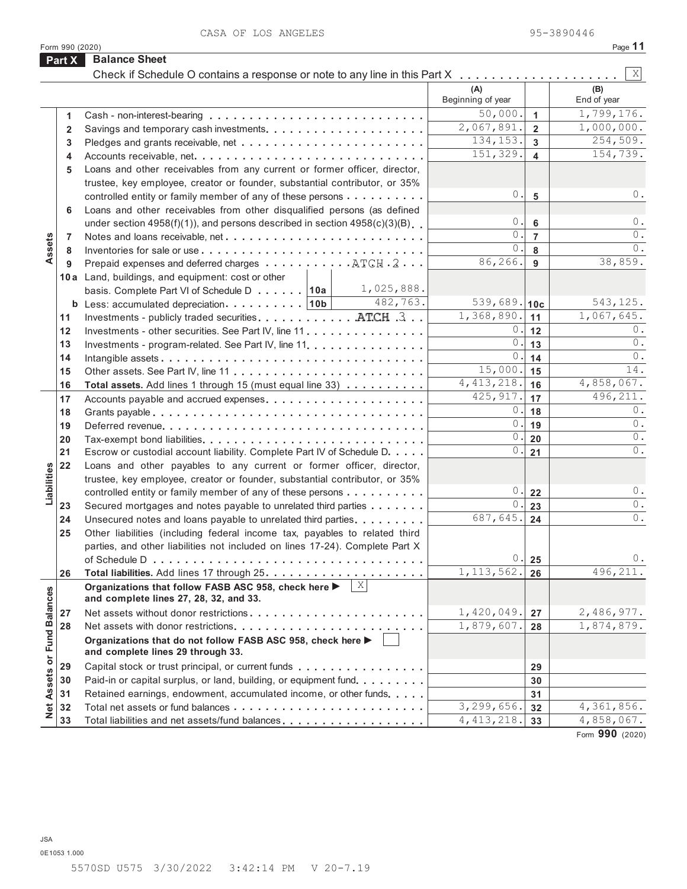CASA OF LOS ANGELES 95-3890446

|                             | Form 990 (2020) |                                                                                                               |                                            |                | Page 11                               |
|-----------------------------|-----------------|---------------------------------------------------------------------------------------------------------------|--------------------------------------------|----------------|---------------------------------------|
|                             | Part X          | <b>Balance Sheet</b>                                                                                          |                                            |                |                                       |
|                             |                 |                                                                                                               | (A)                                        |                | $\vert X \vert$<br>(B)<br>End of year |
|                             |                 |                                                                                                               | Beginning of year<br>$\overline{50,000}$ . |                | 1,799,176.                            |
|                             | 1               |                                                                                                               | 2,067,891.                                 | $\mathbf{1}$   | 1,000,000.                            |
|                             | $\overline{2}$  |                                                                                                               | 134, 153.                                  | $\overline{2}$ | 254,509.                              |
|                             | 3               |                                                                                                               | 151,329.                                   | $\mathbf{3}$   | 154,739.                              |
|                             | 4               | Accounts receivable, net                                                                                      |                                            | $\overline{4}$ |                                       |
|                             | 5               | Loans and other receivables from any current or former officer, director,                                     |                                            |                |                                       |
|                             |                 | trustee, key employee, creator or founder, substantial contributor, or 35%                                    |                                            |                |                                       |
|                             |                 | controlled entity or family member of any of these persons                                                    | 0.                                         | 5              | $0$ .                                 |
|                             | 6               | Loans and other receivables from other disqualified persons (as defined                                       |                                            |                |                                       |
|                             |                 | under section $4958(f)(1)$ , and persons described in section $4958(c)(3)(B)$ .                               | 0.                                         | 6              | $0$ .                                 |
| Assets                      | $\overline{7}$  | Notes and loans receivable, net                                                                               | $\mathbf 0$ .                              | $\overline{7}$ | $0$ .                                 |
|                             | 8               |                                                                                                               | $\Omega$ .                                 | 8              | $0$ .                                 |
|                             | 9               | Prepaid expenses and deferred charges ATCH . 2                                                                | 86, 266.                                   | 9              | 38,859.                               |
|                             |                 | 10a Land, buildings, and equipment: cost or other                                                             |                                            |                |                                       |
|                             |                 | 1,025,888.<br>basis. Complete Part VI of Schedule D 10a                                                       |                                            |                |                                       |
|                             |                 | 482,763.<br><b>b</b> Less: accumulated depreciation. 10b                                                      | 539,689. 10c                               |                | 543,125.                              |
|                             | 11              | Investments - publicly traded securities. ATCH .3.                                                            | 1,368,890.                                 | 11             | 1,067,645.                            |
|                             | 12              | Investments - other securities. See Part IV, line 11.                                                         | 0.                                         | 12             | 0.                                    |
|                             | 13              | Investments - program-related. See Part IV, line 11.                                                          | $\circ$ .                                  | 13             | $0$ .                                 |
|                             | 14              |                                                                                                               | 0.                                         | 14             | 0.                                    |
|                             | 15              |                                                                                                               | 15,000.                                    | 15             | 14.                                   |
|                             | 16              | Total assets. Add lines 1 through 15 (must equal line 33)                                                     | 4, 413, 218.                               | 16             | 4,858,067.                            |
|                             | 17              | Accounts payable and accrued expenses                                                                         | 425, 917.                                  | 17             | 496,211.                              |
|                             | 18              |                                                                                                               | 0.                                         | 18             | 0.                                    |
|                             | 19              |                                                                                                               | $\mathbf 0$ .                              | 19             | $0$ .                                 |
|                             | 20              |                                                                                                               | $\circ$ .                                  | 20             | $0$ .                                 |
|                             | 21              | Escrow or custodial account liability. Complete Part IV of Schedule D.                                        | 0.                                         | 21             | $0$ .                                 |
|                             | 22              | Loans and other payables to any current or former officer, director,                                          |                                            |                |                                       |
|                             |                 | trustee, key employee, creator or founder, substantial contributor, or 35%                                    |                                            |                |                                       |
| Liabilities                 |                 | controlled entity or family member of any of these persons                                                    | $0$ .                                      | 22             | 0.                                    |
|                             | 23              | Secured mortgages and notes payable to unrelated third parties                                                | $0$ .                                      | 23             | $0$ .                                 |
|                             | 24              | Unsecured notes and loans payable to unrelated third parties.                                                 | 687,645.                                   | 24             | $0$ .                                 |
|                             | 25              | Other liabilities (including federal income tax, payables to related third                                    |                                            |                |                                       |
|                             |                 | parties, and other liabilities not included on lines 17-24). Complete Part X                                  |                                            |                |                                       |
|                             |                 |                                                                                                               | 0.                                         | 25             | $0$ .                                 |
|                             | 26              |                                                                                                               | 1, 113, 562.                               | 26             | 496, 211.                             |
|                             |                 | $\mathbf X$<br>Organizations that follow FASB ASC 958, check here ▶<br>and complete lines 27, 28, 32, and 33. |                                            |                |                                       |
|                             | 27              |                                                                                                               | 1,420,049.                                 | 27             | 2,486,977.                            |
|                             | 28              |                                                                                                               | 1,879,607.                                 | 28             | 1,874,879.                            |
| Net Assets or Fund Balances |                 | Organizations that do not follow FASB ASC 958, check here ▶<br>and complete lines 29 through 33.              |                                            |                |                                       |
|                             | 29              | Capital stock or trust principal, or current funds                                                            |                                            | 29             |                                       |
|                             | 30              | Paid-in or capital surplus, or land, building, or equipment fund.                                             |                                            | 30             |                                       |
|                             | 31              | Retained earnings, endowment, accumulated income, or other funds                                              |                                            | 31             |                                       |
|                             | 32              |                                                                                                               | 3,299,656.                                 | 32             | 4,361,856.                            |
|                             | 33              | Total liabilities and net assets/fund balances                                                                | 4, 413, 218.                               | 33             | 4,858,067.                            |

Form **990** (2020)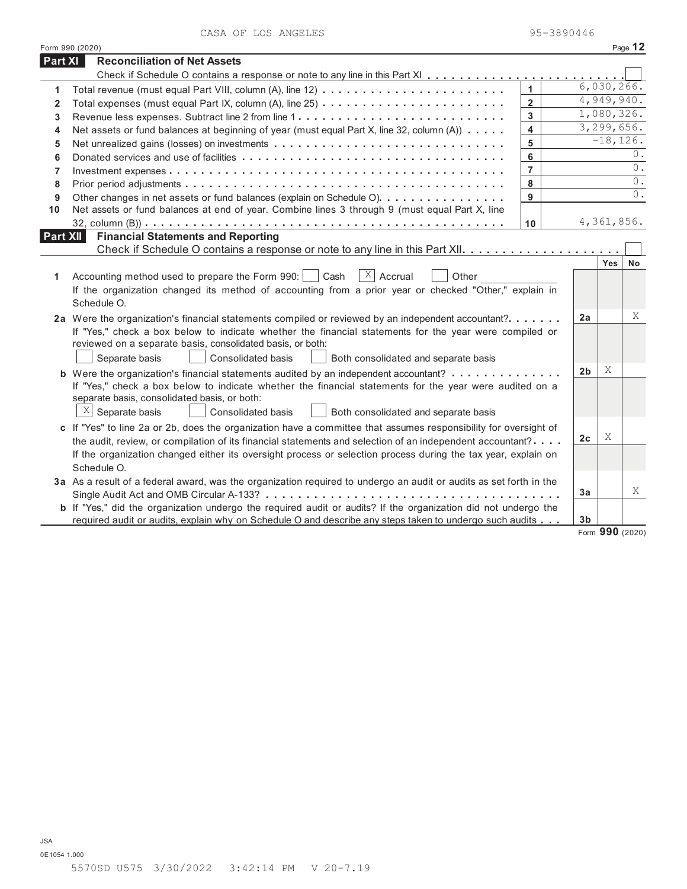|                | Form 990 (2020)                                                                                                       |                         |                |              | Page 12          |
|----------------|-----------------------------------------------------------------------------------------------------------------------|-------------------------|----------------|--------------|------------------|
| Part XI        | <b>Reconciliation of Net Assets</b>                                                                                   |                         |                |              |                  |
|                |                                                                                                                       |                         |                |              |                  |
| 1              |                                                                                                                       | $\mathbf{1}$            |                | 6,030,266.   |                  |
| $\overline{2}$ |                                                                                                                       | $\overline{\mathbf{2}}$ |                | 4,949,940.   |                  |
| 3              |                                                                                                                       | 3                       |                | 1,080,326.   |                  |
| 4              | Net assets or fund balances at beginning of year (must equal Part X, line 32, column (A))                             | 4                       |                | 3, 299, 656. |                  |
| 5              |                                                                                                                       | 5                       |                | $-18, 126.$  |                  |
| 6              |                                                                                                                       | 6                       |                |              | 0.               |
| $\overline{7}$ |                                                                                                                       | $\overline{7}$          |                |              | $\overline{0}$ . |
| 8              |                                                                                                                       | 8                       |                |              | $0$ .            |
| 9              | Other changes in net assets or fund balances (explain on Schedule O)                                                  | 9                       |                |              | 0.               |
| 10             | Net assets or fund balances at end of year. Combine lines 3 through 9 (must equal Part X, line                        |                         |                |              |                  |
|                |                                                                                                                       | 10                      |                | 4,361,856.   |                  |
| Part XII       | <b>Financial Statements and Reporting</b>                                                                             |                         |                |              |                  |
|                |                                                                                                                       |                         |                |              |                  |
|                |                                                                                                                       |                         |                | <b>Yes</b>   | No               |
| 1              | $X$ Accrual<br>Accounting method used to prepare the Form 990:  <br>Cash<br>Other                                     |                         |                |              |                  |
|                | If the organization changed its method of accounting from a prior year or checked "Other," explain in                 |                         |                |              |                  |
|                | Schedule O.                                                                                                           |                         |                |              |                  |
|                | 2a Were the organization's financial statements compiled or reviewed by an independent accountant?                    |                         | 2a             |              | X                |
|                | If "Yes," check a box below to indicate whether the financial statements for the year were compiled or                |                         |                |              |                  |
|                | reviewed on a separate basis, consolidated basis, or both:                                                            |                         |                |              |                  |
|                | Separate basis<br>Consolidated basis<br>Both consolidated and separate basis                                          |                         |                |              |                  |
|                | <b>b</b> Were the organization's financial statements audited by an independent accountant?                           |                         | 2 <sub>b</sub> | Χ            |                  |
|                | If "Yes," check a box below to indicate whether the financial statements for the year were audited on a               |                         |                |              |                  |
|                | separate basis, consolidated basis, or both:                                                                          |                         |                |              |                  |
|                | $X$ Separate basis<br>Consolidated basis<br>Both consolidated and separate basis                                      |                         |                |              |                  |
|                | c If "Yes" to line 2a or 2b, does the organization have a committee that assumes responsibility for oversight of      |                         |                |              |                  |
|                | the audit, review, or compilation of its financial statements and selection of an independent accountant?             |                         | 2 <sub>c</sub> | Χ            |                  |
|                | If the organization changed either its oversight process or selection process during the tax year, explain on         |                         |                |              |                  |
|                | Schedule O.                                                                                                           |                         |                |              |                  |
|                | 3a As a result of a federal award, was the organization required to undergo an audit or audits as set forth in the    |                         |                |              |                  |
|                |                                                                                                                       |                         | 3a             |              | X                |
|                | <b>b</b> If "Yes," did the organization undergo the required audit or audits? If the organization did not undergo the |                         |                |              |                  |
|                | required audit or audits, explain why on Schedule O and describe any steps taken to undergo such audits               |                         | 3b             |              |                  |
|                |                                                                                                                       |                         |                |              | Form 990 (2020)  |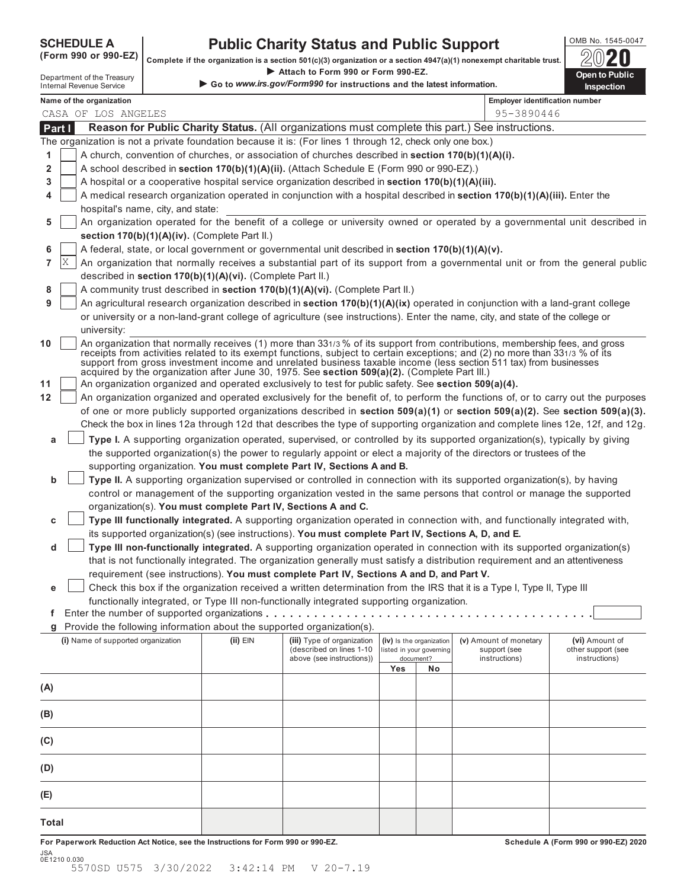SCHEDULE A Public Charity Status and Public Support<br>(Form 990 or 990-EZ) complete if the organization is a section 501(c)(3) organization or a section 4947(a)(1) nonexempt charitable trust.

|        | $($ LOLIU aan ol aan-FT)           |                                                            |                                                                                                           |     |                                                      | Complete if the organization is a section 501(c)(3) organization or a section 4947(a)(1) nonexempt charitable trust.                                                                                                                                                                                                                                                            | ZU                                                                                                                                  |
|--------|------------------------------------|------------------------------------------------------------|-----------------------------------------------------------------------------------------------------------|-----|------------------------------------------------------|---------------------------------------------------------------------------------------------------------------------------------------------------------------------------------------------------------------------------------------------------------------------------------------------------------------------------------------------------------------------------------|-------------------------------------------------------------------------------------------------------------------------------------|
|        | Department of the Treasury         |                                                            | Attach to Form 990 or Form 990-EZ.                                                                        |     |                                                      |                                                                                                                                                                                                                                                                                                                                                                                 | <b>Open to Public</b>                                                                                                               |
|        | <b>Internal Revenue Service</b>    |                                                            | Go to www.irs.gov/Form990 for instructions and the latest information.                                    |     |                                                      |                                                                                                                                                                                                                                                                                                                                                                                 | <b>Inspection</b>                                                                                                                   |
|        | Name of the organization           |                                                            |                                                                                                           |     |                                                      | <b>Employer identification number</b>                                                                                                                                                                                                                                                                                                                                           |                                                                                                                                     |
|        | CASA OF LOS ANGELES                |                                                            |                                                                                                           |     |                                                      | 95-3890446                                                                                                                                                                                                                                                                                                                                                                      |                                                                                                                                     |
| Part I |                                    |                                                            |                                                                                                           |     |                                                      | Reason for Public Charity Status. (All organizations must complete this part.) See instructions.                                                                                                                                                                                                                                                                                |                                                                                                                                     |
|        |                                    |                                                            | The organization is not a private foundation because it is: (For lines 1 through 12, check only one box.) |     |                                                      |                                                                                                                                                                                                                                                                                                                                                                                 |                                                                                                                                     |
| 1      |                                    |                                                            | A church, convention of churches, or association of churches described in section $170(b)(1)(A)(i)$ .     |     |                                                      |                                                                                                                                                                                                                                                                                                                                                                                 |                                                                                                                                     |
| 2      |                                    |                                                            | A school described in section 170(b)(1)(A)(ii). (Attach Schedule E (Form 990 or 990-EZ).)                 |     |                                                      |                                                                                                                                                                                                                                                                                                                                                                                 |                                                                                                                                     |
| 3      |                                    |                                                            | A hospital or a cooperative hospital service organization described in section 170(b)(1)(A)(iii).         |     |                                                      |                                                                                                                                                                                                                                                                                                                                                                                 |                                                                                                                                     |
| 4      | hospital's name, city, and state:  |                                                            |                                                                                                           |     |                                                      | A medical research organization operated in conjunction with a hospital described in section 170(b)(1)(A)(iii). Enter the                                                                                                                                                                                                                                                       |                                                                                                                                     |
| 5      |                                    |                                                            |                                                                                                           |     |                                                      |                                                                                                                                                                                                                                                                                                                                                                                 | An organization operated for the benefit of a college or university owned or operated by a governmental unit described in           |
|        |                                    | section 170(b)(1)(A)(iv). (Complete Part II.)              |                                                                                                           |     |                                                      |                                                                                                                                                                                                                                                                                                                                                                                 |                                                                                                                                     |
| 6      |                                    |                                                            | A federal, state, or local government or governmental unit described in section 170(b)(1)(A)(v).          |     |                                                      |                                                                                                                                                                                                                                                                                                                                                                                 |                                                                                                                                     |
| 7      | X                                  |                                                            |                                                                                                           |     |                                                      |                                                                                                                                                                                                                                                                                                                                                                                 | An organization that normally receives a substantial part of its support from a governmental unit or from the general public        |
|        |                                    | described in section 170(b)(1)(A)(vi). (Complete Part II.) |                                                                                                           |     |                                                      |                                                                                                                                                                                                                                                                                                                                                                                 |                                                                                                                                     |
| 8      |                                    |                                                            | A community trust described in section 170(b)(1)(A)(vi). (Complete Part II.)                              |     |                                                      |                                                                                                                                                                                                                                                                                                                                                                                 |                                                                                                                                     |
| 9      |                                    |                                                            |                                                                                                           |     |                                                      | An agricultural research organization described in section 170(b)(1)(A)(ix) operated in conjunction with a land-grant college                                                                                                                                                                                                                                                   |                                                                                                                                     |
|        | university:                        |                                                            |                                                                                                           |     |                                                      | or university or a non-land-grant college of agriculture (see instructions). Enter the name, city, and state of the college or                                                                                                                                                                                                                                                  |                                                                                                                                     |
| 10     |                                    |                                                            | acquired by the organization after June 30, 1975. See section 509(a)(2). (Complete Part III.)             |     |                                                      | An organization that normally receives (1) more than 331/3 % of its support from contributions, membership fees, and gross<br>receipts from activities related to its exempt functions, subject to certain exceptions; and (2) no more than 331/3 % of its<br>support from gross investment income and unrelated business taxable income (less section 511 tax) from businesses |                                                                                                                                     |
| 11     |                                    |                                                            | An organization organized and operated exclusively to test for public safety. See section 509(a)(4).      |     |                                                      |                                                                                                                                                                                                                                                                                                                                                                                 |                                                                                                                                     |
| 12     |                                    |                                                            |                                                                                                           |     |                                                      |                                                                                                                                                                                                                                                                                                                                                                                 | An organization organized and operated exclusively for the benefit of, to perform the functions of, or to carry out the purposes    |
|        |                                    |                                                            |                                                                                                           |     |                                                      |                                                                                                                                                                                                                                                                                                                                                                                 | of one or more publicly supported organizations described in section $509(a)(1)$ or section $509(a)(2)$ . See section $509(a)(3)$ . |
|        |                                    |                                                            |                                                                                                           |     |                                                      |                                                                                                                                                                                                                                                                                                                                                                                 | Check the box in lines 12a through 12d that describes the type of supporting organization and complete lines 12e, 12f, and 12g.     |
| a      |                                    |                                                            |                                                                                                           |     |                                                      | Type I. A supporting organization operated, supervised, or controlled by its supported organization(s), typically by giving                                                                                                                                                                                                                                                     |                                                                                                                                     |
|        |                                    |                                                            |                                                                                                           |     |                                                      | the supported organization(s) the power to regularly appoint or elect a majority of the directors or trustees of the                                                                                                                                                                                                                                                            |                                                                                                                                     |
|        |                                    |                                                            | supporting organization. You must complete Part IV, Sections A and B.                                     |     |                                                      |                                                                                                                                                                                                                                                                                                                                                                                 |                                                                                                                                     |
| b      |                                    |                                                            |                                                                                                           |     |                                                      | Type II. A supporting organization supervised or controlled in connection with its supported organization(s), by having                                                                                                                                                                                                                                                         |                                                                                                                                     |
|        |                                    |                                                            |                                                                                                           |     |                                                      | control or management of the supporting organization vested in the same persons that control or manage the supported                                                                                                                                                                                                                                                            |                                                                                                                                     |
|        |                                    |                                                            | organization(s). You must complete Part IV, Sections A and C.                                             |     |                                                      |                                                                                                                                                                                                                                                                                                                                                                                 |                                                                                                                                     |
| c      |                                    |                                                            |                                                                                                           |     |                                                      | Type III functionally integrated. A supporting organization operated in connection with, and functionally integrated with,                                                                                                                                                                                                                                                      |                                                                                                                                     |
|        |                                    |                                                            | its supported organization(s) (see instructions). You must complete Part IV, Sections A, D, and E.        |     |                                                      |                                                                                                                                                                                                                                                                                                                                                                                 |                                                                                                                                     |
| d      |                                    |                                                            |                                                                                                           |     |                                                      | Type III non-functionally integrated. A supporting organization operated in connection with its supported organization(s)                                                                                                                                                                                                                                                       |                                                                                                                                     |
|        |                                    |                                                            |                                                                                                           |     |                                                      | that is not functionally integrated. The organization generally must satisfy a distribution requirement and an attentiveness                                                                                                                                                                                                                                                    |                                                                                                                                     |
|        |                                    |                                                            | requirement (see instructions). You must complete Part IV, Sections A and D, and Part V.                  |     |                                                      |                                                                                                                                                                                                                                                                                                                                                                                 |                                                                                                                                     |
| е      |                                    |                                                            |                                                                                                           |     |                                                      | Check this box if the organization received a written determination from the IRS that it is a Type I, Type II, Type III                                                                                                                                                                                                                                                         |                                                                                                                                     |
|        |                                    |                                                            | functionally integrated, or Type III non-functionally integrated supporting organization.                 |     |                                                      |                                                                                                                                                                                                                                                                                                                                                                                 |                                                                                                                                     |
| f.     |                                    |                                                            |                                                                                                           |     |                                                      |                                                                                                                                                                                                                                                                                                                                                                                 |                                                                                                                                     |
|        |                                    |                                                            | Provide the following information about the supported organization(s).                                    |     |                                                      |                                                                                                                                                                                                                                                                                                                                                                                 |                                                                                                                                     |
|        | (i) Name of supported organization | (ii) EIN                                                   | (iii) Type of organization<br>(described on lines 1-10                                                    |     | (iv) Is the organization<br>listed in your governing | (v) Amount of monetary<br>support (see                                                                                                                                                                                                                                                                                                                                          | (vi) Amount of<br>other support (see                                                                                                |
|        |                                    |                                                            | above (see instructions))                                                                                 |     | document?                                            | instructions)                                                                                                                                                                                                                                                                                                                                                                   | instructions)                                                                                                                       |
|        |                                    |                                                            |                                                                                                           | Yes | No                                                   |                                                                                                                                                                                                                                                                                                                                                                                 |                                                                                                                                     |
| (A)    |                                    |                                                            |                                                                                                           |     |                                                      |                                                                                                                                                                                                                                                                                                                                                                                 |                                                                                                                                     |
| (B)    |                                    |                                                            |                                                                                                           |     |                                                      |                                                                                                                                                                                                                                                                                                                                                                                 |                                                                                                                                     |
| (C)    |                                    |                                                            |                                                                                                           |     |                                                      |                                                                                                                                                                                                                                                                                                                                                                                 |                                                                                                                                     |
| (D)    |                                    |                                                            |                                                                                                           |     |                                                      |                                                                                                                                                                                                                                                                                                                                                                                 |                                                                                                                                     |
| (E)    |                                    |                                                            |                                                                                                           |     |                                                      |                                                                                                                                                                                                                                                                                                                                                                                 |                                                                                                                                     |
| Total  |                                    |                                                            |                                                                                                           |     |                                                      |                                                                                                                                                                                                                                                                                                                                                                                 |                                                                                                                                     |
|        |                                    |                                                            |                                                                                                           |     |                                                      |                                                                                                                                                                                                                                                                                                                                                                                 |                                                                                                                                     |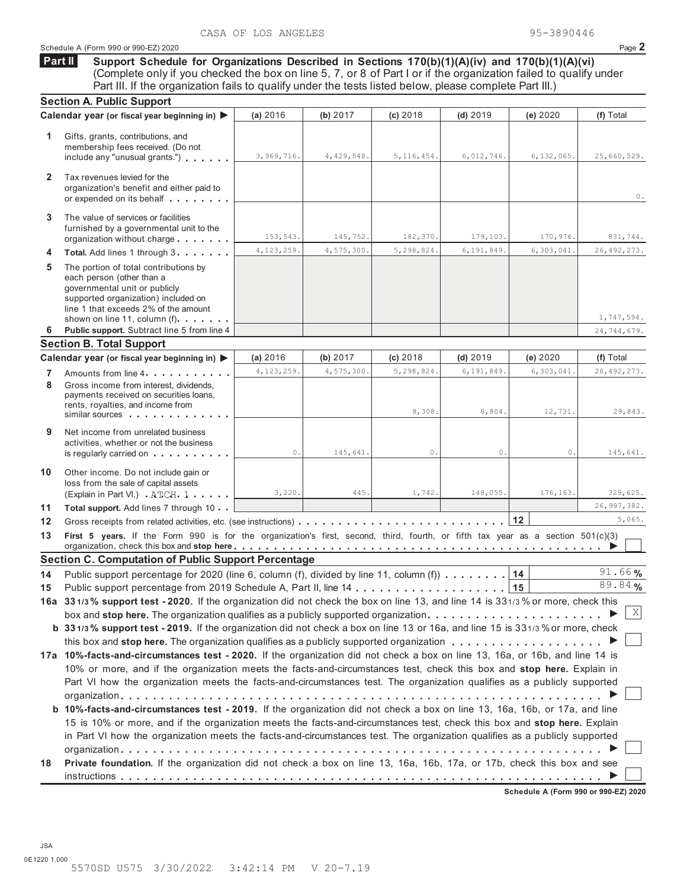## Schedule A (Form 990 or 990-EZ) 2020 Page **2**

**Support Schedule for Organizations Described in Sections 170(b)(1)(A)(iv) and 170(b)(1)(A)(vi)** (Complete only if you checked the box on line 5, 7, or 8 of Part I or if the organization failed to qualify under Part III. If the organization fails to qualify under the tests listed below, please complete Part III.) **Part II**

|              | <b>Section A. Public Support</b>                                                                                                                                                   |              |            |              |                |              |               |
|--------------|------------------------------------------------------------------------------------------------------------------------------------------------------------------------------------|--------------|------------|--------------|----------------|--------------|---------------|
|              | Calendar year (or fiscal year beginning in) ▶                                                                                                                                      | (a) 2016     | (b) 2017   | (c) 2018     | $(d)$ 2019     | (e) 2020     | (f) Total     |
| 1.           | Gifts, grants, contributions, and<br>membership fees received. (Do not<br>include any "unusual grants.") $\ldots$                                                                  | 3,969,716.   | 4,429,548. | 5, 116, 454. | 6,012,746.     | 6, 132, 065. | 25,660,529.   |
| $\mathbf{2}$ | Tax revenues levied for the<br>organization's benefit and either paid to<br>or expended on its behalf                                                                              |              |            |              |                |              | $\circ$ .     |
| 3            | The value of services or facilities<br>furnished by a governmental unit to the<br>organization without charge                                                                      | 153,543.     | 145,752.   | 182,370.     | 179,103.       | 170,976.     | 831,744.      |
| 4            | Total. Add lines 1 through 3.                                                                                                                                                      | 4, 123, 259. | 4,575,300. | 5,298,824.   | 6,191,849.     | 6,303,041    | 26, 492, 273. |
| 5            | The portion of total contributions by<br>each person (other than a<br>governmental unit or publicly<br>supported organization) included on<br>line 1 that exceeds 2% of the amount |              |            |              |                |              |               |
|              | shown on line 11, column $(f)$ ,                                                                                                                                                   |              |            |              |                |              | 1,747,594.    |
| 6            | Public support. Subtract line 5 from line 4                                                                                                                                        |              |            |              |                |              | 24,744,679.   |
|              | <b>Section B. Total Support</b><br>Calendar year (or fiscal year beginning in)                                                                                                     | (a) 2016     | (b) 2017   | $(c)$ 2018   | $(d)$ 2019     | (e) 2020     | (f) Total     |
|              |                                                                                                                                                                                    | 4,123,259.   | 4,575,300  | 5,298,824.   | 6,191,849      | 6,303,041    | 26, 492, 273. |
| 7<br>8       | Amounts from line 4<br>Gross income from interest, dividends,<br>payments received on securities loans,<br>rents, royalties, and income from<br>similar sources                    |              |            | 8,308        | 8,804.         | 12,731.      | 29,843.       |
| 9            | Net income from unrelated business<br>activities, whether or not the business<br>is regularly carried on                                                                           | 0.           | 145,641.   | 0.           | $\mathbf{0}$ . | 0.           | 145,641.      |
| 10           | Other income. Do not include gain or<br>loss from the sale of capital assets<br>(Explain in Part VI.) ATCH 1                                                                       | 3,220.       | 445.       | 1,742.       | 148,055.       | 176,163.     | 329,625.      |
| 11           | Total support. Add lines 7 through 10                                                                                                                                              |              |            |              |                |              | 26,997,382.   |
| 12           |                                                                                                                                                                                    |              |            |              |                | 12           | 5,065.        |
| 13           | First 5 years. If the Form 990 is for the organization's first, second, third, fourth, or fifth tax year as a section 501(c)(3)                                                    |              |            |              |                |              |               |
|              | <b>Section C. Computation of Public Support Percentage</b>                                                                                                                         |              |            |              |                |              |               |
| 14           | Public support percentage for 2020 (line 6, column (f), divided by line 11, column (f)                                                                                             |              |            |              |                | 14           | 91.66%        |
| 15           |                                                                                                                                                                                    |              |            |              |                | 15           | 89.84%        |
|              | 16a 331/3% support test - 2020. If the organization did not check the box on line 13, and line 14 is 331/3% or more, check this                                                    |              |            |              |                |              |               |
|              | box and stop here. The organization qualifies as a publicly supported organization $\ldots$ ,                                                                                      |              |            |              |                |              | $\,$ X        |
|              | b 331/3% support test - 2019. If the organization did not check a box on line 13 or 16a, and line 15 is 331/3% or more, check                                                      |              |            |              |                |              |               |
|              |                                                                                                                                                                                    |              |            |              |                |              |               |
|              | 17a 10%-facts-and-circumstances test - 2020. If the organization did not check a box on line 13, 16a, or 16b, and line 14 is                                                       |              |            |              |                |              |               |
|              | 10% or more, and if the organization meets the facts-and-circumstances test, check this box and stop here. Explain in                                                              |              |            |              |                |              |               |
|              | Part VI how the organization meets the facts-and-circumstances test. The organization qualifies as a publicly supported                                                            |              |            |              |                |              |               |
|              |                                                                                                                                                                                    |              |            |              |                |              |               |
|              | b 10%-facts-and-circumstances test - 2019. If the organization did not check a box on line 13, 16a, 16b, or 17a, and line                                                          |              |            |              |                |              |               |
|              | 15 is 10% or more, and if the organization meets the facts-and-circumstances test, check this box and stop here. Explain                                                           |              |            |              |                |              |               |
|              | in Part VI how the organization meets the facts-and-circumstances test. The organization qualifies as a publicly supported                                                         |              |            |              |                |              |               |
|              |                                                                                                                                                                                    |              |            |              |                |              |               |
| 18           | Private foundation. If the organization did not check a box on line 13, 16a, 16b, 17a, or 17b, check this box and see                                                              |              |            |              |                |              |               |
|              |                                                                                                                                                                                    |              |            |              |                |              |               |

**Schedule A (Form 990 or 990-EZ) 2020**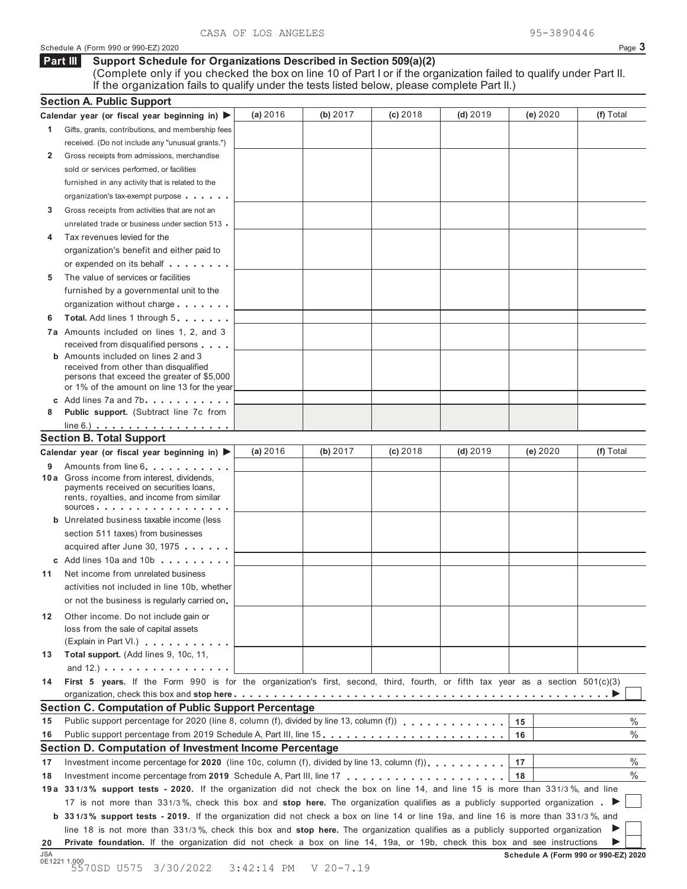## Schedule A (Form 990 or 990-EZ) 2020 Page **3**

### **Support Schedule for Organizations Described in Section 509(a)(2) Part III**

(Complete only if you checked the box on line 10 of Part I or if the organization failed to qualify under Part II. If the organization fails to qualify under the tests listed below, please complete Part II.)

|     | <b>Section A. Public Support</b>                                                                                                              |          |          |            |            |                                      |           |
|-----|-----------------------------------------------------------------------------------------------------------------------------------------------|----------|----------|------------|------------|--------------------------------------|-----------|
|     | Calendar year (or fiscal year beginning in) ▶                                                                                                 | (a) 2016 | (b) 2017 | $(c)$ 2018 | $(d)$ 2019 | (e) 2020                             | (f) Total |
| 1.  | Gifts, grants, contributions, and membership fees                                                                                             |          |          |            |            |                                      |           |
|     | received. (Do not include any "unusual grants.")                                                                                              |          |          |            |            |                                      |           |
| 2   | Gross receipts from admissions, merchandise                                                                                                   |          |          |            |            |                                      |           |
|     | sold or services performed, or facilities                                                                                                     |          |          |            |            |                                      |           |
|     | furnished in any activity that is related to the                                                                                              |          |          |            |            |                                      |           |
|     | organization's tax-exempt purpose                                                                                                             |          |          |            |            |                                      |           |
| 3   | Gross receipts from activities that are not an                                                                                                |          |          |            |            |                                      |           |
|     | unrelated trade or business under section 513.                                                                                                |          |          |            |            |                                      |           |
| 4   | Tax revenues levied for the                                                                                                                   |          |          |            |            |                                      |           |
|     | organization's benefit and either paid to                                                                                                     |          |          |            |            |                                      |           |
|     | or expended on its behalf                                                                                                                     |          |          |            |            |                                      |           |
| 5   | The value of services or facilities                                                                                                           |          |          |            |            |                                      |           |
|     | furnished by a governmental unit to the                                                                                                       |          |          |            |            |                                      |           |
|     | organization without charge                                                                                                                   |          |          |            |            |                                      |           |
| 6   | Total. Add lines 1 through 5                                                                                                                  |          |          |            |            |                                      |           |
|     | 7a Amounts included on lines 1, 2, and 3                                                                                                      |          |          |            |            |                                      |           |
|     | received from disqualified persons                                                                                                            |          |          |            |            |                                      |           |
|     | <b>b</b> Amounts included on lines 2 and 3                                                                                                    |          |          |            |            |                                      |           |
|     | received from other than disqualified<br>persons that exceed the greater of \$5,000                                                           |          |          |            |            |                                      |           |
|     | or 1% of the amount on line 13 for the year                                                                                                   |          |          |            |            |                                      |           |
|     | c Add lines $7a$ and $7b$                                                                                                                     |          |          |            |            |                                      |           |
| 8   | Public support. (Subtract line 7c from                                                                                                        |          |          |            |            |                                      |           |
|     | $line 6.)$                                                                                                                                    |          |          |            |            |                                      |           |
|     | <b>Section B. Total Support</b>                                                                                                               |          |          |            |            |                                      |           |
|     | Calendar year (or fiscal year beginning in) $\blacktriangleright$                                                                             | (a) 2016 | (b) 2017 | $(c)$ 2018 | (d) $2019$ | (e) 2020                             | (f) Total |
| 9   | Amounts from line 6.                                                                                                                          |          |          |            |            |                                      |           |
|     | 10 a Gross income from interest, dividends,                                                                                                   |          |          |            |            |                                      |           |
|     | payments received on securities loans,<br>rents, royalties, and income from similar                                                           |          |          |            |            |                                      |           |
|     | SOUTCES $\cdots$ $\cdots$ $\cdots$                                                                                                            |          |          |            |            |                                      |           |
|     | <b>b</b> Unrelated business taxable income (less                                                                                              |          |          |            |            |                                      |           |
|     | section 511 taxes) from businesses                                                                                                            |          |          |            |            |                                      |           |
|     | acquired after June 30, 1975                                                                                                                  |          |          |            |            |                                      |           |
|     | c Add lines $10a$ and $10b$                                                                                                                   |          |          |            |            |                                      |           |
| 11  | Net income from unrelated business                                                                                                            |          |          |            |            |                                      |           |
|     | activities not included in line 10b, whether                                                                                                  |          |          |            |            |                                      |           |
|     | or not the business is regularly carried on.                                                                                                  |          |          |            |            |                                      |           |
| 12  | Other income. Do not include gain or                                                                                                          |          |          |            |            |                                      |           |
|     | loss from the sale of capital assets                                                                                                          |          |          |            |            |                                      |           |
|     | (Explain in Part VI.)                                                                                                                         |          |          |            |            |                                      |           |
| 13  | Total support. (Add lines 9, 10c, 11,                                                                                                         |          |          |            |            |                                      |           |
|     | and $12.$ ) $\ldots$ $\ldots$ $\ldots$ $\ldots$ $\ldots$ $\ldots$                                                                             |          |          |            |            |                                      |           |
| 14  | First 5 years. If the Form 990 is for the organization's first, second, third, fourth, or fifth tax year as a section 501(c)(3)               |          |          |            |            |                                      |           |
|     |                                                                                                                                               |          |          |            |            |                                      |           |
| 15  | Section C. Computation of Public Support Percentage<br>Public support percentage for 2020 (line 8, column (f), divided by line 13, column (f) |          |          |            |            |                                      | $\%$      |
| 16  | Public support percentage from 2019 Schedule A, Part III, line 15.                                                                            |          |          |            |            | 15<br>16                             | %         |
|     | Section D. Computation of Investment Income Percentage                                                                                        |          |          |            |            |                                      |           |
| 17  | Investment income percentage for 2020 (line 10c, column (f), divided by line 13, column (f) $\ldots$ ,,,,,,                                   |          |          |            |            | 17                                   | %         |
| 18  |                                                                                                                                               |          |          |            |            | 18                                   | %         |
|     | 19a 331/3% support tests - 2020. If the organization did not check the box on line 14, and line 15 is more than 331/3%, and line              |          |          |            |            |                                      |           |
|     | 17 is not more than 331/3%, check this box and stop here. The organization qualifies as a publicly supported organization.                    |          |          |            |            |                                      |           |
|     | b 331/3% support tests - 2019. If the organization did not check a box on line 14 or line 19a, and line 16 is more than 331/3%, and           |          |          |            |            |                                      |           |
|     | line 18 is not more than 331/3%, check this box and stop here. The organization qualifies as a publicly supported organization                |          |          |            |            |                                      |           |
| 20  | Private foundation. If the organization did not check a box on line 14, 19a, or 19b, check this box and see instructions                      |          |          |            |            |                                      |           |
| JSA |                                                                                                                                               |          |          |            |            | Schedule A (Form 990 or 990-EZ) 2020 |           |
|     | 0E1221 1.000<br>5570SD U575 3/30/2022 3:42:14 PM V 20-7.19                                                                                    |          |          |            |            |                                      |           |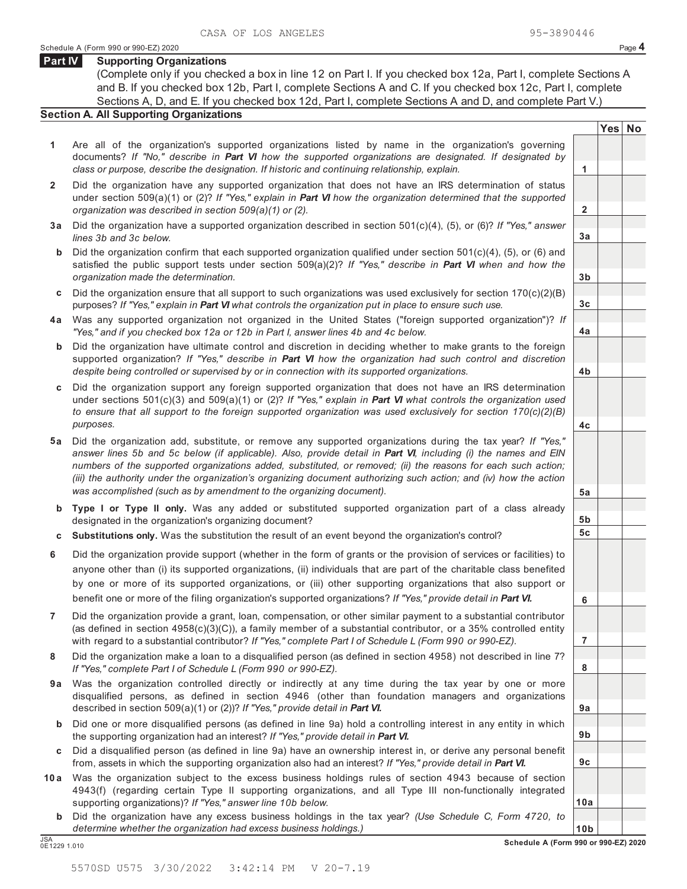**2**

**3a**

**3b**

**3c**

**4a**

**4b**

**4c**

**5a**

**5b 5c**

**6**

**7**

**8**

**9a**

**9b**

**9c**

**10a**

**Yes No**

## **Part IV Supporting Organizations**

(Complete only if you checked a box in line 12 on Part I. If you checked box 12a, Part I, complete Sections A and B. If you checked box 12b, Part I, complete Sections A and C. If you checked box 12c, Part I, complete Sections A, D, and E. If you checked box 12d, Part I, complete Sections A and D, and complete Part V.)

## **Section A. All Supporting Organizations**

- **1** Are all of the organization's supported organizations listed by name in the organization's governing documents? *If "No," describe in Part VI how the supported organizations are designated. If designated by class or purpose, describe the designation. If historic and continuing relationship, explain.* **1**
- **2** Did the organization have any supported organization that does not have an IRS determination of status under section 509(a)(1) or (2)? *If "Yes," explain in Part VI how the organization determined that the supported organization was described in section 509(a)(1) or (2).*
- **3 a** Did the organization have a supported organization described in section 501(c)(4), (5), or (6)? *If "Yes," answer lines 3b and 3c below.*
- **b** Did the organization confirm that each supported organization qualified under section 501(c)(4), (5), or (6) and satisfied the public support tests under section 509(a)(2)? *If "Yes," describe in Part VI when and how the organization made the determination.*
- **c** Did the organization ensure that all support to such organizations was used exclusively for section 170(c)(2)(B) purposes? *If "Yes," explain in Part VI what controls the organization put in place to ensure such use.*
- **4 a** Was any supported organization not organized in the United States ("foreign supported organization")? *If "Yes," and if you checked box 12a or 12b in Part I, answer lines 4b and 4c below.*
- **b** Did the organization have ultimate control and discretion in deciding whether to make grants to the foreign supported organization? *If "Yes," describe in Part VI how the organization had such control and discretion despite being controlled or supervised by or in connection with its supported organizations.*
- **c** Did the organization support any foreign supported organization that does not have an IRS determination under sections 501(c)(3) and 509(a)(1) or (2)? *If "Yes," explain in Part VI what controls the organization used to ensure that all support to the foreign supported organization was used exclusively for section 170(c)(2)(B) purposes.*
- **5 a** Did the organization add, substitute, or remove any supported organizations during the tax year? *If "Yes," answer lines 5b and 5c below (if applicable). Also, provide detail in Part VI, including (i) the names and EIN numbers of the supported organizations added, substituted, or removed; (ii) the reasons for each such action; (iii) the authority under the organization's organizing document authorizing such action; and (iv) how the action was accomplished (such as by amendment to the organizing document).*
- **b Type I or Type II only.** Was any added or substituted supported organization part of a class already designated in the organization's organizing document?
- **c Substitutions only.** Was the substitution the result of an event beyond the organization's control?
- **6** Did the organization provide support (whether in the form of grants or the provision of services or facilities) to anyone other than (i) its supported organizations, (ii) individuals that are part of the charitable class benefited by one or more of its supported organizations, or (iii) other supporting organizations that also support or benefit one or more of the filing organization's supported organizations? *If "Yes," provide detail in Part VI.*
- **7** Did the organization provide a grant, loan, compensation, or other similar payment to a substantial contributor (as defined in section 4958(c)(3)(C)), a family member of a substantial contributor, or a 35% controlled entity with regard to a substantial contributor? *If "Yes," complete Part I of Schedule L (Form 990 or 990-EZ).*
- **8** Did the organization make a loan to a disqualified person (as defined in section 4958) not described in line 7? *If "Yes," complete Part I of Schedule L (Form 990 or 990-EZ).*
- **a 9** Was the organization controlled directly or indirectly at any time during the tax year by one or more disqualified persons, as defined in section 4946 (other than foundation managers and organizations described in section 509(a)(1) or (2))? *If "Yes," provide detail in Part VI.*
- **b** Did one or more disqualified persons (as defined in line 9a) hold a controlling interest in any entity in which the supporting organization had an interest? *If "Yes," provide detail in Part VI.*
- **c** Did a disqualified person (as defined in line 9a) have an ownership interest in, or derive any personal benefit from, assets in which the supporting organization also had an interest? *If "Yes," provide detail in Part VI.*
- **10 a** Was the organization subject to the excess business holdings rules of section 4943 because of section 4943(f) (regarding certain Type II supporting organizations, and all Type III non-functionally integrated supporting organizations)? *If "Yes," answer line 10b below.*
- **b** Did the organization have any excess business holdings in the tax year? *(Use Schedule C, Form 4720, to determine whether the organization had excess business holdings.)*

**10b** JSA **Schedule A (Form 990 or 990-EZ) 2020** 0E1229 1.010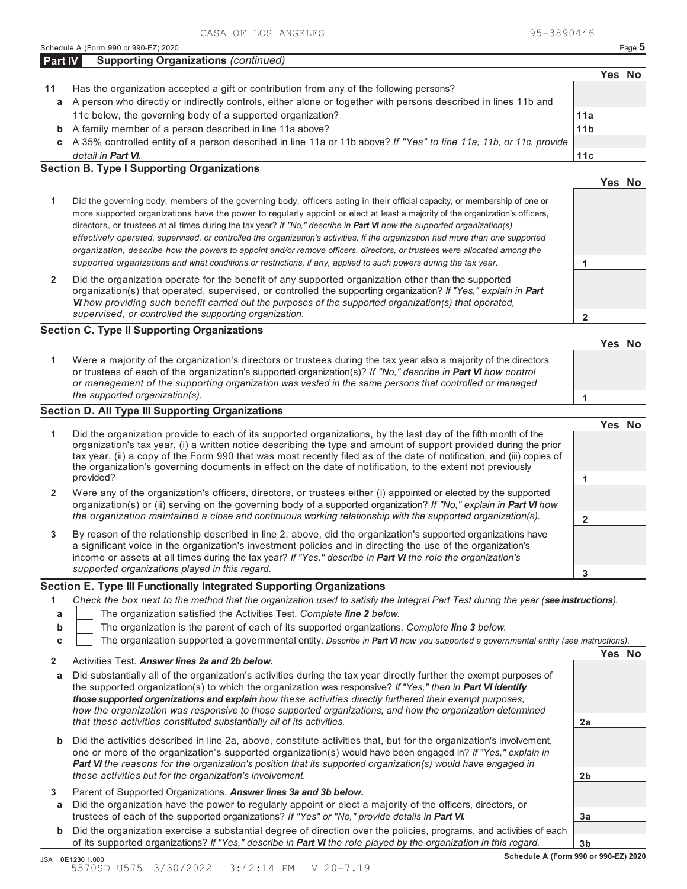A 35% controlled entity of a person described in line 11a or 11b above? *If "Yes" to line 11a, 11b, or 11c, provide detail in Part VI.* **c**

## **Section B. Type I Supporting Organizations**

|                                                                                                                                                                                                                                                                                                                                                                                                                                                                                                                                                                                                                                                                                                                                                                                 |   | Yes∣ |  |
|---------------------------------------------------------------------------------------------------------------------------------------------------------------------------------------------------------------------------------------------------------------------------------------------------------------------------------------------------------------------------------------------------------------------------------------------------------------------------------------------------------------------------------------------------------------------------------------------------------------------------------------------------------------------------------------------------------------------------------------------------------------------------------|---|------|--|
| Did the governing body, members of the governing body, officers acting in their official capacity, or membership of one or<br>more supported organizations have the power to regularly appoint or elect at least a majority of the organization's officers,<br>directors, or trustees at all times during the tax year? If "No," describe in <b>Part VI</b> how the supported organization(s)<br>effectively operated, supervised, or controlled the organization's activities. If the organization had more than one supported<br>organization, describe how the powers to appoint and/or remove officers, directors, or trustees were allocated among the<br>supported organizations and what conditions or restrictions, if any, applied to such powers during the tax year. |   |      |  |
| Did the organization operate for the benefit of any supported organization other than the supported<br>organization(s) that operated, supervised, or controlled the supporting organization? If "Yes," explain in Part<br>VI how providing such benefit carried out the purposes of the supported organization(s) that operated,<br>supervised, or controlled the supporting organization.                                                                                                                                                                                                                                                                                                                                                                                      | ໍ |      |  |

## **Section C. Type II Supporting Organizations**

**1 1** Were a majority of the organization's directors or trustees during the tax year also a majority of the directors or trustees of each of the organization's supported organization(s)? *If "No," describe in Part VI how control or management of the supporting organization was vested in the same persons that controlled or managed the supported organization(s).*

## **Section D. All Type III Supporting Organizations**

|                |                                                                                                                                                                                                                                                                                                                                                                                                                                                                             |   | Yes⊺ |  |
|----------------|-----------------------------------------------------------------------------------------------------------------------------------------------------------------------------------------------------------------------------------------------------------------------------------------------------------------------------------------------------------------------------------------------------------------------------------------------------------------------------|---|------|--|
| 1.             | Did the organization provide to each of its supported organizations, by the last day of the fifth month of the<br>organization's tax year, (i) a written notice describing the type and amount of support provided during the prior<br>tax year, (ii) a copy of the Form 990 that was most recently filed as of the date of notification, and (iii) copies of<br>the organization's governing documents in effect on the date of notification, to the extent not previously |   |      |  |
|                | provided?                                                                                                                                                                                                                                                                                                                                                                                                                                                                   |   |      |  |
| $\overline{2}$ | Were any of the organization's officers, directors, or trustees either (i) appointed or elected by the supported<br>organization(s) or (ii) serving on the governing body of a supported organization? If "No," explain in Part VI how                                                                                                                                                                                                                                      |   |      |  |
|                | the organization maintained a close and continuous working relationship with the supported organization(s).                                                                                                                                                                                                                                                                                                                                                                 |   |      |  |
| 3              | By reason of the relationship described in line 2, above, did the organization's supported organizations have<br>a significant voice in the organization's investment policies and in directing the use of the organization's<br>income or assets at all times during the tax year? If "Yes," describe in Part VI the role the organization's                                                                                                                               |   |      |  |
|                | supported organizations played in this regard.                                                                                                                                                                                                                                                                                                                                                                                                                              | 3 |      |  |

## **Section E. Type III Functionally Integrated Supporting Organizations**

|   | Check the box next to the method that the organization used to satisfy the Integral Part Test during the year (see instructions). |  |  |  |  |
|---|-----------------------------------------------------------------------------------------------------------------------------------|--|--|--|--|
|   | The organization satisfied the Activities Test. Complete line 2 below.                                                            |  |  |  |  |
| b | The organization is the parent of each of its supported organizations. Complete line 3 below.                                     |  |  |  |  |
|   | The organization supported a governmental entity. Describe in Part VI how you supported a governmental entity (see instructions). |  |  |  |  |
|   |                                                                                                                                   |  |  |  |  |
|   | Activities Test. Answer lines 2a and 2b below.                                                                                    |  |  |  |  |

| a      | Did substantially all of the organization's activities during the tax year directly further the exempt purposes of<br>the supported organization(s) to which the organization was responsive? If "Yes," then in <b>Part VI identify</b><br>those supported organizations and explain how these activities directly furthered their exempt purposes,<br>how the organization was responsive to those supported organizations, and how the organization determined |                |  |
|--------|------------------------------------------------------------------------------------------------------------------------------------------------------------------------------------------------------------------------------------------------------------------------------------------------------------------------------------------------------------------------------------------------------------------------------------------------------------------|----------------|--|
|        | that these activities constituted substantially all of its activities.                                                                                                                                                                                                                                                                                                                                                                                           | 2a             |  |
|        | <b>b</b> Did the activities described in line 2a, above, constitute activities that, but for the organization's involvement,<br>one or more of the organization's supported organization(s) would have been engaged in? If "Yes," explain in<br><b>Part VI</b> the reasons for the organization's position that its supported organization(s) would have engaged in<br>these activities but for the organization's involvement.                                  | 2 <sub>b</sub> |  |
| 3<br>a | Parent of Supported Organizations. Answer lines 3a and 3b below.<br>Did the organization have the power to regularly appoint or elect a majority of the officers, directors, or                                                                                                                                                                                                                                                                                  |                |  |
|        | trustees of each of the supported organizations? If "Yes" or "No," provide details in Part VI.                                                                                                                                                                                                                                                                                                                                                                   | Зa             |  |
|        | <b>b</b> Did the organization exercise a substantial degree of direction over the policies, programs, and activities of each                                                                                                                                                                                                                                                                                                                                     |                |  |

of its supported organizations? *If "Yes," describe in Part VI the role played by the organization in this regard.*

**3b**



| a A person who directly or indirectly controls, either alone or together with persons described in lines 11b and  |                 |
|-------------------------------------------------------------------------------------------------------------------|-----------------|
| 11c below, the governing body of a supported organization?                                                        | 11a             |
| <b>b</b> A family member of a person described in line 11a above?                                                 | 11 <sub>b</sub> |
| o A 35% controlled entity of a person described in line 11a or 11b above? If "Yes" to line 11a 11b or 11c provide |                 |

**11c**

**Yes No**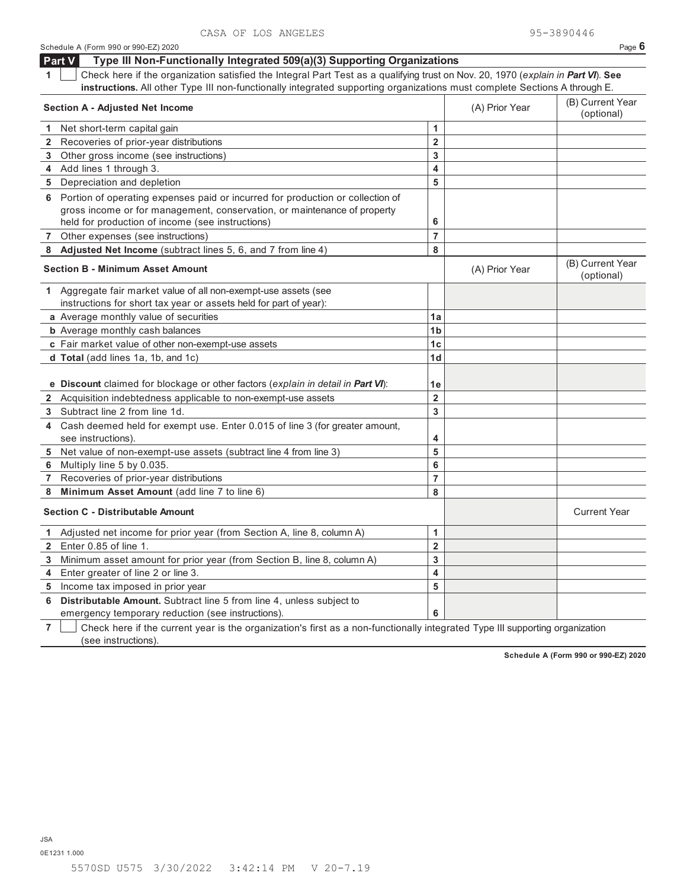|                                         | Schedule A (Form 990 or 990-EZ) 2020                                                                                             |                         |                | Page $6$                       |
|-----------------------------------------|----------------------------------------------------------------------------------------------------------------------------------|-------------------------|----------------|--------------------------------|
|                                         | Part V<br>Type III Non-Functionally Integrated 509(a)(3) Supporting Organizations                                                |                         |                |                                |
| 1                                       | Check here if the organization satisfied the Integral Part Test as a qualifying trust on Nov. 20, 1970 (explain in Part VI). See |                         |                |                                |
|                                         | instructions. All other Type III non-functionally integrated supporting organizations must complete Sections A through E.        |                         |                |                                |
|                                         | <b>Section A - Adjusted Net Income</b>                                                                                           |                         | (A) Prior Year | (B) Current Year<br>(optional) |
| 1.                                      | Net short-term capital gain                                                                                                      | 1                       |                |                                |
|                                         | 2 Recoveries of prior-year distributions                                                                                         | $\overline{2}$          |                |                                |
|                                         | 3 Other gross income (see instructions)                                                                                          | 3                       |                |                                |
|                                         | 4 Add lines 1 through 3.                                                                                                         | 4                       |                |                                |
|                                         | 5 Depreciation and depletion                                                                                                     | 5                       |                |                                |
|                                         | 6 Portion of operating expenses paid or incurred for production or collection of                                                 |                         |                |                                |
|                                         | gross income or for management, conservation, or maintenance of property                                                         |                         |                |                                |
|                                         | held for production of income (see instructions)                                                                                 | 6                       |                |                                |
|                                         | 7 Other expenses (see instructions)                                                                                              | 7                       |                |                                |
|                                         | 8 Adjusted Net Income (subtract lines 5, 6, and 7 from line 4)                                                                   | 8                       |                |                                |
| <b>Section B - Minimum Asset Amount</b> |                                                                                                                                  |                         | (A) Prior Year | (B) Current Year<br>(optional) |
|                                         | 1 Aggregate fair market value of all non-exempt-use assets (see                                                                  |                         |                |                                |
|                                         | instructions for short tax year or assets held for part of year):                                                                |                         |                |                                |
|                                         | a Average monthly value of securities                                                                                            | 1a                      |                |                                |
|                                         | <b>b</b> Average monthly cash balances                                                                                           | 1 <sub>b</sub>          |                |                                |
|                                         | c Fair market value of other non-exempt-use assets                                                                               | 1 <sub>c</sub>          |                |                                |
|                                         | d Total (add lines 1a, 1b, and 1c)                                                                                               | 1d                      |                |                                |
|                                         |                                                                                                                                  |                         |                |                                |
|                                         | e Discount claimed for blockage or other factors (explain in detail in Part VI):                                                 | 1e                      |                |                                |
|                                         | 2 Acquisition indebtedness applicable to non-exempt-use assets                                                                   | $\overline{\mathbf{2}}$ |                |                                |
| 3                                       | Subtract line 2 from line 1d.                                                                                                    | 3                       |                |                                |
| 4                                       | Cash deemed held for exempt use. Enter 0.015 of line 3 (for greater amount,                                                      |                         |                |                                |
|                                         | see instructions).                                                                                                               | 4                       |                |                                |
|                                         | 5 Net value of non-exempt-use assets (subtract line 4 from line 3)                                                               | 5                       |                |                                |
|                                         | 6 Multiply line 5 by 0.035.                                                                                                      | 6                       |                |                                |
|                                         | 7 Recoveries of prior-year distributions                                                                                         | $\overline{7}$          |                |                                |
| 8                                       | Minimum Asset Amount (add line 7 to line 6)                                                                                      | 8                       |                |                                |
|                                         | <b>Section C - Distributable Amount</b>                                                                                          |                         |                | <b>Current Year</b>            |
|                                         | 1 Adjusted net income for prior year (from Section A, line 8, column A)                                                          | 1                       |                |                                |
|                                         | <b>2</b> Enter 0.85 of line 1.                                                                                                   | $\overline{2}$          |                |                                |
|                                         | 3 Minimum asset amount for prior year (from Section B, line 8, column A)                                                         | 3                       |                |                                |
|                                         | 4 Enter greater of line 2 or line 3.                                                                                             | 4                       |                |                                |
|                                         | 5 Income tax imposed in prior year                                                                                               | 5                       |                |                                |
| 6                                       | Distributable Amount. Subtract line 5 from line 4, unless subject to                                                             |                         |                |                                |
|                                         | emergency temporary reduction (see instructions).                                                                                | 6                       |                |                                |

**7** Check here if the current year is the organization's first as a non-functionally integrated Type III supporting organization (see instructions).

**Schedule A (Form 990 or 990-EZ) 2020**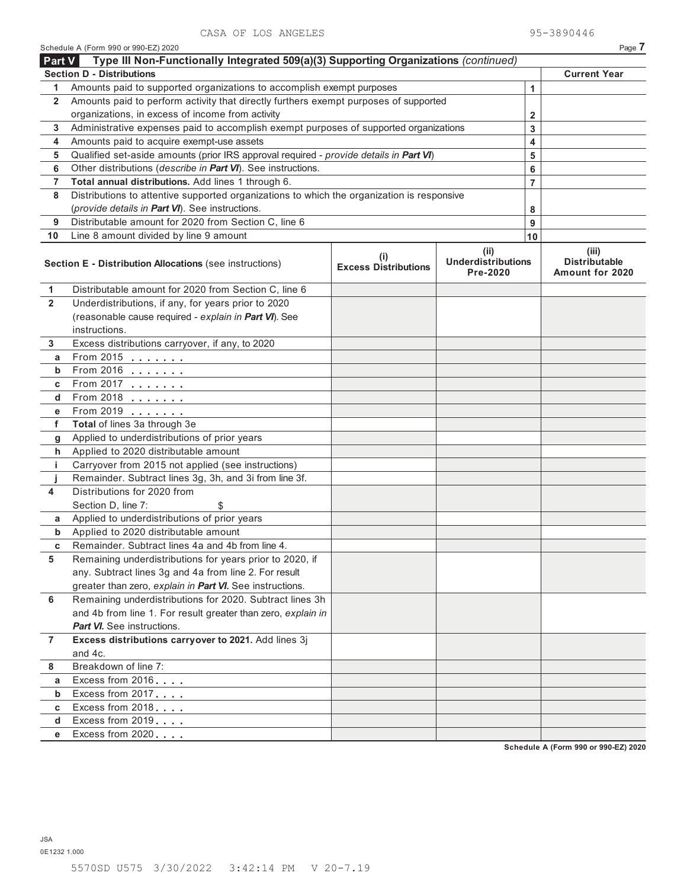| Type III Non-Functionally Integrated 509(a)(3) Supporting Organizations (continued)<br><b>Part V</b> |                                                                                                                                                |  |              |                     |                                                  |  |
|------------------------------------------------------------------------------------------------------|------------------------------------------------------------------------------------------------------------------------------------------------|--|--------------|---------------------|--------------------------------------------------|--|
|                                                                                                      | <b>Section D - Distributions</b>                                                                                                               |  |              | <b>Current Year</b> |                                                  |  |
| 1                                                                                                    | Amounts paid to supported organizations to accomplish exempt purposes                                                                          |  | $\mathbf{1}$ |                     |                                                  |  |
| $\mathbf{2}$                                                                                         | Amounts paid to perform activity that directly furthers exempt purposes of supported                                                           |  |              |                     |                                                  |  |
|                                                                                                      | organizations, in excess of income from activity                                                                                               |  |              |                     |                                                  |  |
| 3                                                                                                    | Administrative expenses paid to accomplish exempt purposes of supported organizations                                                          |  |              | 3                   |                                                  |  |
| 4                                                                                                    | Amounts paid to acquire exempt-use assets                                                                                                      |  |              | 4                   |                                                  |  |
| 5                                                                                                    | Qualified set-aside amounts (prior IRS approval required - provide details in Part VI)                                                         |  |              | 5                   |                                                  |  |
| 6                                                                                                    | Other distributions (describe in Part VI). See instructions.                                                                                   |  |              | 6                   |                                                  |  |
| 7                                                                                                    | Total annual distributions. Add lines 1 through 6.                                                                                             |  |              | $\overline{7}$      |                                                  |  |
| 8                                                                                                    | Distributions to attentive supported organizations to which the organization is responsive                                                     |  |              |                     |                                                  |  |
|                                                                                                      | (provide details in Part VI). See instructions.                                                                                                |  |              | 8                   |                                                  |  |
| 9                                                                                                    | Distributable amount for 2020 from Section C, line 6                                                                                           |  |              | 9                   |                                                  |  |
| 10                                                                                                   | Line 8 amount divided by line 9 amount                                                                                                         |  |              | 10                  |                                                  |  |
|                                                                                                      | (ii)<br>(i)<br><b>Underdistributions</b><br>Section E - Distribution Allocations (see instructions)<br><b>Excess Distributions</b><br>Pre-2020 |  |              |                     | (iii)<br><b>Distributable</b><br>Amount for 2020 |  |
| 1                                                                                                    | Distributable amount for 2020 from Section C, line 6                                                                                           |  |              |                     |                                                  |  |
| $\overline{2}$                                                                                       | Underdistributions, if any, for years prior to 2020                                                                                            |  |              |                     |                                                  |  |
|                                                                                                      | (reasonable cause required - explain in Part VI). See                                                                                          |  |              |                     |                                                  |  |
|                                                                                                      | instructions.                                                                                                                                  |  |              |                     |                                                  |  |
| 3                                                                                                    | Excess distributions carryover, if any, to 2020                                                                                                |  |              |                     |                                                  |  |
| а                                                                                                    | From 2015                                                                                                                                      |  |              |                     |                                                  |  |
| b                                                                                                    | $From 2016$                                                                                                                                    |  |              |                     |                                                  |  |
| С                                                                                                    | From 2017 <u>.</u>                                                                                                                             |  |              |                     |                                                  |  |
| d                                                                                                    |                                                                                                                                                |  |              |                     |                                                  |  |
| е                                                                                                    | From 2019                                                                                                                                      |  |              |                     |                                                  |  |
| f                                                                                                    | Total of lines 3a through 3e                                                                                                                   |  |              |                     |                                                  |  |
| g                                                                                                    | Applied to underdistributions of prior years                                                                                                   |  |              |                     |                                                  |  |
| h                                                                                                    | Applied to 2020 distributable amount                                                                                                           |  |              |                     |                                                  |  |
| j.                                                                                                   | Carryover from 2015 not applied (see instructions)                                                                                             |  |              |                     |                                                  |  |
| j                                                                                                    | Remainder. Subtract lines 3g, 3h, and 3i from line 3f.                                                                                         |  |              |                     |                                                  |  |
| 4                                                                                                    | Distributions for 2020 from                                                                                                                    |  |              |                     |                                                  |  |
|                                                                                                      | Section D, line 7:<br>Applied to underdistributions of prior years                                                                             |  |              |                     |                                                  |  |
| а<br>b                                                                                               | Applied to 2020 distributable amount                                                                                                           |  |              |                     |                                                  |  |
| c                                                                                                    | Remainder. Subtract lines 4a and 4b from line 4.                                                                                               |  |              |                     |                                                  |  |
| 5                                                                                                    | Remaining underdistributions for years prior to 2020, if                                                                                       |  |              |                     |                                                  |  |
|                                                                                                      | any. Subtract lines 3g and 4a from line 2. For result                                                                                          |  |              |                     |                                                  |  |
|                                                                                                      | greater than zero, explain in Part VI. See instructions.                                                                                       |  |              |                     |                                                  |  |
| 6                                                                                                    | Remaining underdistributions for 2020. Subtract lines 3h                                                                                       |  |              |                     |                                                  |  |
|                                                                                                      | and 4b from line 1. For result greater than zero, explain in                                                                                   |  |              |                     |                                                  |  |
|                                                                                                      | <b>Part VI.</b> See instructions.                                                                                                              |  |              |                     |                                                  |  |
| $\overline{7}$                                                                                       | Excess distributions carryover to 2021. Add lines 3j                                                                                           |  |              |                     |                                                  |  |
|                                                                                                      | and 4c.                                                                                                                                        |  |              |                     |                                                  |  |
| 8                                                                                                    | Breakdown of line 7:                                                                                                                           |  |              |                     |                                                  |  |
| a                                                                                                    | Excess from 2016                                                                                                                               |  |              |                     |                                                  |  |
| $\mathbf b$                                                                                          | Excess from 2017                                                                                                                               |  |              |                     |                                                  |  |
| C                                                                                                    | Excess from 2018                                                                                                                               |  |              |                     |                                                  |  |
| d                                                                                                    | Excess from 2019                                                                                                                               |  |              |                     |                                                  |  |
| е                                                                                                    | Excess from 2020                                                                                                                               |  |              |                     |                                                  |  |
|                                                                                                      |                                                                                                                                                |  |              |                     | <b>Cohodule A / Form 000 or 000 EZ\ 2020</b>     |  |

Schedule A (Form 990 or 990-EZ) 2020 Page **7**

**Schedule A (Form 990 or 990-EZ) 2020**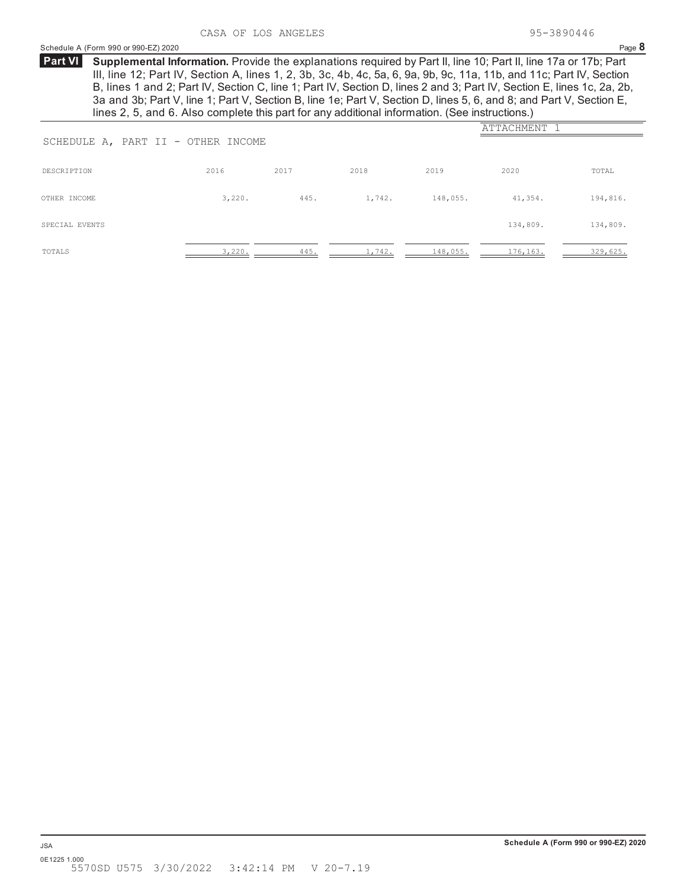## Schedule A (Form 990 or 990-EZ) 2020 Page **8**

**Supplemental Information.** Provide the explanations required by Part II, line 10; Part II, line 17a or 17b; Part **Part VI** III, line 12; Part IV, Section A, lines 1, 2, 3b, 3c, 4b, 4c, 5a, 6, 9a, 9b, 9c, 11a, 11b, and 11c; Part IV, Section B, lines 1 and 2; Part IV, Section C, line 1; Part IV, Section D, lines 2 and 3; Part IV, Section E, lines 1c, 2a, 2b, 3a and 3b; Part V, line 1; Part V, Section B, line 1e; Part V, Section D, lines 5, 6, and 8; and Part V, Section E, lines 2, 5, and 6. Also complete this part for any additional information. (See instructions.)

| SCHEDULE A, PART II - OTHER INCOME | ATTACHMENT 1 |      |        |          |          |          |
|------------------------------------|--------------|------|--------|----------|----------|----------|
| DESCRIPTION                        | 2016         | 2017 | 2018   | 2019     | 2020     | TOTAL    |
| OTHER INCOME                       | 3,220.       | 445. | 1,742. | 148,055. | 41,354.  | 194,816. |
| SPECIAL EVENTS                     |              |      |        |          | 134,809. | 134,809. |
| TOTALS                             | 3,220.       | 445. | 1,742. | 148,055. | 176,163. | 329,625. |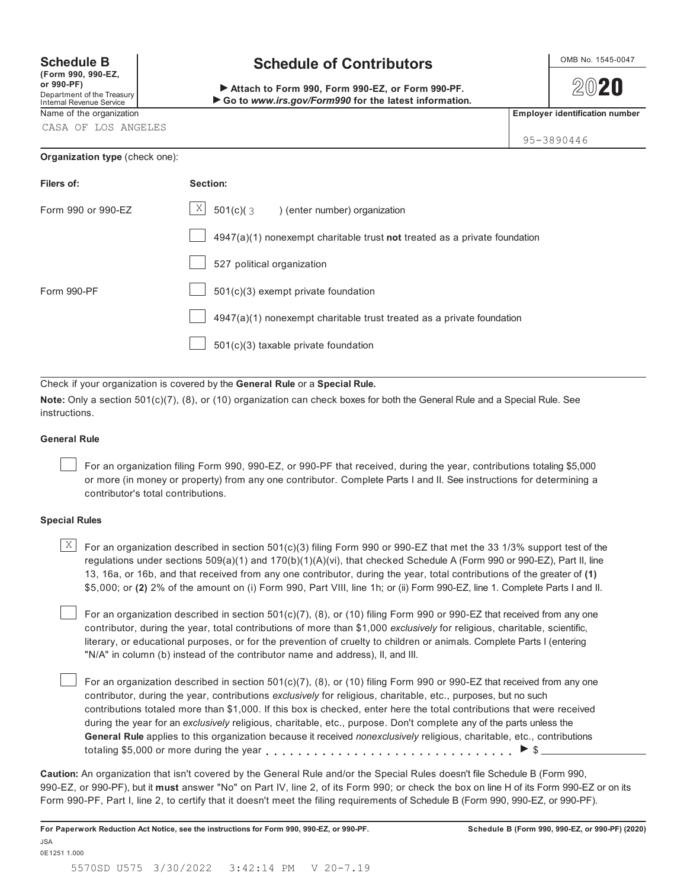**(Form 990, 990-EZ, or 990-PF)** Department of the Treasury

## Internal Revenue Service

CASA OF LOS ANGELES

## **Organization type** (check one):

## **Schedule B**  $\bigcup_{\text{OMB No. 1545-0047}}$

 **Attach to Form 990, Form 990-EZ, or Form 990-PF.** ▶ Go to *www.irs.gov/Form990* for the latest information.

2020

Name of the organization **Employer identification number Employer identification number** 

95-3890446

| Filers of:         | Section:                                                                    |
|--------------------|-----------------------------------------------------------------------------|
| Form 990 or 990-EZ | $\vert X \vert$<br>$501(c)(3)$ (enter number) organization                  |
|                    | $4947(a)(1)$ nonexempt charitable trust not treated as a private foundation |
|                    | 527 political organization                                                  |
| Form 990-PF        | 501(c)(3) exempt private foundation                                         |
|                    | $4947(a)(1)$ nonexempt charitable trust treated as a private foundation     |
|                    | $501(c)(3)$ taxable private foundation                                      |

Check if your organization is covered by the **General Rule** or a **Special Rule.**

**Note:** Only a section 501(c)(7), (8), or (10) organization can check boxes for both the General Rule and a Special Rule. See instructions.

## **General Rule**

For an organization filing Form 990, 990-EZ, or 990-PF that received, during the year, contributions totaling \$5,000 or more (in money or property) from any one contributor. Complete Parts I and II. See instructions for determining a contributor's total contributions.

## **Special Rules**

 $\mathbb{X}$   $\Box$  For an organization described in section 501(c)(3) filing Form 990 or 990-EZ that met the 33 1/3% support test of the regulations under sections 509(a)(1) and 170(b)(1)(A)(vi), that checked Schedule A (Form 990 or 990-EZ), Part II, line 13, 16a, or 16b, and that received from any one contributor, during the year, total contributions of the greater of **(1)** \$5,000; or **(2)** 2% of the amount on (i) Form 990, Part VIII, line 1h; or (ii) Form 990-EZ, line 1. Complete Parts I and II.

For an organization described in section 501(c)(7), (8), or (10) filing Form 990 or 990-EZ that received from any one contributor, during the year, total contributions of more than \$1,000 *exclusively* for religious, charitable, scientific, literary, or educational purposes, or for the prevention of cruelty to children or animals. Complete Parts I (entering "N/A" in column (b) instead of the contributor name and address), II, and III.

For an organization described in section  $501(c)(7)$ , (8), or (10) filing Form 990 or 990-EZ that received from any one contributor, during the year, contributions *exclusively* for religious, charitable, etc., purposes, but no such contributions totaled more than \$1,000. If this box is checked, enter here the total contributions that were received during the year for an *exclusively* religious, charitable, etc., purpose. Don't complete any of the parts unless the **General Rule** applies to this organization because it received *nonexclusively* religious, charitable, etc., contributions totaling \$5,000 or more during the year  $\ldots$ ,  $\ldots$ ,  $\ldots$ ,  $\ldots$ ,  $\ldots$ ,  $\ldots$ ,  $\ldots$ ,  $\blacktriangleright$  \$

**Caution:** An organization that isn't covered by the General Rule and/or the Special Rules doesn't file Schedule B (Form 990, 990-EZ, or 990-PF), but it **must** answer "No" on Part IV, line 2, of its Form 990; or check the box on line H of its Form 990-EZ or on its Form 990-PF, Part I, line 2, to certify that it doesn't meet the filing requirements of Schedule B (Form 990, 990-EZ, or 990-PF).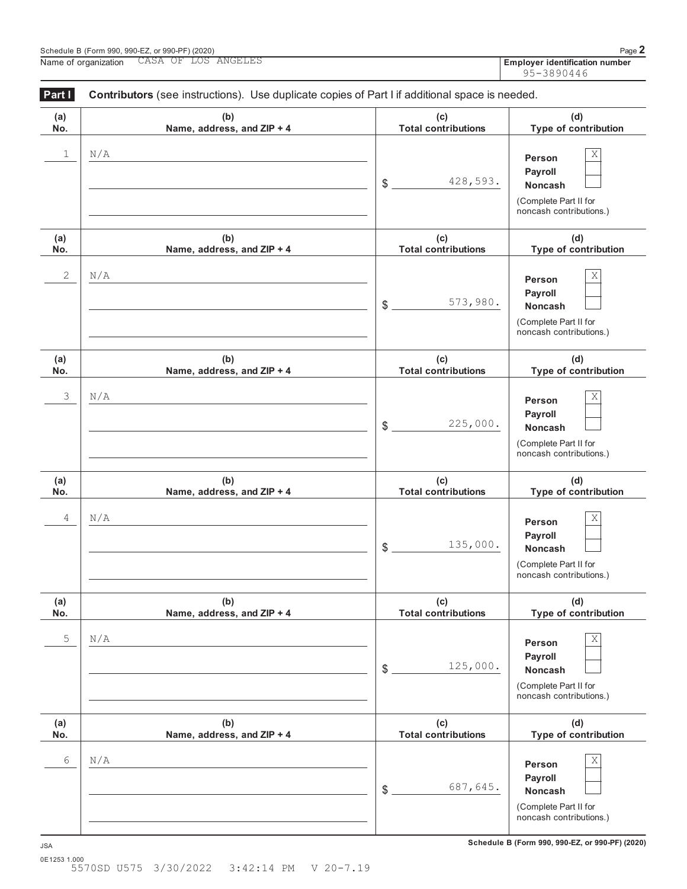|                      | Schedule B (Form 990, 990-EZ, or 990-PF) (2020)<br>CASA OF LOS ANGELES<br>Name of organization                                      |                                   | Page 2<br>Employer identification number                                                            |
|----------------------|-------------------------------------------------------------------------------------------------------------------------------------|-----------------------------------|-----------------------------------------------------------------------------------------------------|
|                      |                                                                                                                                     |                                   | 95-3890446                                                                                          |
| Part I<br>(a)<br>No. | Contributors (see instructions). Use duplicate copies of Part I if additional space is needed.<br>(b)<br>Name, address, and ZIP + 4 | (c)<br><b>Total contributions</b> | (d)<br>Type of contribution                                                                         |
| 1                    | N/A                                                                                                                                 | 428,593.<br>\$                    | Χ<br>Person<br>Payroll<br><b>Noncash</b><br>(Complete Part II for<br>noncash contributions.)        |
| (a)<br>No.           | (b)<br>Name, address, and ZIP + 4                                                                                                   | (c)<br><b>Total contributions</b> | (d)<br>Type of contribution                                                                         |
| 2                    | N/A                                                                                                                                 | 573,980.<br>\$                    | Χ<br>Person<br>Payroll<br><b>Noncash</b><br>(Complete Part II for<br>noncash contributions.)        |
| (a)<br>No.           | (b)<br>Name, address, and ZIP + 4                                                                                                   | (c)<br><b>Total contributions</b> | (d)<br>Type of contribution                                                                         |
| 3                    | N/A                                                                                                                                 | 225,000.<br>\$                    | Χ<br>Person<br><b>Payroll</b><br><b>Noncash</b><br>(Complete Part II for<br>noncash contributions.) |
| (a)<br>No.           | (b)<br>Name, address, and ZIP + 4                                                                                                   | (c)<br><b>Total contributions</b> | (d)<br>Type of contribution                                                                         |
| 4                    | N/A                                                                                                                                 | 135,000.<br>\$                    | Χ<br>Person<br>Payroll<br><b>Noncash</b><br>(Complete Part II for<br>noncash contributions.)        |
| (a)<br>No.           | (b)<br>Name, address, and ZIP + 4                                                                                                   | (c)<br><b>Total contributions</b> | (d)<br>Type of contribution                                                                         |
| 5                    | N/A                                                                                                                                 | 125,000.<br>\$                    | Χ<br>Person<br>Payroll<br><b>Noncash</b><br>(Complete Part II for<br>noncash contributions.)        |
| (a)<br>No.           | (b)<br>Name, address, and ZIP + 4                                                                                                   | (c)<br><b>Total contributions</b> | (d)<br>Type of contribution                                                                         |

(Complete Part II for noncash contributions.)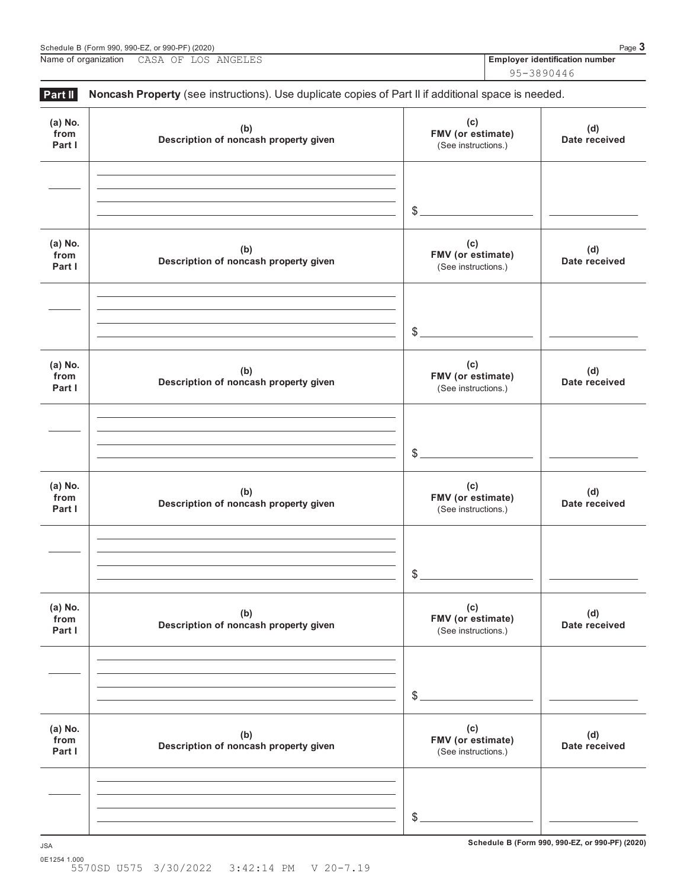95-3890446

| Part II                   | Noncash Property (see instructions). Use duplicate copies of Part II if additional space is needed. |                                                 |                      |
|---------------------------|-----------------------------------------------------------------------------------------------------|-------------------------------------------------|----------------------|
| (a) No.<br>from<br>Part I | (b)<br>Description of noncash property given                                                        | (c)<br>FMV (or estimate)<br>(See instructions.) | (d)<br>Date received |
|                           |                                                                                                     | $\frac{1}{2}$                                   |                      |
| (a) No.<br>from<br>Part I | (b)<br>Description of noncash property given                                                        | (c)<br>FMV (or estimate)<br>(See instructions.) | (d)<br>Date received |
|                           |                                                                                                     | $\frac{1}{2}$                                   |                      |
| (a) No.<br>from<br>Part I | (b)<br>Description of noncash property given                                                        | (c)<br>FMV (or estimate)<br>(See instructions.) | (d)<br>Date received |
|                           |                                                                                                     | $\frac{1}{2}$                                   |                      |
| (a) No.<br>from<br>Part I | (b)<br>Description of noncash property given                                                        | (c)<br>FMV (or estimate)<br>(See instructions.) | (d)<br>Date received |
|                           |                                                                                                     | $\mathcal{L}$                                   |                      |
| (a) No.<br>from<br>Part I | (b)<br>Description of noncash property given                                                        | (c)<br>FMV (or estimate)<br>(See instructions.) | (d)<br>Date received |
|                           |                                                                                                     | $\frac{1}{2}$                                   |                      |
| (a) No.<br>from<br>Part I | (b)<br>Description of noncash property given                                                        | (c)<br>FMV (or estimate)<br>(See instructions.) | (d)<br>Date received |
|                           |                                                                                                     | $\frac{1}{2}$                                   |                      |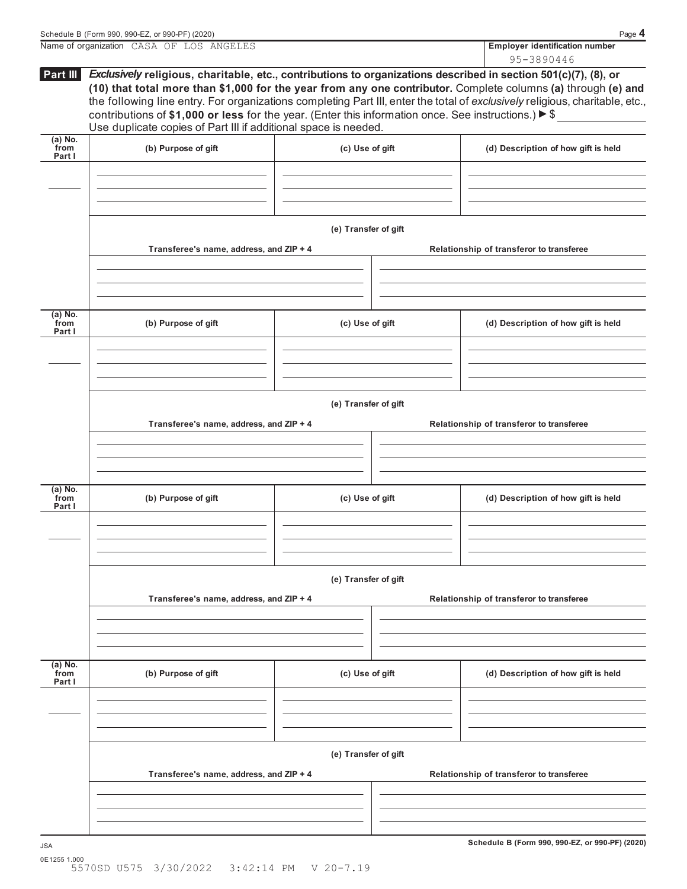|                           | Name of organization CASA OF LOS ANGELES                                                                                                                                                                                                                                                                                                                                                                                                                                                                                                                        |                      |                                          | <b>Employer identification number</b>    |  |  |
|---------------------------|-----------------------------------------------------------------------------------------------------------------------------------------------------------------------------------------------------------------------------------------------------------------------------------------------------------------------------------------------------------------------------------------------------------------------------------------------------------------------------------------------------------------------------------------------------------------|----------------------|------------------------------------------|------------------------------------------|--|--|
|                           |                                                                                                                                                                                                                                                                                                                                                                                                                                                                                                                                                                 |                      |                                          | 95-3890446                               |  |  |
| Part III                  | Exclusively religious, charitable, etc., contributions to organizations described in section 501(c)(7), (8), or<br>(10) that total more than \$1,000 for the year from any one contributor. Complete columns (a) through (e) and<br>the following line entry. For organizations completing Part III, enter the total of exclusively religious, charitable, etc.,<br>contributions of \$1,000 or less for the year. (Enter this information once. See instructions.) $\blacktriangleright$ \$<br>Use duplicate copies of Part III if additional space is needed. |                      |                                          |                                          |  |  |
| (a) No.<br>from<br>Part I | (b) Purpose of gift                                                                                                                                                                                                                                                                                                                                                                                                                                                                                                                                             | (c) Use of gift      |                                          | (d) Description of how gift is held      |  |  |
|                           |                                                                                                                                                                                                                                                                                                                                                                                                                                                                                                                                                                 |                      |                                          |                                          |  |  |
|                           |                                                                                                                                                                                                                                                                                                                                                                                                                                                                                                                                                                 |                      |                                          |                                          |  |  |
|                           |                                                                                                                                                                                                                                                                                                                                                                                                                                                                                                                                                                 | (e) Transfer of gift |                                          |                                          |  |  |
|                           | Transferee's name, address, and ZIP + 4                                                                                                                                                                                                                                                                                                                                                                                                                                                                                                                         |                      |                                          | Relationship of transferor to transferee |  |  |
|                           |                                                                                                                                                                                                                                                                                                                                                                                                                                                                                                                                                                 |                      |                                          |                                          |  |  |
|                           |                                                                                                                                                                                                                                                                                                                                                                                                                                                                                                                                                                 |                      |                                          |                                          |  |  |
| (a) No.<br>from<br>Part I | (b) Purpose of gift                                                                                                                                                                                                                                                                                                                                                                                                                                                                                                                                             | (c) Use of gift      |                                          | (d) Description of how gift is held      |  |  |
|                           |                                                                                                                                                                                                                                                                                                                                                                                                                                                                                                                                                                 |                      |                                          |                                          |  |  |
|                           |                                                                                                                                                                                                                                                                                                                                                                                                                                                                                                                                                                 |                      |                                          |                                          |  |  |
|                           | (e) Transfer of gift                                                                                                                                                                                                                                                                                                                                                                                                                                                                                                                                            |                      |                                          |                                          |  |  |
|                           | Transferee's name, address, and ZIP + 4                                                                                                                                                                                                                                                                                                                                                                                                                                                                                                                         |                      | Relationship of transferor to transferee |                                          |  |  |
|                           |                                                                                                                                                                                                                                                                                                                                                                                                                                                                                                                                                                 |                      |                                          |                                          |  |  |
|                           |                                                                                                                                                                                                                                                                                                                                                                                                                                                                                                                                                                 |                      |                                          |                                          |  |  |
| (a) No.<br>from           | (b) Purpose of gift                                                                                                                                                                                                                                                                                                                                                                                                                                                                                                                                             | (c) Use of gift      |                                          | (d) Description of how gift is held      |  |  |

|                           | (e) Transfer of gift<br>Transferee's name, address, and ZIP + 4<br>Relationship of transferor to transferee |                      |  |                                          |  |  |  |
|---------------------------|-------------------------------------------------------------------------------------------------------------|----------------------|--|------------------------------------------|--|--|--|
|                           |                                                                                                             |                      |  |                                          |  |  |  |
| (a) No.<br>from<br>Part I | (b) Purpose of gift                                                                                         | (c) Use of gift      |  | (d) Description of how gift is held      |  |  |  |
|                           |                                                                                                             |                      |  |                                          |  |  |  |
|                           |                                                                                                             | (e) Transfer of gift |  |                                          |  |  |  |
|                           | Transferee's name, address, and ZIP + 4                                                                     |                      |  | Relationship of transferor to transferee |  |  |  |

**Schedule B (Form 990, 990-EZ, or 990-PF) (2020)** JSA 0E1255 1.000 5570SD U575 3/30/2022 3:42:14 PM V 20-7.19

L,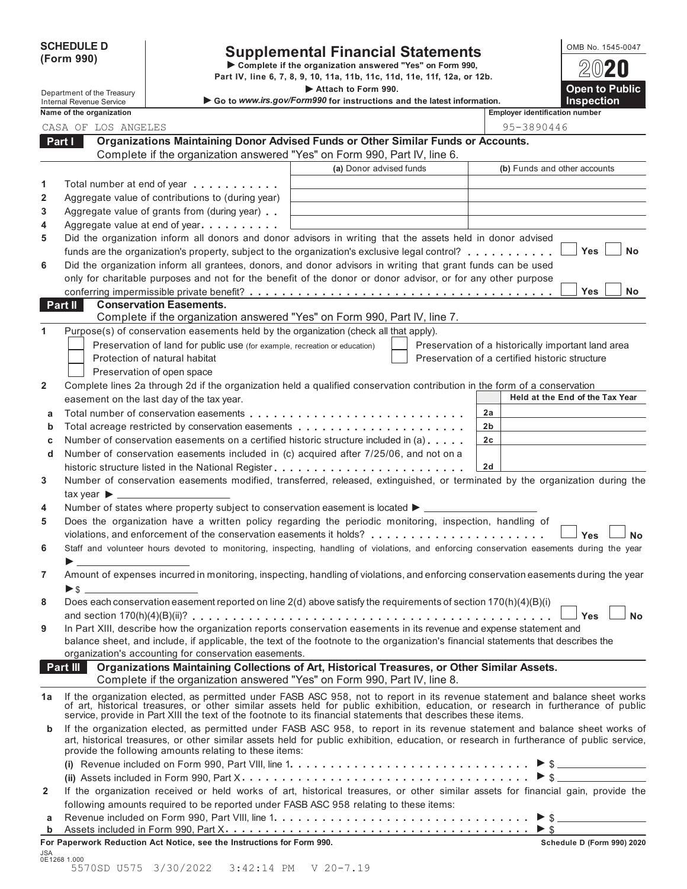|            | <b>SCHEDULE D</b> |  |
|------------|-------------------|--|
| (Form 990) |                   |  |

# SCHEDULE D<br>
Supplemental Financial Statements<br>
Form 990) Part IV, line 6, 7, 8, 9, 10, 11a, 11b, 11c, 11d, 11e, 11f, 12a, or 12b.

|              |          |                                 |                                                                                                                                                                                                                                                                   | Part IV, line 6, 7, 8, 9, 10, 11a, 11b, 11c, 11d, 11e, 11f, 12a, or 12b. |                                                    | GVLU                            |
|--------------|----------|---------------------------------|-------------------------------------------------------------------------------------------------------------------------------------------------------------------------------------------------------------------------------------------------------------------|--------------------------------------------------------------------------|----------------------------------------------------|---------------------------------|
|              |          | Department of the Treasury      |                                                                                                                                                                                                                                                                   | Attach to Form 990.                                                      |                                                    | <b>Open to Public</b>           |
|              |          | <b>Internal Revenue Service</b> |                                                                                                                                                                                                                                                                   | Go to www.irs.gov/Form990 for instructions and the latest information.   |                                                    | <b>Inspection</b>               |
|              |          | Name of the organization        |                                                                                                                                                                                                                                                                   |                                                                          | <b>Employer identification number</b>              |                                 |
|              |          | CASA OF LOS ANGELES             | Organizations Maintaining Donor Advised Funds or Other Similar Funds or Accounts.                                                                                                                                                                                 |                                                                          | 95-3890446                                         |                                 |
|              | Part I   |                                 | Complete if the organization answered "Yes" on Form 990, Part IV, line 6.                                                                                                                                                                                         |                                                                          |                                                    |                                 |
|              |          |                                 |                                                                                                                                                                                                                                                                   | (a) Donor advised funds                                                  | (b) Funds and other accounts                       |                                 |
|              |          |                                 |                                                                                                                                                                                                                                                                   |                                                                          |                                                    |                                 |
| 1            |          |                                 | Total number at end of year entitled in the set of the set of the set of the set of the set of the set of the set of the set of the set of the set of the set of the set of the set of the set of the set of the set of the se                                    |                                                                          |                                                    |                                 |
| 2            |          |                                 | Aggregate value of contributions to (during year)                                                                                                                                                                                                                 |                                                                          |                                                    |                                 |
| 3            |          |                                 | Aggregate value of grants from (during year)                                                                                                                                                                                                                      |                                                                          |                                                    |                                 |
| 4            |          |                                 | Aggregate value at end of year entitled as Aggregate value at end of year                                                                                                                                                                                         |                                                                          |                                                    |                                 |
| 5            |          |                                 | Did the organization inform all donors and donor advisors in writing that the assets held in donor advised                                                                                                                                                        |                                                                          |                                                    | <b>Yes</b><br><b>No</b>         |
|              |          |                                 | funds are the organization's property, subject to the organization's exclusive legal control?                                                                                                                                                                     |                                                                          |                                                    |                                 |
| 6            |          |                                 | Did the organization inform all grantees, donors, and donor advisors in writing that grant funds can be used                                                                                                                                                      |                                                                          |                                                    |                                 |
|              |          |                                 | only for charitable purposes and not for the benefit of the donor or donor advisor, or for any other purpose                                                                                                                                                      |                                                                          |                                                    | Yes<br>No                       |
|              | Part II  |                                 | <b>Conservation Easements.</b>                                                                                                                                                                                                                                    |                                                                          |                                                    |                                 |
|              |          |                                 | Complete if the organization answered "Yes" on Form 990, Part IV, line 7.                                                                                                                                                                                         |                                                                          |                                                    |                                 |
| 1            |          |                                 | Purpose(s) of conservation easements held by the organization (check all that apply).                                                                                                                                                                             |                                                                          |                                                    |                                 |
|              |          |                                 | Preservation of land for public use (for example, recreation or education)                                                                                                                                                                                        |                                                                          | Preservation of a historically important land area |                                 |
|              |          |                                 | Protection of natural habitat                                                                                                                                                                                                                                     |                                                                          | Preservation of a certified historic structure     |                                 |
|              |          |                                 | Preservation of open space                                                                                                                                                                                                                                        |                                                                          |                                                    |                                 |
| 2            |          |                                 | Complete lines 2a through 2d if the organization held a qualified conservation contribution in the form of a conservation                                                                                                                                         |                                                                          |                                                    |                                 |
|              |          |                                 | easement on the last day of the tax year.                                                                                                                                                                                                                         |                                                                          |                                                    | Held at the End of the Tax Year |
| a            |          |                                 |                                                                                                                                                                                                                                                                   |                                                                          | 2a                                                 |                                 |
| b            |          |                                 | Total acreage restricted by conservation easements                                                                                                                                                                                                                |                                                                          | 2b                                                 |                                 |
| c            |          |                                 | Number of conservation easements on a certified historic structure included in (a)                                                                                                                                                                                |                                                                          | 2 <sub>c</sub>                                     |                                 |
| d            |          |                                 | Number of conservation easements included in (c) acquired after 7/25/06, and not on a                                                                                                                                                                             |                                                                          |                                                    |                                 |
|              |          |                                 |                                                                                                                                                                                                                                                                   |                                                                          | 2d                                                 |                                 |
| 3            |          |                                 | Number of conservation easements modified, transferred, released, extinguished, or terminated by the organization during the                                                                                                                                      |                                                                          |                                                    |                                 |
|              |          |                                 | $\mathsf{tax}$ year $\blacktriangleright$ ________________                                                                                                                                                                                                        |                                                                          |                                                    |                                 |
| 4            |          |                                 | Number of states where property subject to conservation easement is located ▶ _______                                                                                                                                                                             |                                                                          |                                                    |                                 |
| 5            |          |                                 | Does the organization have a written policy regarding the periodic monitoring, inspection, handling of                                                                                                                                                            |                                                                          |                                                    |                                 |
|              |          |                                 |                                                                                                                                                                                                                                                                   |                                                                          |                                                    | Yes<br><b>No</b>                |
| 6            |          |                                 | Staff and volunteer hours devoted to monitoring, inspecting, handling of violations, and enforcing conservation easements during the year                                                                                                                         |                                                                          |                                                    |                                 |
|              |          |                                 |                                                                                                                                                                                                                                                                   |                                                                          |                                                    |                                 |
| 7            |          |                                 | Amount of expenses incurred in monitoring, inspecting, handling of violations, and enforcing conservation easements during the year                                                                                                                               |                                                                          |                                                    |                                 |
|              |          | $\blacktriangleright$ \$        |                                                                                                                                                                                                                                                                   |                                                                          |                                                    |                                 |
| 8            |          |                                 | Does each conservation easement reported on line 2(d) above satisfy the requirements of section 170(h)(4)(B)(i)                                                                                                                                                   |                                                                          |                                                    |                                 |
|              |          |                                 |                                                                                                                                                                                                                                                                   |                                                                          |                                                    | Yes                             |
| 9            |          |                                 | In Part XIII, describe how the organization reports conservation easements in its revenue and expense statement and                                                                                                                                               |                                                                          |                                                    |                                 |
|              |          |                                 | balance sheet, and include, if applicable, the text of the footnote to the organization's financial statements that describes the                                                                                                                                 |                                                                          |                                                    |                                 |
|              |          |                                 | organization's accounting for conservation easements.                                                                                                                                                                                                             |                                                                          |                                                    |                                 |
|              | Part III |                                 | Organizations Maintaining Collections of Art, Historical Treasures, or Other Similar Assets.<br>Complete if the organization answered "Yes" on Form 990, Part IV, line 8.                                                                                         |                                                                          |                                                    |                                 |
|              |          |                                 |                                                                                                                                                                                                                                                                   |                                                                          |                                                    |                                 |
| 1a           |          |                                 | If the organization elected, as permitted under FASB ASC 958, not to report in its revenue statement and balance sheet works<br>of art, historical treasures, or other similar assets held for public exhibition, education, or research in furtherance of public |                                                                          |                                                    |                                 |
|              |          |                                 | service, provide in Part XIII the text of the footnote to its financial statements that describes these items.                                                                                                                                                    |                                                                          |                                                    |                                 |
| b            |          |                                 | If the organization elected, as permitted under FASB ASC 958, to report in its revenue statement and balance sheet works of                                                                                                                                       |                                                                          |                                                    |                                 |
|              |          |                                 | art, historical treasures, or other similar assets held for public exhibition, education, or research in furtherance of public service,<br>provide the following amounts relating to these items:                                                                 |                                                                          |                                                    |                                 |
|              |          |                                 |                                                                                                                                                                                                                                                                   |                                                                          |                                                    | $\triangleright$ \$             |
|              |          |                                 |                                                                                                                                                                                                                                                                   |                                                                          |                                                    | $>$ \$                          |
| $\mathbf{2}$ |          |                                 | If the organization received or held works of art, historical treasures, or other similar assets for financial gain, provide the                                                                                                                                  |                                                                          |                                                    |                                 |
|              |          |                                 | following amounts required to be reported under FASB ASC 958 relating to these items:                                                                                                                                                                             |                                                                          |                                                    |                                 |
| а            |          |                                 |                                                                                                                                                                                                                                                                   |                                                                          |                                                    | $\triangleright$ \$             |
| $\mathbf b$  |          |                                 |                                                                                                                                                                                                                                                                   |                                                                          |                                                    | $\blacktriangleright$ \$        |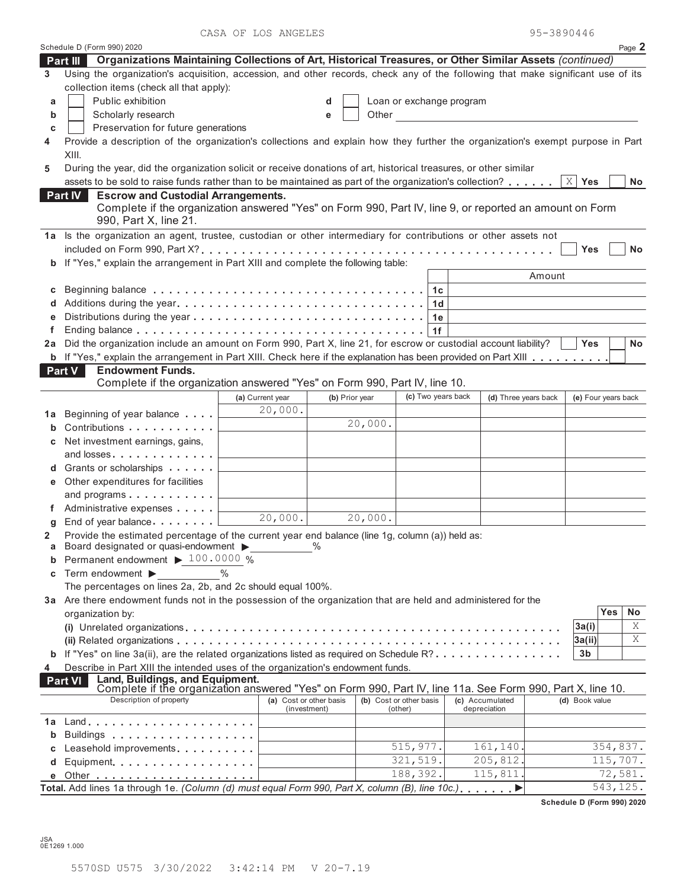CASA OF LOS ANGELES

| 95-3890446 |  |  |  |  |  |  |  |  |  |  |
|------------|--|--|--|--|--|--|--|--|--|--|
|------------|--|--|--|--|--|--|--|--|--|--|

|    | Schedule D (Form 990) 2020                                                                                                                                                  |                  |                         |                         |                          |    |                      |        |                     | Page 2    |
|----|-----------------------------------------------------------------------------------------------------------------------------------------------------------------------------|------------------|-------------------------|-------------------------|--------------------------|----|----------------------|--------|---------------------|-----------|
|    | Organizations Maintaining Collections of Art, Historical Treasures, or Other Similar Assets (continued)<br>Part III                                                         |                  |                         |                         |                          |    |                      |        |                     |           |
| 3  | Using the organization's acquisition, accession, and other records, check any of the following that make significant use of its                                             |                  |                         |                         |                          |    |                      |        |                     |           |
|    | collection items (check all that apply):                                                                                                                                    |                  |                         |                         |                          |    |                      |        |                     |           |
| a  | Public exhibition                                                                                                                                                           |                  | d                       |                         | Loan or exchange program |    |                      |        |                     |           |
| b  | Scholarly research                                                                                                                                                          |                  | e                       | Other                   |                          |    |                      |        |                     |           |
| c  | Preservation for future generations                                                                                                                                         |                  |                         |                         |                          |    |                      |        |                     |           |
| 4  | Provide a description of the organization's collections and explain how they further the organization's exempt purpose in Part<br>XIII.                                     |                  |                         |                         |                          |    |                      |        |                     |           |
| 5  | During the year, did the organization solicit or receive donations of art, historical treasures, or other similar                                                           |                  |                         |                         |                          |    |                      |        |                     |           |
|    | assets to be sold to raise funds rather than to be maintained as part of the organization's collection?                                                                     |                  |                         |                         |                          |    |                      |        | $X \mid Y$ es       | <b>No</b> |
|    | <b>Escrow and Custodial Arrangements.</b><br><b>Part IV</b>                                                                                                                 |                  |                         |                         |                          |    |                      |        |                     |           |
|    | Complete if the organization answered "Yes" on Form 990, Part IV, line 9, or reported an amount on Form                                                                     |                  |                         |                         |                          |    |                      |        |                     |           |
|    | 990, Part X, line 21.                                                                                                                                                       |                  |                         |                         |                          |    |                      |        |                     |           |
|    | 1a Is the organization an agent, trustee, custodian or other intermediary for contributions or other assets not                                                             |                  |                         |                         |                          |    |                      |        |                     |           |
|    |                                                                                                                                                                             |                  |                         |                         |                          |    |                      |        | Yes                 | No        |
|    | b If "Yes," explain the arrangement in Part XIII and complete the following table:                                                                                          |                  |                         |                         |                          |    |                      |        |                     |           |
|    |                                                                                                                                                                             |                  |                         |                         |                          |    |                      | Amount |                     |           |
| С  |                                                                                                                                                                             |                  |                         |                         |                          | 1c |                      |        |                     |           |
|    |                                                                                                                                                                             |                  |                         |                         |                          | 1d |                      |        |                     |           |
| е  |                                                                                                                                                                             |                  |                         |                         |                          | 1e |                      |        |                     |           |
| f  |                                                                                                                                                                             |                  |                         |                         |                          | 1f |                      |        |                     |           |
| 2a | Did the organization include an amount on Form 990, Part X, line 21, for escrow or custodial account liability?                                                             |                  |                         |                         |                          |    |                      |        | <b>Yes</b>          | No        |
|    | <b>b</b> If "Yes," explain the arrangement in Part XIII. Check here if the explanation has been provided on Part XIII                                                       |                  |                         |                         |                          |    |                      |        |                     |           |
|    | <b>Endowment Funds.</b><br><b>Part V</b>                                                                                                                                    |                  |                         |                         |                          |    |                      |        |                     |           |
|    | Complete if the organization answered "Yes" on Form 990, Part IV, line 10.                                                                                                  |                  |                         |                         |                          |    |                      |        |                     |           |
|    |                                                                                                                                                                             | (a) Current year | (b) Prior year          |                         | (c) Two years back       |    | (d) Three years back |        | (e) Four years back |           |
|    |                                                                                                                                                                             | 20,000.          |                         |                         |                          |    |                      |        |                     |           |
| 1a | Beginning of year balance                                                                                                                                                   |                  |                         | 20,000.                 |                          |    |                      |        |                     |           |
| b  | Contributions                                                                                                                                                               |                  |                         |                         |                          |    |                      |        |                     |           |
| С  | Net investment earnings, gains,                                                                                                                                             |                  |                         |                         |                          |    |                      |        |                     |           |
|    | and losses                                                                                                                                                                  |                  |                         |                         |                          |    |                      |        |                     |           |
|    | Grants or scholarships <b>Contains</b>                                                                                                                                      |                  |                         |                         |                          |    |                      |        |                     |           |
| е  | Other expenditures for facilities                                                                                                                                           |                  |                         |                         |                          |    |                      |        |                     |           |
|    | and programs                                                                                                                                                                |                  |                         |                         |                          |    |                      |        |                     |           |
| f. | Administrative expenses                                                                                                                                                     | 20,000.          |                         | 20,000.                 |                          |    |                      |        |                     |           |
| g  | End of year balance                                                                                                                                                         |                  |                         |                         |                          |    |                      |        |                     |           |
| 2  | Provide the estimated percentage of the current year end balance (line 1g, column (a)) held as:                                                                             |                  | $\frac{0}{0}$           |                         |                          |    |                      |        |                     |           |
| а  | Board designated or quasi-endowment ><br>Permanent endowment > 100.0000 %                                                                                                   |                  |                         |                         |                          |    |                      |        |                     |           |
| b  |                                                                                                                                                                             | $\%$             |                         |                         |                          |    |                      |        |                     |           |
| c  | Term endowment $\blacktriangleright$                                                                                                                                        |                  |                         |                         |                          |    |                      |        |                     |           |
|    | The percentages on lines 2a, 2b, and 2c should equal 100%.<br>3a Are there endowment funds not in the possession of the organization that are held and administered for the |                  |                         |                         |                          |    |                      |        |                     |           |
|    |                                                                                                                                                                             |                  |                         |                         |                          |    |                      |        |                     | Yes<br>No |
|    | organization by:                                                                                                                                                            |                  |                         |                         |                          |    |                      |        |                     | Χ         |
|    |                                                                                                                                                                             |                  |                         |                         |                          |    |                      |        | 3a(i)               | Χ         |
|    |                                                                                                                                                                             |                  |                         |                         |                          |    |                      |        | 3a(ii)              |           |
|    | <b>b</b> If "Yes" on line 3a(ii), are the related organizations listed as required on Schedule R?                                                                           |                  |                         |                         |                          |    |                      |        | 3 <sub>b</sub>      |           |
| 4  | Describe in Part XIII the intended uses of the organization's endowment funds.                                                                                              |                  |                         |                         |                          |    |                      |        |                     |           |
|    | Land, Buildings, and Equipment.<br>Complete if the organization answered "Yes" on Form 990, Part IV, line 11a. See Form 990, Part X, line 10.<br><b>Part VI</b>             |                  |                         |                         |                          |    |                      |        |                     |           |
|    | Description of property                                                                                                                                                     |                  | (a) Cost or other basis | (b) Cost or other basis |                          |    | (c) Accumulated      |        | (d) Book value      |           |
|    |                                                                                                                                                                             |                  | (investment)            |                         | (other)                  |    | depreciation         |        |                     |           |
| 1a | Land                                                                                                                                                                        |                  |                         |                         |                          |    |                      |        |                     |           |
| b  | Buildings                                                                                                                                                                   |                  |                         |                         |                          |    |                      |        |                     |           |
| c  | Leasehold improvements                                                                                                                                                      |                  |                         |                         | 515,977.                 |    | 161,140              |        |                     | 354,837.  |
| d  | Equipment                                                                                                                                                                   |                  |                         |                         | 321,519.                 |    | 205,812              |        |                     | 115,707.  |
| е  |                                                                                                                                                                             |                  |                         |                         | 188,392.                 |    | 115,811              |        |                     | 72,581.   |
|    | Total. Add lines 1a through 1e. (Column (d) must equal Form 990, Part X, column (B), line 10c.) $\ldots \ldots$                                                             |                  |                         |                         |                          |    |                      |        |                     | 543, 125. |

**Schedule D (Form 990) 2020**

JSA 0E1269 1.000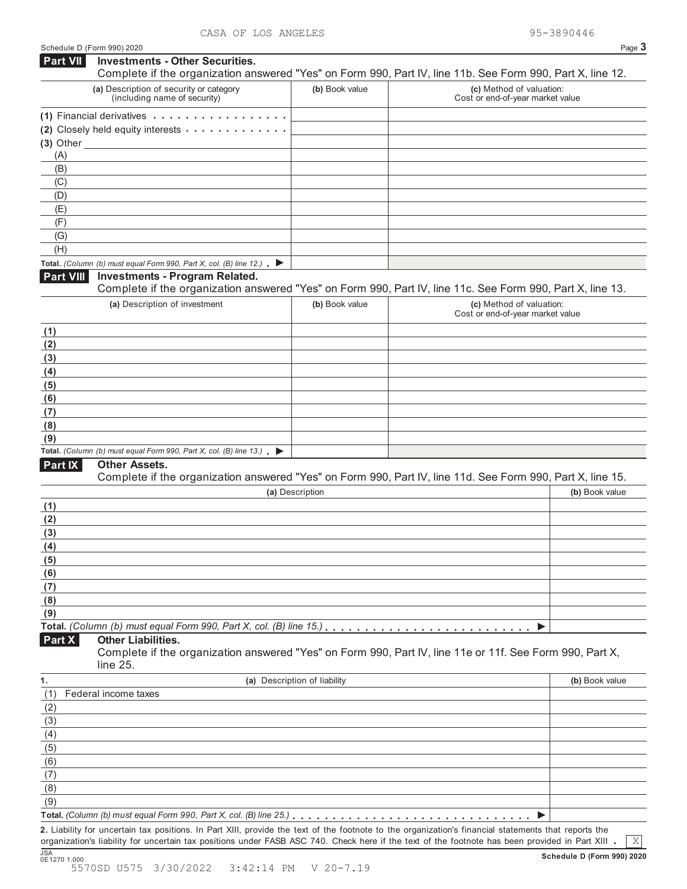|                  | Schedule D (Form 990) 2020                                                                                                                                                                                                                                                                               |                              |                                                              | Page 3         |
|------------------|----------------------------------------------------------------------------------------------------------------------------------------------------------------------------------------------------------------------------------------------------------------------------------------------------------|------------------------------|--------------------------------------------------------------|----------------|
| <b>Part VII</b>  | <b>Investments - Other Securities.</b><br>Complete if the organization answered "Yes" on Form 990, Part IV, line 11b. See Form 990, Part X, line 12.                                                                                                                                                     |                              |                                                              |                |
|                  | (a) Description of security or category<br>(including name of security)                                                                                                                                                                                                                                  | (b) Book value               | (c) Method of valuation:<br>Cost or end-of-year market value |                |
|                  | $(1)$ Financial derivatives $\cdots$                                                                                                                                                                                                                                                                     |                              |                                                              |                |
|                  | (2) Closely held equity interests                                                                                                                                                                                                                                                                        |                              |                                                              |                |
| (A)              | $(3)$ Other $\qquad$                                                                                                                                                                                                                                                                                     |                              |                                                              |                |
| (B)              |                                                                                                                                                                                                                                                                                                          |                              |                                                              |                |
| (C)              |                                                                                                                                                                                                                                                                                                          |                              |                                                              |                |
| (D)              |                                                                                                                                                                                                                                                                                                          |                              |                                                              |                |
| (E)              |                                                                                                                                                                                                                                                                                                          |                              |                                                              |                |
| (F)              |                                                                                                                                                                                                                                                                                                          |                              |                                                              |                |
| (G)              |                                                                                                                                                                                                                                                                                                          |                              |                                                              |                |
| (H)              |                                                                                                                                                                                                                                                                                                          |                              |                                                              |                |
|                  | Total. (Column (b) must equal Form 990, Part X, col. (B) line 12.) $\blacktriangleright$                                                                                                                                                                                                                 |                              |                                                              |                |
| <b>Part VIII</b> | <b>Investments - Program Related.</b><br>Complete if the organization answered "Yes" on Form 990, Part IV, line 11c. See Form 990, Part X, line 13.                                                                                                                                                      |                              |                                                              |                |
|                  | (a) Description of investment                                                                                                                                                                                                                                                                            | (b) Book value               | (c) Method of valuation:                                     |                |
|                  |                                                                                                                                                                                                                                                                                                          |                              | Cost or end-of-year market value                             |                |
| (1)              |                                                                                                                                                                                                                                                                                                          |                              |                                                              |                |
| (2)              |                                                                                                                                                                                                                                                                                                          |                              |                                                              |                |
| (3)              |                                                                                                                                                                                                                                                                                                          |                              |                                                              |                |
| (4)              |                                                                                                                                                                                                                                                                                                          |                              |                                                              |                |
| (5)              |                                                                                                                                                                                                                                                                                                          |                              |                                                              |                |
| (6)              |                                                                                                                                                                                                                                                                                                          |                              |                                                              |                |
| (7)              |                                                                                                                                                                                                                                                                                                          |                              |                                                              |                |
| (8)              |                                                                                                                                                                                                                                                                                                          |                              |                                                              |                |
| (9)              | Total. (Column (b) must equal Form 990, Part X, col. (B) line 13.) $\blacktriangleright$                                                                                                                                                                                                                 |                              |                                                              |                |
| Part IX          | <b>Other Assets.</b>                                                                                                                                                                                                                                                                                     |                              |                                                              |                |
|                  | Complete if the organization answered "Yes" on Form 990, Part IV, line 11d. See Form 990, Part X, line 15.                                                                                                                                                                                               |                              |                                                              |                |
|                  |                                                                                                                                                                                                                                                                                                          | (a) Description              |                                                              | (b) Book value |
| (1)              |                                                                                                                                                                                                                                                                                                          |                              |                                                              |                |
| (2)              |                                                                                                                                                                                                                                                                                                          |                              |                                                              |                |
| (3)              |                                                                                                                                                                                                                                                                                                          |                              |                                                              |                |
| (4)              |                                                                                                                                                                                                                                                                                                          |                              |                                                              |                |
| (5)<br>(6)       |                                                                                                                                                                                                                                                                                                          |                              |                                                              |                |
| (7)              |                                                                                                                                                                                                                                                                                                          |                              |                                                              |                |
| (8)              |                                                                                                                                                                                                                                                                                                          |                              |                                                              |                |
| (9)              |                                                                                                                                                                                                                                                                                                          |                              |                                                              |                |
|                  | Total. (Column (b) must equal Form 990, Part X, col. (B) line 15.)                                                                                                                                                                                                                                       |                              |                                                              |                |
| Part X           | <b>Other Liabilities.</b>                                                                                                                                                                                                                                                                                |                              |                                                              |                |
|                  | Complete if the organization answered "Yes" on Form 990, Part IV, line 11e or 11f. See Form 990, Part X,<br>line 25.                                                                                                                                                                                     |                              |                                                              |                |
| 1.               |                                                                                                                                                                                                                                                                                                          | (a) Description of liability |                                                              | (b) Book value |
| (1)              | Federal income taxes                                                                                                                                                                                                                                                                                     |                              |                                                              |                |
| (2)              |                                                                                                                                                                                                                                                                                                          |                              |                                                              |                |
| (3)              |                                                                                                                                                                                                                                                                                                          |                              |                                                              |                |
| (4)              |                                                                                                                                                                                                                                                                                                          |                              |                                                              |                |
| (5)              |                                                                                                                                                                                                                                                                                                          |                              |                                                              |                |
| (6)              |                                                                                                                                                                                                                                                                                                          |                              |                                                              |                |
| (7)              |                                                                                                                                                                                                                                                                                                          |                              |                                                              |                |
| (8)              |                                                                                                                                                                                                                                                                                                          |                              |                                                              |                |
| (9)              |                                                                                                                                                                                                                                                                                                          |                              |                                                              |                |
|                  |                                                                                                                                                                                                                                                                                                          |                              |                                                              |                |
|                  | 2. Liability for uncertain tax positions. In Part XIII, provide the text of the footnote to the organization's financial statements that reports the<br>organization's liability for uncertain tax positions under FASB ASC 740. Check here if the text of the footnote has been provided in Part XIII . |                              |                                                              | X              |

X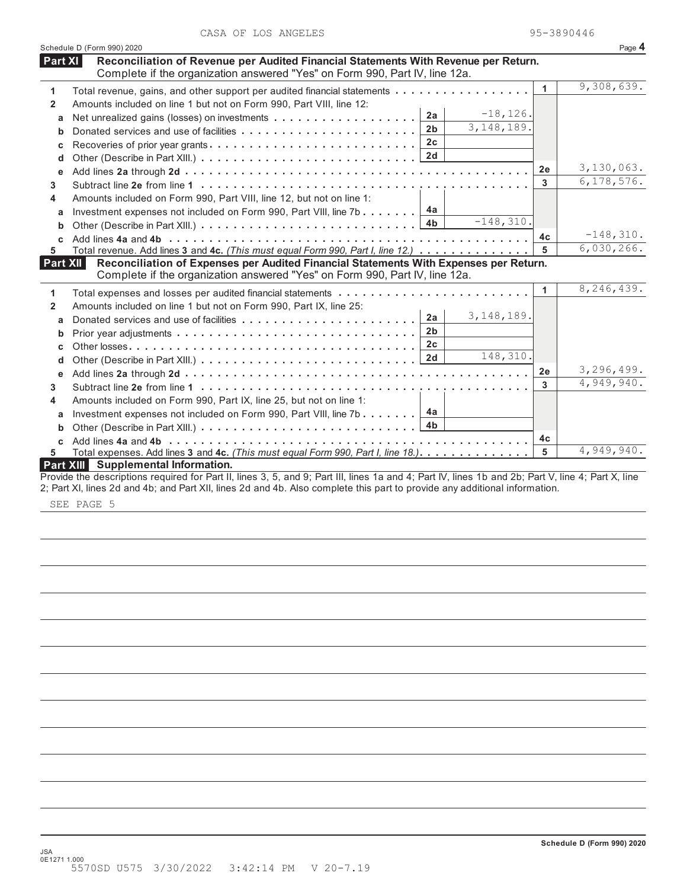|  | CASA OF LOS ANGELES | 95-3890446 |
|--|---------------------|------------|
|  |                     |            |

|              | Schedule D (Form 990) 2020                                                                                                                                         |                |              |                | Page 4       |
|--------------|--------------------------------------------------------------------------------------------------------------------------------------------------------------------|----------------|--------------|----------------|--------------|
| Part XI      | Reconciliation of Revenue per Audited Financial Statements With Revenue per Return.<br>Complete if the organization answered "Yes" on Form 990, Part IV, line 12a. |                |              |                |              |
| 1            | Total revenue, gains, and other support per audited financial statements                                                                                           |                |              | $\mathbf{1}$   | 9,308,639.   |
| $\mathbf{2}$ | Amounts included on line 1 but not on Form 990, Part VIII, line 12:                                                                                                |                |              |                |              |
|              |                                                                                                                                                                    | 2a             | $-18, 126.$  |                |              |
| a            |                                                                                                                                                                    | 2 <sub>b</sub> | 3,148,189.   |                |              |
| b            |                                                                                                                                                                    | 2 <sub>c</sub> |              |                |              |
| C            | Recoveries of prior year grants                                                                                                                                    |                |              |                |              |
| d            |                                                                                                                                                                    | 2d             |              |                |              |
| e            |                                                                                                                                                                    |                |              | 2e             | 3,130,063.   |
| 3            |                                                                                                                                                                    |                |              | 3              | 6, 178, 576. |
| 4            | Amounts included on Form 990, Part VIII, line 12, but not on line 1:                                                                                               |                |              |                |              |
| a            | Investment expenses not included on Form 990, Part VIII, line 7b                                                                                                   | 4a             |              |                |              |
| b            |                                                                                                                                                                    | 4b             | $-148, 310.$ |                |              |
|              |                                                                                                                                                                    |                |              | 4c             | $-148, 310.$ |
| 5            | Total revenue. Add lines 3 and 4c. (This must equal Form 990, Part I, line 12.)                                                                                    |                |              | 5              | 6,030,266.   |
| Part XII     | Reconciliation of Expenses per Audited Financial Statements With Expenses per Return.                                                                              |                |              |                |              |
|              | Complete if the organization answered "Yes" on Form 990, Part IV, line 12a.                                                                                        |                |              |                |              |
| 1            |                                                                                                                                                                    |                |              | 1              | 8,246,439.   |
| $\mathbf{2}$ | Amounts included on line 1 but not on Form 990, Part IX, line 25:                                                                                                  |                |              |                |              |
| a            |                                                                                                                                                                    | 2a             | 3, 148, 189. |                |              |
| b            |                                                                                                                                                                    | 2 <sub>b</sub> |              |                |              |
|              |                                                                                                                                                                    | 2 <sub>c</sub> |              |                |              |
| C            |                                                                                                                                                                    | 2d             | 148,310.     |                |              |
| d            |                                                                                                                                                                    |                |              | 2e             | 3,296,499.   |
| е            |                                                                                                                                                                    |                |              | 3              | 4,949,940.   |
| 3            |                                                                                                                                                                    |                |              |                |              |
| 4            | Amounts included on Form 990, Part IX, line 25, but not on line 1:                                                                                                 |                |              |                |              |
| a            | Investment expenses not included on Form 990, Part VIII, line 7b                                                                                                   | 4a             |              |                |              |
| b            |                                                                                                                                                                    | 4 <sub>b</sub> |              |                |              |
| C            |                                                                                                                                                                    |                |              | 4 <sub>c</sub> |              |
| 5            | Total expenses. Add lines 3 and 4c. (This must equal Form 990, Part I, line 18.).                                                                                  |                |              | 5              | 4,949,940.   |
|              | Part XIII Supplemental Information.                                                                                                                                |                |              |                |              |
|              | Provide the descriptions required for Part II, lines 3, 5, and 9; Part III, lines 1a and 4; Part IV, lines 1b and 2b; Part V, line 4; Part X, line                 |                |              |                |              |
|              | 2; Part XI, lines 2d and 4b; and Part XII, lines 2d and 4b. Also complete this part to provide any additional information.                                         |                |              |                |              |

SEE PAGE 5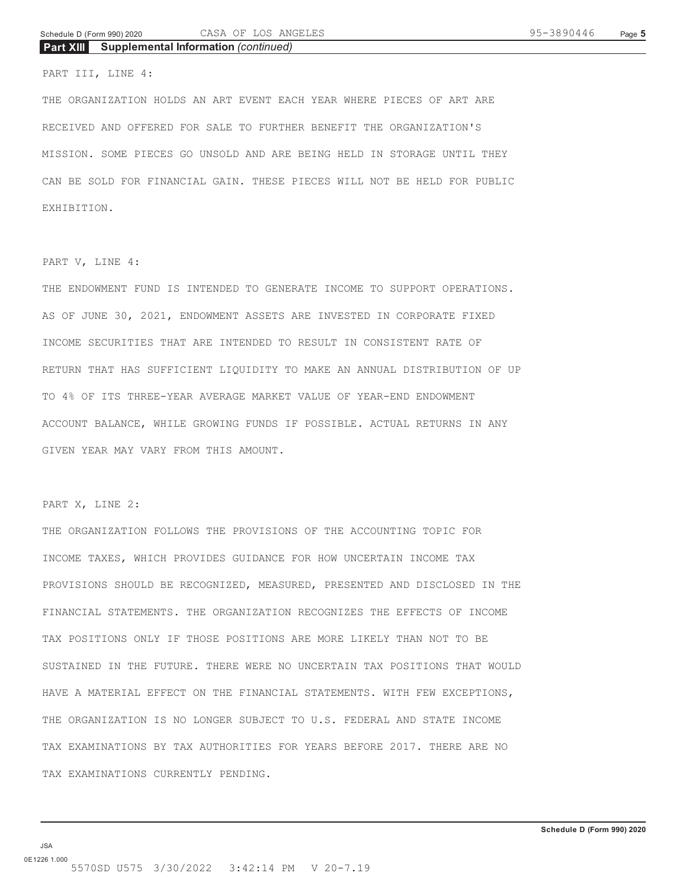**Part XIII Supplemental Information** *(continued)*

### PART III, LINE 4:

THE ORGANIZATION HOLDS AN ART EVENT EACH YEAR WHERE PIECES OF ART ARE RECEIVED AND OFFERED FOR SALE TO FURTHER BENEFIT THE ORGANIZATION'S MISSION. SOME PIECES GO UNSOLD AND ARE BEING HELD IN STORAGE UNTIL THEY CAN BE SOLD FOR FINANCIAL GAIN. THESE PIECES WILL NOT BE HELD FOR PUBLIC EXHIBITION.

## PART V, LINE 4:

THE ENDOWMENT FUND IS INTENDED TO GENERATE INCOME TO SUPPORT OPERATIONS. AS OF JUNE 30, 2021, ENDOWMENT ASSETS ARE INVESTED IN CORPORATE FIXED INCOME SECURITIES THAT ARE INTENDED TO RESULT IN CONSISTENT RATE OF RETURN THAT HAS SUFFICIENT LIQUIDITY TO MAKE AN ANNUAL DISTRIBUTION OF UP TO 4% OF ITS THREE-YEAR AVERAGE MARKET VALUE OF YEAR-END ENDOWMENT ACCOUNT BALANCE, WHILE GROWING FUNDS IF POSSIBLE. ACTUAL RETURNS IN ANY GIVEN YEAR MAY VARY FROM THIS AMOUNT.

PART X, LINE 2:

THE ORGANIZATION FOLLOWS THE PROVISIONS OF THE ACCOUNTING TOPIC FOR INCOME TAXES, WHICH PROVIDES GUIDANCE FOR HOW UNCERTAIN INCOME TAX PROVISIONS SHOULD BE RECOGNIZED, MEASURED, PRESENTED AND DISCLOSED IN THE FINANCIAL STATEMENTS. THE ORGANIZATION RECOGNIZES THE EFFECTS OF INCOME TAX POSITIONS ONLY IF THOSE POSITIONS ARE MORE LIKELY THAN NOT TO BE SUSTAINED IN THE FUTURE. THERE WERE NO UNCERTAIN TAX POSITIONS THAT WOULD HAVE A MATERIAL EFFECT ON THE FINANCIAL STATEMENTS. WITH FEW EXCEPTIONS, THE ORGANIZATION IS NO LONGER SUBJECT TO U.S. FEDERAL AND STATE INCOME TAX EXAMINATIONS BY TAX AUTHORITIES FOR YEARS BEFORE 2017. THERE ARE NO TAX EXAMINATIONS CURRENTLY PENDING.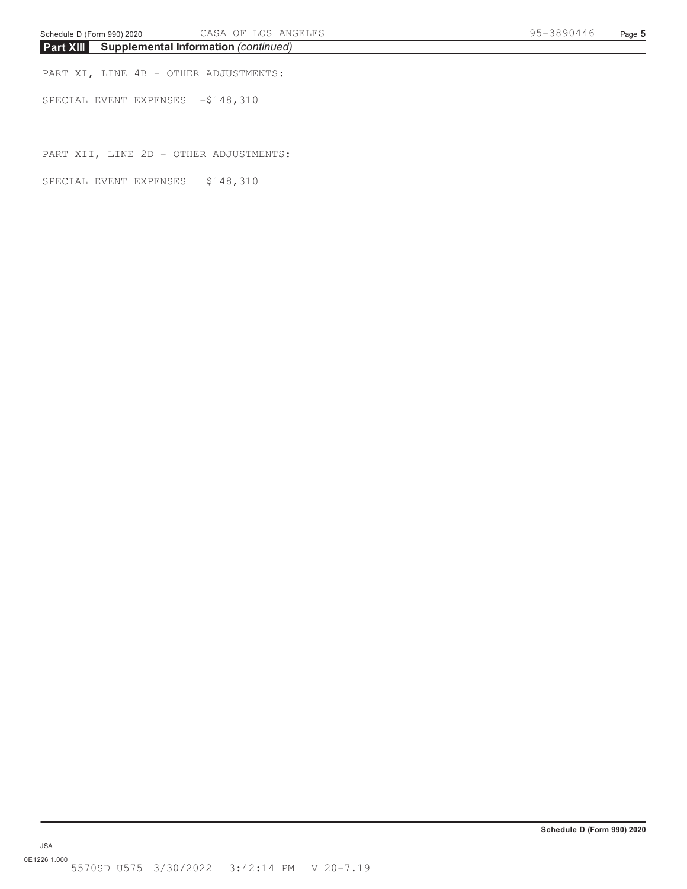**Part XIII Supplemental Information** *(continued)*

PART XI, LINE 4B - OTHER ADJUSTMENTS:

SPECIAL EVENT EXPENSES -\$148,310

PART XII, LINE 2D - OTHER ADJUSTMENTS:

SPECIAL EVENT EXPENSES \$148,310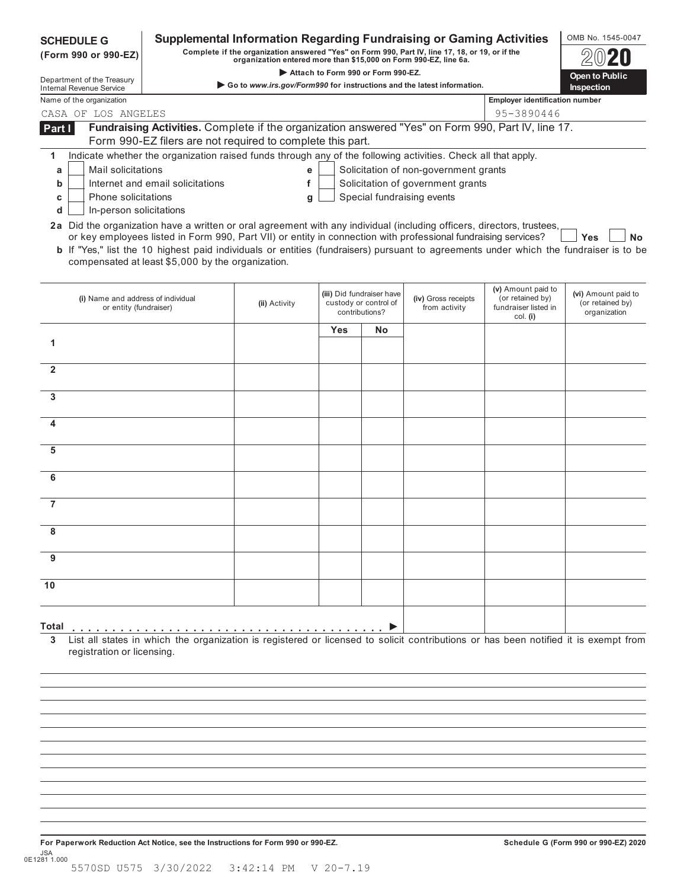| <b>SCHEDULE G</b><br>(Form 990 or 990-EZ)                                                                                                              |                                                                                                                                                                                                                                                                                                                     | <b>Supplemental Information Regarding Fundraising or Gaming Activities</b><br>Complete if the organization answered "Yes" on Form 990, Part IV, line 17, 18, or 19, or if the<br>organization entered more than \$15,000 on Form 990-EZ, line 6a. |     |                                                                      |                                       |                                                                            | OMB No. 1545-0047                                       |
|--------------------------------------------------------------------------------------------------------------------------------------------------------|---------------------------------------------------------------------------------------------------------------------------------------------------------------------------------------------------------------------------------------------------------------------------------------------------------------------|---------------------------------------------------------------------------------------------------------------------------------------------------------------------------------------------------------------------------------------------------|-----|----------------------------------------------------------------------|---------------------------------------|----------------------------------------------------------------------------|---------------------------------------------------------|
| Department of the Treasury                                                                                                                             |                                                                                                                                                                                                                                                                                                                     |                                                                                                                                                                                                                                                   |     | Attach to Form 990 or Form 990-EZ.                                   |                                       |                                                                            | <b>Open to Public</b>                                   |
| <b>Internal Revenue Service</b>                                                                                                                        |                                                                                                                                                                                                                                                                                                                     | Go to www.irs.gov/Form990 for instructions and the latest information.                                                                                                                                                                            |     |                                                                      |                                       |                                                                            | <b>Inspection</b>                                       |
| Name of the organization                                                                                                                               |                                                                                                                                                                                                                                                                                                                     |                                                                                                                                                                                                                                                   |     |                                                                      |                                       | <b>Employer identification number</b>                                      |                                                         |
| CASA OF LOS ANGELES                                                                                                                                    |                                                                                                                                                                                                                                                                                                                     |                                                                                                                                                                                                                                                   |     |                                                                      |                                       | 95-3890446                                                                 |                                                         |
| Part I                                                                                                                                                 | Fundraising Activities. Complete if the organization answered "Yes" on Form 990, Part IV, line 17.<br>Form 990-EZ filers are not required to complete this part.                                                                                                                                                    |                                                                                                                                                                                                                                                   |     |                                                                      |                                       |                                                                            |                                                         |
| 1                                                                                                                                                      | Indicate whether the organization raised funds through any of the following activities. Check all that apply.                                                                                                                                                                                                       |                                                                                                                                                                                                                                                   |     |                                                                      |                                       |                                                                            |                                                         |
| Mail solicitations<br>а                                                                                                                                |                                                                                                                                                                                                                                                                                                                     | е                                                                                                                                                                                                                                                 |     |                                                                      | Solicitation of non-government grants |                                                                            |                                                         |
| b                                                                                                                                                      | Internet and email solicitations                                                                                                                                                                                                                                                                                    | f                                                                                                                                                                                                                                                 |     |                                                                      | Solicitation of government grants     |                                                                            |                                                         |
| Phone solicitations<br>с                                                                                                                               |                                                                                                                                                                                                                                                                                                                     | g                                                                                                                                                                                                                                                 |     |                                                                      | Special fundraising events            |                                                                            |                                                         |
| In-person solicitations<br>d<br>2a Did the organization have a written or oral agreement with any individual (including officers, directors, trustees, |                                                                                                                                                                                                                                                                                                                     |                                                                                                                                                                                                                                                   |     |                                                                      |                                       |                                                                            |                                                         |
|                                                                                                                                                        | or key employees listed in Form 990, Part VII) or entity in connection with professional fundraising services?<br><b>b</b> If "Yes," list the 10 highest paid individuals or entities (fundraisers) pursuant to agreements under which the fundraiser is to be<br>compensated at least \$5,000 by the organization. |                                                                                                                                                                                                                                                   |     |                                                                      |                                       |                                                                            | Yes<br>Nο                                               |
| (i) Name and address of individual<br>or entity (fundraiser)                                                                                           |                                                                                                                                                                                                                                                                                                                     | (ii) Activity                                                                                                                                                                                                                                     |     | (iii) Did fundraiser have<br>custody or control of<br>contributions? | (iv) Gross receipts<br>from activity  | (v) Amount paid to<br>(or retained by)<br>fundraiser listed in<br>col. (i) | (vi) Amount paid to<br>(or retained by)<br>organization |
|                                                                                                                                                        |                                                                                                                                                                                                                                                                                                                     |                                                                                                                                                                                                                                                   | Yes | No                                                                   |                                       |                                                                            |                                                         |
| 1                                                                                                                                                      |                                                                                                                                                                                                                                                                                                                     |                                                                                                                                                                                                                                                   |     |                                                                      |                                       |                                                                            |                                                         |
|                                                                                                                                                        |                                                                                                                                                                                                                                                                                                                     |                                                                                                                                                                                                                                                   |     |                                                                      |                                       |                                                                            |                                                         |
| $\overline{2}$                                                                                                                                         |                                                                                                                                                                                                                                                                                                                     |                                                                                                                                                                                                                                                   |     |                                                                      |                                       |                                                                            |                                                         |
| 3                                                                                                                                                      |                                                                                                                                                                                                                                                                                                                     |                                                                                                                                                                                                                                                   |     |                                                                      |                                       |                                                                            |                                                         |
| 4                                                                                                                                                      |                                                                                                                                                                                                                                                                                                                     |                                                                                                                                                                                                                                                   |     |                                                                      |                                       |                                                                            |                                                         |
| 5                                                                                                                                                      |                                                                                                                                                                                                                                                                                                                     |                                                                                                                                                                                                                                                   |     |                                                                      |                                       |                                                                            |                                                         |
| 6                                                                                                                                                      |                                                                                                                                                                                                                                                                                                                     |                                                                                                                                                                                                                                                   |     |                                                                      |                                       |                                                                            |                                                         |
| 7                                                                                                                                                      |                                                                                                                                                                                                                                                                                                                     |                                                                                                                                                                                                                                                   |     |                                                                      |                                       |                                                                            |                                                         |
|                                                                                                                                                        |                                                                                                                                                                                                                                                                                                                     |                                                                                                                                                                                                                                                   |     |                                                                      |                                       |                                                                            |                                                         |
|                                                                                                                                                        |                                                                                                                                                                                                                                                                                                                     |                                                                                                                                                                                                                                                   |     |                                                                      |                                       |                                                                            |                                                         |
| 9                                                                                                                                                      |                                                                                                                                                                                                                                                                                                                     |                                                                                                                                                                                                                                                   |     |                                                                      |                                       |                                                                            |                                                         |
| 10                                                                                                                                                     |                                                                                                                                                                                                                                                                                                                     |                                                                                                                                                                                                                                                   |     |                                                                      |                                       |                                                                            |                                                         |
| Total<br>3<br>registration or licensing.                                                                                                               | List all states in which the organization is registered or licensed to solicit contributions or has been notified it is exempt from                                                                                                                                                                                 |                                                                                                                                                                                                                                                   |     |                                                                      |                                       |                                                                            |                                                         |
|                                                                                                                                                        |                                                                                                                                                                                                                                                                                                                     |                                                                                                                                                                                                                                                   |     |                                                                      |                                       |                                                                            |                                                         |

**For Paperwork Reduction Act Notice, see the Instructions for Form 990 or 990-EZ. Schedule G (Form 990 or 990-EZ) 2020** JSA 0E1281 1.000 5570SD U575 3/30/2022 3:42:14 PM V 20-7.19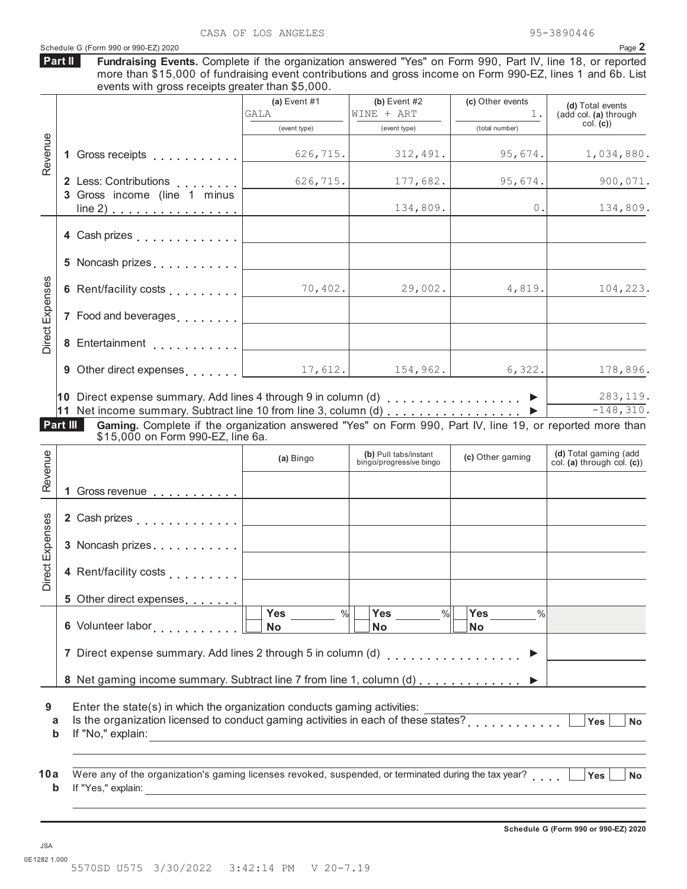|                                | events with gross receipts greater than \$5,000.                                                                                              | (a) Event $#1$<br>GALA            | (b) Event $#2$<br>WINE + ART      | (c) Other events<br>1.            | (d) Total events<br>(add col. (a) through                                                   |
|--------------------------------|-----------------------------------------------------------------------------------------------------------------------------------------------|-----------------------------------|-----------------------------------|-----------------------------------|---------------------------------------------------------------------------------------------|
| Revenue                        |                                                                                                                                               | (event type)                      | (event type)                      | (total number)                    | col. (c)                                                                                    |
|                                | 1 Gross receipts                                                                                                                              | 626, 715.                         | 312,491.                          | 95,674.                           | 1,034,880.                                                                                  |
|                                | 2 Less: Contributions<br>3 Gross income (line 1 minus                                                                                         | 626, 715.                         | 177,682.                          | 95,674.                           | 900,071.                                                                                    |
|                                | <u>line 2)</u>                                                                                                                                |                                   | 134,809.                          | $0$ .                             | 134,809.                                                                                    |
|                                | 4 Cash prizes                                                                                                                                 |                                   |                                   |                                   |                                                                                             |
|                                | 5 Noncash prizes                                                                                                                              |                                   |                                   |                                   |                                                                                             |
|                                | 6 Rent/facility costs                                                                                                                         | 70,402.                           | 29,002.                           | 4,819.                            | 104,223.                                                                                    |
|                                | 7 Food and beverages                                                                                                                          |                                   |                                   |                                   |                                                                                             |
|                                | 8 Entertainment                                                                                                                               |                                   |                                   |                                   |                                                                                             |
|                                |                                                                                                                                               |                                   |                                   |                                   |                                                                                             |
|                                | 9 Other direct expenses $\ldots$ $\vert$ 17, 612.<br>10 Direct expense summary. Add lines 4 through 9 in column (d) $\ldots$ ,,,,,,,,,,,,,,,, |                                   | 154,962.                          | 6,322.                            |                                                                                             |
| Part III                       | Gaming. Complete if the organization answered "Yes" on Form 990, Part IV, line 19, or reported more than<br>\$15,000 on Form 990-EZ, line 6a. |                                   | (b) Pull tabs/instant             |                                   |                                                                                             |
|                                |                                                                                                                                               | (a) Bingo                         | bingo/progressive bingo           | (c) Other gaming                  |                                                                                             |
|                                | Gross revenue <b>contract contract contract contract contract contract contract contract contract contract contract</b>                       |                                   |                                   |                                   |                                                                                             |
|                                |                                                                                                                                               |                                   |                                   |                                   |                                                                                             |
|                                | 3 Noncash prizes                                                                                                                              |                                   |                                   |                                   |                                                                                             |
|                                | 4 Rent/facility costs                                                                                                                         |                                   |                                   |                                   | 178,896.<br>283, 119.<br>$-148,310.$<br>(d) Total gaming (add<br>col. (a) through col. (c)) |
|                                | 5 Other direct expenses                                                                                                                       |                                   |                                   |                                   |                                                                                             |
|                                |                                                                                                                                               | $\frac{9}{6}$<br>Yes<br><b>No</b> | Yes<br>$\frac{9}{6}$<br><b>No</b> | Yes<br>$\frac{0}{0}$<br><b>No</b> |                                                                                             |
| Revenue<br>ses<br>Direct Exper | 7 Direct expense summary. Add lines 2 through 5 in column (d)                                                                                 |                                   |                                   | . <b>.</b> .<br>▶                 |                                                                                             |
|                                | 8 Net gaming income summary. Subtract line 7 from line 1, column (d)                                                                          |                                   |                                   |                                   |                                                                                             |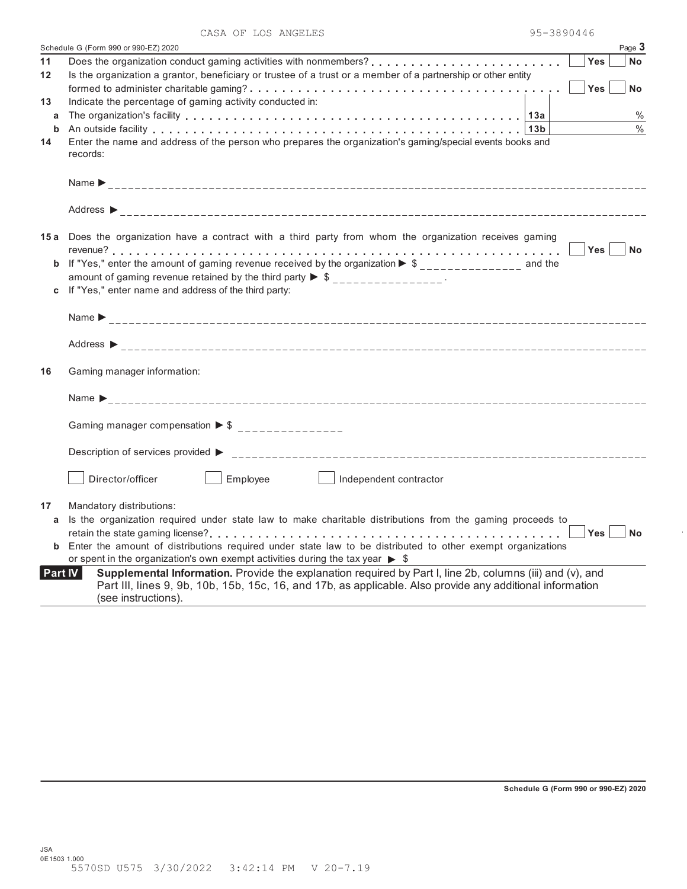|             | Schedule G (Form 990 or 990-EZ) 2020                                                                                                                                                                                                          | Page 3    |
|-------------|-----------------------------------------------------------------------------------------------------------------------------------------------------------------------------------------------------------------------------------------------|-----------|
| 11          | <b>Yes</b>                                                                                                                                                                                                                                    | <b>No</b> |
| 12          | Is the organization a grantor, beneficiary or trustee of a trust or a member of a partnership or other entity                                                                                                                                 |           |
|             | Yes                                                                                                                                                                                                                                           | <b>No</b> |
| 13          | Indicate the percentage of gaming activity conducted in:                                                                                                                                                                                      |           |
| a           |                                                                                                                                                                                                                                               | $\%$      |
| b           | An outside facility enterpreteration of the control of the control of the control of the control of the control of the control of the control of the control of the control of the control of the control of the control of th                | $\%$      |
| 14          | Enter the name and address of the person who prepares the organization's gaming/special events books and<br>records:                                                                                                                          |           |
|             | Name $\sum_{-2}$                                                                                                                                                                                                                              |           |
|             |                                                                                                                                                                                                                                               |           |
|             | 15a Does the organization have a contract with a third party from whom the organization receives gaming                                                                                                                                       |           |
|             | Yes   INo                                                                                                                                                                                                                                     |           |
| $\mathbf b$ | If "Yes," enter the amount of gaming revenue received by the organization $\blacktriangleright$ \$ ______________ and the                                                                                                                     |           |
|             | amount of gaming revenue retained by the third party $\triangleright$ \$ _______________.                                                                                                                                                     |           |
|             | If "Yes," enter name and address of the third party:                                                                                                                                                                                          |           |
|             |                                                                                                                                                                                                                                               |           |
|             |                                                                                                                                                                                                                                               |           |
| 16          | Gaming manager information:                                                                                                                                                                                                                   |           |
|             | Name $\sum_{-1}$                                                                                                                                                                                                                              |           |
|             | Gaming manager compensation $\triangleright$ \$ ________________                                                                                                                                                                              |           |
|             |                                                                                                                                                                                                                                               |           |
|             | Director/officer<br>Employee<br>$\vert$   Independent contractor                                                                                                                                                                              |           |
| 17          | Mandatory distributions:                                                                                                                                                                                                                      |           |
| a           | Is the organization required under state law to make charitable distributions from the gaming proceeds to                                                                                                                                     |           |
|             | Yes                                                                                                                                                                                                                                           | <b>No</b> |
| b           | Enter the amount of distributions required under state law to be distributed to other exempt organizations                                                                                                                                    |           |
|             | or spent in the organization's own exempt activities during the tax year $\triangleright$ \$                                                                                                                                                  |           |
| Part IV     | Supplemental Information. Provide the explanation required by Part I, line 2b, columns (iii) and (v), and<br>Part III, lines 9, 9b, 10b, 15b, 15c, 16, and 17b, as applicable. Also provide any additional information<br>(see instructions). |           |
|             |                                                                                                                                                                                                                                               |           |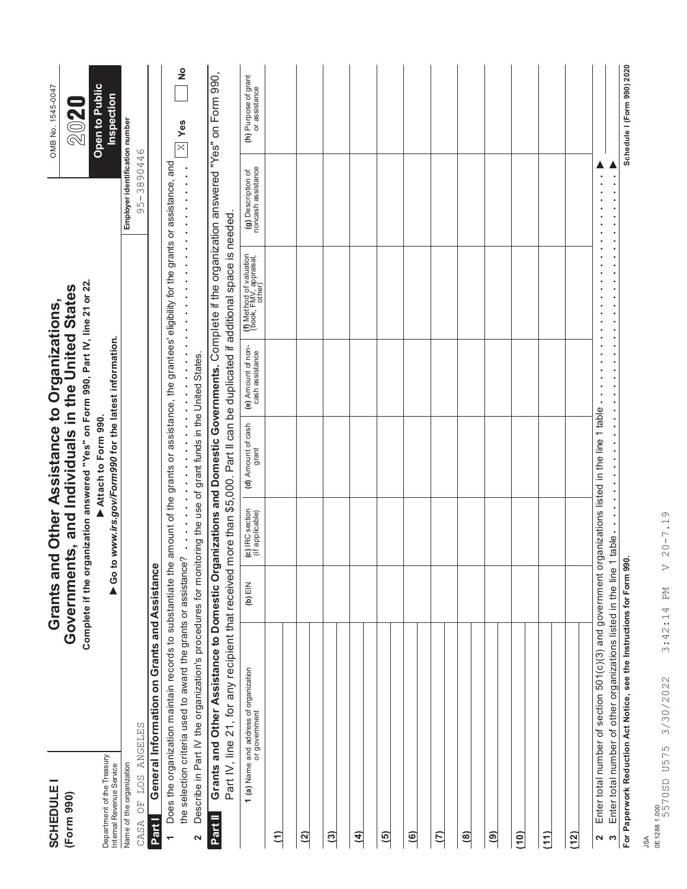| <b>SCHEDULE1</b>                                       |                                                                                                                                                                                 |            |                                    | Grants and Other Assistance to Organizations,                                                                                |                                       |                                                                                                 |                                          | OMB No. 1545-0047                     |
|--------------------------------------------------------|---------------------------------------------------------------------------------------------------------------------------------------------------------------------------------|------------|------------------------------------|------------------------------------------------------------------------------------------------------------------------------|---------------------------------------|-------------------------------------------------------------------------------------------------|------------------------------------------|---------------------------------------|
| (Form 990)                                             |                                                                                                                                                                                 | Government |                                    | Complete if the organization answered "Yes" on Form 990, Part IV, line 21 or 22.<br>ts, and Individuals in the United States |                                       |                                                                                                 |                                          | 2020                                  |
| Department of the Treasury<br>Internal Revenue Service |                                                                                                                                                                                 |            |                                    | Go to www.irs.gov/Form990 for the latest information.<br>Attach to Form 990.                                                 |                                       |                                                                                                 |                                          | Open to Public<br>Inspection          |
| Name of the organization                               |                                                                                                                                                                                 |            |                                    |                                                                                                                              |                                       |                                                                                                 | Employer identification number           |                                       |
| <b>EOS</b><br>$\overline{C}$<br>CASA                   | ANGELES                                                                                                                                                                         |            |                                    |                                                                                                                              |                                       |                                                                                                 | 95-3890446                               |                                       |
| Part I                                                 | General Information on Grants and Assistance                                                                                                                                    |            |                                    |                                                                                                                              |                                       |                                                                                                 |                                          |                                       |
| $\overline{\phantom{0}}$                               | Does the organization maintain records to substantiate the                                                                                                                      |            |                                    |                                                                                                                              |                                       | amount of the grants or assistance, the grantees' eligibility for the grants or assistance, and |                                          |                                       |
| 2                                                      | Describe in Part IV the organization's procedures for monitoring the use of grant funds in the United States.<br>the selection criteria used to award the grants or assistance? |            | $\ddot{\cdot}$                     | ,,,,,,,,,,,,,,,,,,,,,,,,,,,,,,,                                                                                              |                                       | ,,,,,,,,,,,,,,,,,                                                                               |                                          | $\frac{1}{2}$<br>$\times$ Yes         |
| Part II                                                | Grants and Other Assistance to Domestic Organizations and Domestic Governments. Complete if the organization answered "Yes" on Form 990,                                        |            |                                    |                                                                                                                              |                                       |                                                                                                 |                                          |                                       |
|                                                        | Part IV, line 21, for any recipient that received more than \$5,000. Part II can be duplicated if additional space is needed.                                                   |            |                                    |                                                                                                                              |                                       |                                                                                                 |                                          |                                       |
|                                                        | <b>1 (a)</b> Name and address of organization<br>or government                                                                                                                  | $(b)$ EIN  | (c) IRC section<br>(if applicable) | (d) Amount of cash<br>grant                                                                                                  | (e) Amount of non-<br>cash assistance | (f) Method of valuation<br>(book, FMV, appraisal,<br>other)                                     | (g) Description of<br>noncash assistance | (h) Purpose of grant<br>or assistance |
| $\widehat{\epsilon}$                                   |                                                                                                                                                                                 |            |                                    |                                                                                                                              |                                       |                                                                                                 |                                          |                                       |
| (2)                                                    |                                                                                                                                                                                 |            |                                    |                                                                                                                              |                                       |                                                                                                 |                                          |                                       |
| $\overline{3}$                                         |                                                                                                                                                                                 |            |                                    |                                                                                                                              |                                       |                                                                                                 |                                          |                                       |
| $\overline{4}$                                         |                                                                                                                                                                                 |            |                                    |                                                                                                                              |                                       |                                                                                                 |                                          |                                       |
| $\overline{5}$                                         |                                                                                                                                                                                 |            |                                    |                                                                                                                              |                                       |                                                                                                 |                                          |                                       |
| $\widehat{\mathbf{e}}$                                 |                                                                                                                                                                                 |            |                                    |                                                                                                                              |                                       |                                                                                                 |                                          |                                       |
| $\tilde{\epsilon}$                                     |                                                                                                                                                                                 |            |                                    |                                                                                                                              |                                       |                                                                                                 |                                          |                                       |
| (8)                                                    |                                                                                                                                                                                 |            |                                    |                                                                                                                              |                                       |                                                                                                 |                                          |                                       |
| $\widehat{\mathbf{e}}$                                 |                                                                                                                                                                                 |            |                                    |                                                                                                                              |                                       |                                                                                                 |                                          |                                       |
| (10)                                                   |                                                                                                                                                                                 |            |                                    |                                                                                                                              |                                       |                                                                                                 |                                          |                                       |
| (11)                                                   |                                                                                                                                                                                 |            |                                    |                                                                                                                              |                                       |                                                                                                 |                                          |                                       |
| (12)                                                   |                                                                                                                                                                                 |            |                                    |                                                                                                                              |                                       |                                                                                                 |                                          |                                       |
| $\infty$<br>2                                          | Enter total number of section 501(c)(3) and government organizations listed in the line 1 table<br>Enter total number of other organizations listed in the line 1               |            | table.                             |                                                                                                                              |                                       |                                                                                                 |                                          |                                       |
|                                                        | For Paperwork Reduction Act Notice, see the Instructions for Form 990                                                                                                           |            |                                    |                                                                                                                              |                                       |                                                                                                 |                                          | Schedule I (Form 990) 2020            |
| <b>ASL</b>                                             |                                                                                                                                                                                 |            |                                    |                                                                                                                              |                                       |                                                                                                 |                                          |                                       |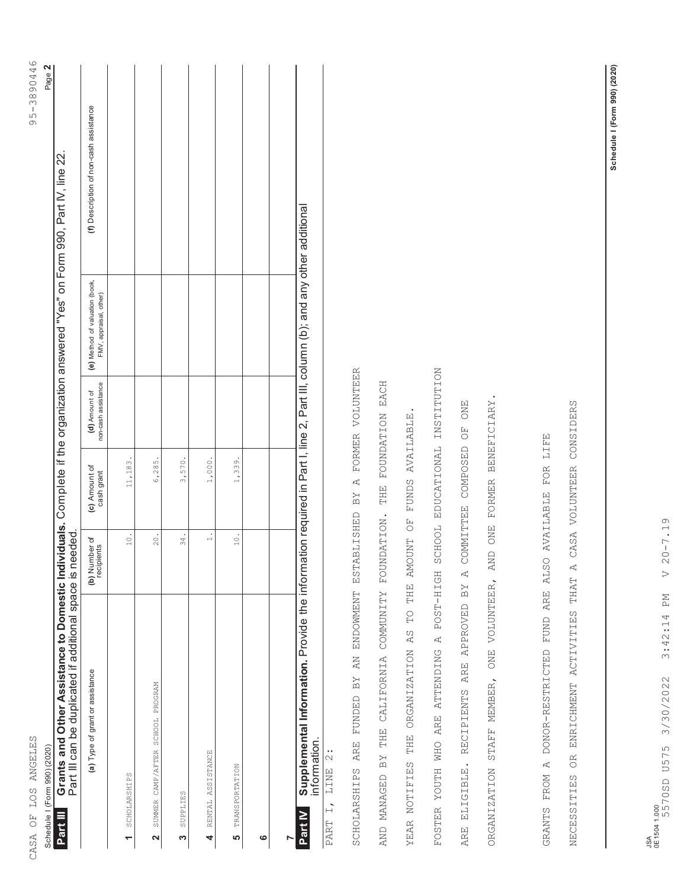| j                                                      |  |
|--------------------------------------------------------|--|
| ֠<br>$\frac{\alpha}{\gamma}$<br>ì                      |  |
| $\frac{1}{2}$<br>)<br>$\overline{a}$<br>$\overline{1}$ |  |
| Į<br>ſ<br>r<br>S                                       |  |
|                                                        |  |
|                                                        |  |
|                                                        |  |
|                                                        |  |
|                                                        |  |
|                                                        |  |
|                                                        |  |
|                                                        |  |
|                                                        |  |
|                                                        |  |
|                                                        |  |
|                                                        |  |
|                                                        |  |
|                                                        |  |
|                                                        |  |
|                                                        |  |
|                                                        |  |
|                                                        |  |
|                                                        |  |
|                                                        |  |
|                                                        |  |
|                                                        |  |
|                                                        |  |
|                                                        |  |
|                                                        |  |
|                                                        |  |
|                                                        |  |
|                                                        |  |
|                                                        |  |
|                                                        |  |
|                                                        |  |
|                                                        |  |
|                                                        |  |
|                                                        |  |
|                                                        |  |
|                                                        |  |
|                                                        |  |
|                                                        |  |
|                                                        |  |
|                                                        |  |
|                                                        |  |
|                                                        |  |
|                                                        |  |
|                                                        |  |
|                                                        |  |
|                                                        |  |
|                                                        |  |
|                                                        |  |
|                                                        |  |
|                                                        |  |
|                                                        |  |
|                                                        |  |
|                                                        |  |
|                                                        |  |
|                                                        |  |
|                                                        |  |
|                                                        |  |
|                                                        |  |
|                                                        |  |
|                                                        |  |
|                                                        |  |
|                                                        |  |
|                                                        |  |
|                                                        |  |
| CASA OF LOS ANGELES<br>コロココフェス                         |  |
|                                                        |  |
|                                                        |  |
|                                                        |  |
|                                                        |  |
|                                                        |  |
|                                                        |  |
|                                                        |  |
|                                                        |  |
|                                                        |  |
|                                                        |  |
|                                                        |  |
|                                                        |  |

95-3890446 Page 2

Schedule I (Form 990) (2020) Page **2** Schedule I (Form 990) (2020) **Part III**

Grants and Other Assistance to Domestic Individuals. Complete if the organization answered "Yes" on Form 990, Part IV, line 22.<br>Part III can be duplicated if additional space is needed. **Grants and Other Assistance to Domestic Individuals.** Complete if the organization answered "Yes" on Form 990, Part IV, line 22. Part III can be duplicated if additional space is needed.

| (a) Type of grant or assistance                                                                                                                      | (b) Number of<br>recipients | (c) Amount of<br>cash grant | non-cash assistance<br>(d) Amount of | (e) Method of valuation (book,<br>FMV, appraisal, other) | (f) Description of non-cash assistance |
|------------------------------------------------------------------------------------------------------------------------------------------------------|-----------------------------|-----------------------------|--------------------------------------|----------------------------------------------------------|----------------------------------------|
| SCHOLARSHIPS                                                                                                                                         | 10.                         | 11,183.                     |                                      |                                                          |                                        |
| 2 SUMMER CAMP/AFTER SCHOOL PROGRAM                                                                                                                   | 20.                         | 6,285.                      |                                      |                                                          |                                        |
| SUPPLIES<br>m                                                                                                                                        | 34.                         | 3,570.                      |                                      |                                                          |                                        |
| RENTAL ASSISTANCE<br>4                                                                                                                               | $\overline{a}$              | $1,000$ .                   |                                      |                                                          |                                        |
| <b>TRANSPORTATION</b><br>ဖ                                                                                                                           | 10.                         | 1,339.                      |                                      |                                                          |                                        |
| ဖ                                                                                                                                                    |                             |                             |                                      |                                                          |                                        |
|                                                                                                                                                      |                             |                             |                                      |                                                          |                                        |
| Part IV Supplemental Information. Provide the information required in Part I, line 2, Part III, column (b); and any other additional<br>information. |                             |                             |                                      |                                                          |                                        |

LINE 2: PART I, LINE 2:  $\overline{a}$  $\overline{\text{PART}}$  SCHOLARSHIPS ARE FUNDED BY AN ENDOWMENT ESTABLISHED BY A FORMER VOLUNTEER SCHOLARSHIPS ARE FUNDED BY AN ENDOWMENT ESTABLISHED BY A FORMER VOLUNTEER

THE FOUNDATION EACH AND MANAGED BY THE CALIFORNIA COMMUNITY FOUNDATION. THE FOUNDATION EACH THE CALIFORNIA COMMUNITY FOUNDATION. AND MANAGED BY

YEAR NOTIFIES THE ORGANIZATION AS TO THE AMOUNT OF FUNDS AVAILABLE. THE AMOUNT OF FUNDS AVAILABLE.  $\overline{C}$ YEAR NOTIFIES THE ORGANIZATION AS FOSTER YOUTH WHO ARE ATTENDING A POST-HIGH SCHOOL EDUCATIONAL INSTITUTION FOSTER YOUTH WHO ARE ATTENDING A POST-HIGH SCHOOL EDUCATIONAL INSTITUTION

ARE ELIGIBLE. RECIPIENTS ARE APPROVED BY A COMMITTEE COMPOSED OF ONE ARE ELIGIBLE. RECIPIENTS ARE APPROVED BY A COMMITTEE COMPOSED OF ONE

ORGANIZATION STAFF MEMBER, ONE VOLUNTEER, AND ONE FORMER BENEFICIARY. FORMER BENEFICIARY. ONE VOLUNTEER, AND ONE ORGANIZATION STAFF MEMBER,

THAT A CASA VOLUNTEER CONSIDERS NECESSITIES OR ENRICHMENT ACTIVITIES THAT A CASA VOLUNTEER CONSIDERS GRANTS FROM A DONOR-RESTRICTED FUND ARE ALSO AVAILABLE FOR LIFE GRANTS FROM A DONOR-RESTRICTED FUND ARE ALSO AVAILABLE FOR LIFE ENRICHMENT ACTIVITIES  $\alpha$ NECESSITIES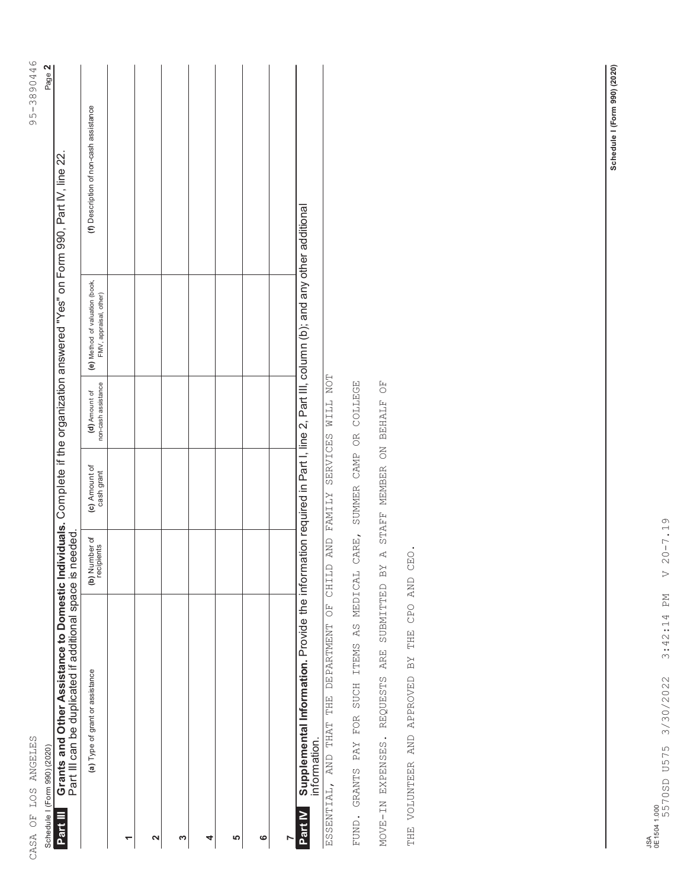| 3890446<br>リリー<br>$\frac{1}{3}$ | ¢ |
|---------------------------------|---|
|                                 |   |
|                                 |   |
|                                 |   |
|                                 |   |
|                                 |   |
|                                 |   |
|                                 |   |
|                                 |   |
|                                 |   |
| CASA OF LOS ANGELES             |   |
|                                 |   |

95-3890446 Page 2

Schedule I (Form 990) (2020) Page **2** Schedule I (Form 990) (2020)

Grants and Other Assistance to Domestic Individuals. Complete if the organization answered "Yes" on Form 990, Part IV, line 22.<br>Part III can be duplicated if additional space is needed. **Grants and Other Assistance to Domestic Individuals.** Complete if the organization answered "Yes" on Form 990, Part IV, line 22. Part III can be duplicated if additional space is needed. **Part III**

ESSENTIAL, AND THAT THE DEPARTMENT OF CHILD AND FAMILY SERVICES WILL NOT ESSENTIAL, AND THAT THE DEPARTMENT OF CHILD AND FAMILY SERVICES WILL NOT

FUND. GRANTS PAY FOR SUCH ITEMS AS MEDICAL CARE, SUMMER CAMP OR COLLEGE FUND. GRANTS PAY FOR SUCH ITEMS AS MEDICAL CARE, SUMMER CAMP OR COLLEGE

REQUESTS ARE SUBMITTED BY A STAFF MEMBER ON BEHALF OF MOVE-IN EXPENSES. REQUESTS ARE SUBMITTED BY A STAFF MEMBER ON BEHALF OF MOVE-IN EXPENSES.

THE VOLUNTEER AND APPROVED BY THE CPO AND CEO. THE VOLUNTEER AND APPROVED BY THE CPO AND CEO.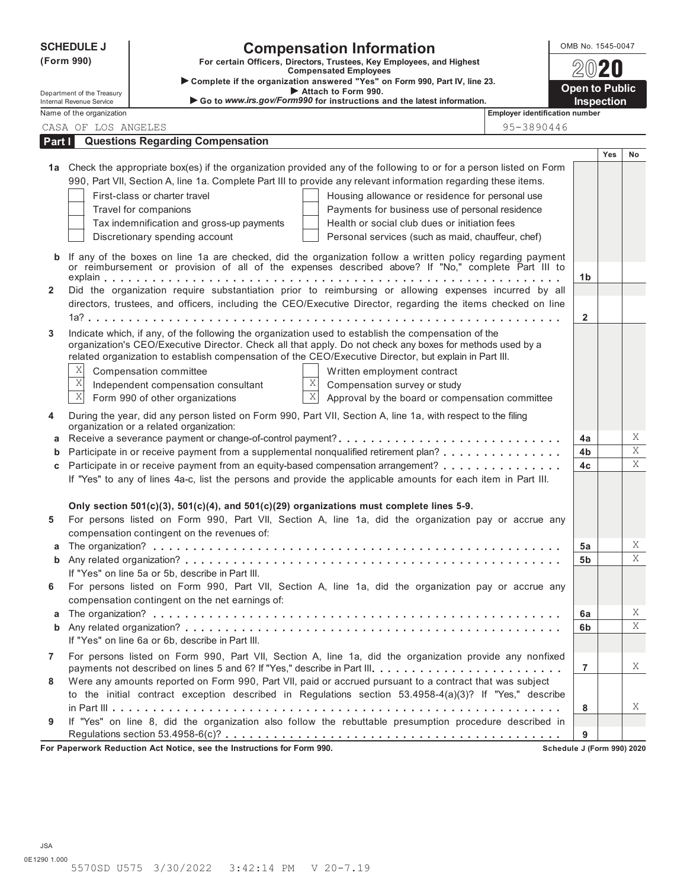|              | <b>SCHEDULE J</b>                                      |                                                                                                                                                                                                                                         |                                | <b>Compensation Information</b>                                                                            |                                       | OMB No. 1545-0047     |                   |    |
|--------------|--------------------------------------------------------|-----------------------------------------------------------------------------------------------------------------------------------------------------------------------------------------------------------------------------------------|--------------------------------|------------------------------------------------------------------------------------------------------------|---------------------------------------|-----------------------|-------------------|----|
|              | (Form 990)                                             |                                                                                                                                                                                                                                         |                                | For certain Officers, Directors, Trustees, Key Employees, and Highest                                      |                                       |                       |                   |    |
|              |                                                        |                                                                                                                                                                                                                                         |                                | <b>Compensated Employees</b><br>Complete if the organization answered "Yes" on Form 990, Part IV, line 23. |                                       |                       |                   |    |
|              | Department of the Treasury<br>Internal Revenue Service |                                                                                                                                                                                                                                         |                                | Attach to Form 990.<br>Go to www.irs.gov/Form990 for instructions and the latest information.              |                                       | <b>Open to Public</b> | <b>Inspection</b> |    |
|              | Name of the organization                               |                                                                                                                                                                                                                                         |                                |                                                                                                            | <b>Employer identification number</b> |                       |                   |    |
|              | CASA OF LOS ANGELES                                    |                                                                                                                                                                                                                                         |                                |                                                                                                            | 95-3890446                            |                       |                   |    |
| Part I       |                                                        | <b>Questions Regarding Compensation</b>                                                                                                                                                                                                 |                                |                                                                                                            |                                       |                       |                   |    |
|              |                                                        |                                                                                                                                                                                                                                         |                                |                                                                                                            |                                       |                       | <b>Yes</b>        | No |
|              |                                                        | 1a Check the appropriate box(es) if the organization provided any of the following to or for a person listed on Form<br>990, Part VII, Section A, line 1a. Complete Part III to provide any relevant information regarding these items. |                                |                                                                                                            |                                       |                       |                   |    |
|              |                                                        | First-class or charter travel                                                                                                                                                                                                           |                                |                                                                                                            |                                       |                       |                   |    |
|              |                                                        | Travel for companions                                                                                                                                                                                                                   |                                | Housing allowance or residence for personal use<br>Payments for business use of personal residence         |                                       |                       |                   |    |
|              |                                                        | Tax indemnification and gross-up payments                                                                                                                                                                                               |                                | Health or social club dues or initiation fees                                                              |                                       |                       |                   |    |
|              |                                                        | Discretionary spending account                                                                                                                                                                                                          |                                | Personal services (such as maid, chauffeur, chef)                                                          |                                       |                       |                   |    |
|              |                                                        |                                                                                                                                                                                                                                         |                                |                                                                                                            |                                       |                       |                   |    |
| $\mathbf b$  |                                                        | If any of the boxes on line 1a are checked, did the organization follow a written policy regarding payment<br>or reimbursement or provision of all of the expenses described above? If "No," complete Part III to                       |                                |                                                                                                            |                                       |                       |                   |    |
| $\mathbf{2}$ |                                                        | Did the organization require substantiation prior to reimbursing or allowing expenses incurred by all                                                                                                                                   |                                |                                                                                                            |                                       | 1b                    |                   |    |
|              |                                                        | directors, trustees, and officers, including the CEO/Executive Director, regarding the items checked on line                                                                                                                            |                                |                                                                                                            |                                       |                       |                   |    |
|              |                                                        |                                                                                                                                                                                                                                         |                                |                                                                                                            |                                       | $\overline{2}$        |                   |    |
| 3            |                                                        | Indicate which, if any, of the following the organization used to establish the compensation of the                                                                                                                                     |                                |                                                                                                            |                                       |                       |                   |    |
|              |                                                        | organization's CEO/Executive Director. Check all that apply. Do not check any boxes for methods used by a                                                                                                                               |                                |                                                                                                            |                                       |                       |                   |    |
|              |                                                        | related organization to establish compensation of the CEO/Executive Director, but explain in Part III.                                                                                                                                  |                                |                                                                                                            |                                       |                       |                   |    |
|              | X                                                      | Compensation committee                                                                                                                                                                                                                  |                                | Written employment contract                                                                                |                                       |                       |                   |    |
|              | Χ<br>$\overline{X}$                                    | Independent compensation consultant                                                                                                                                                                                                     | $\mathbf{X}$<br>$\overline{X}$ | Compensation survey or study                                                                               |                                       |                       |                   |    |
|              |                                                        | Form 990 of other organizations                                                                                                                                                                                                         |                                | Approval by the board or compensation committee                                                            |                                       |                       |                   |    |
| 4            |                                                        | During the year, did any person listed on Form 990, Part VII, Section A, line 1a, with respect to the filing<br>organization or a related organization:                                                                                 |                                |                                                                                                            |                                       |                       |                   |    |
| а            |                                                        |                                                                                                                                                                                                                                         |                                |                                                                                                            |                                       | 4a                    |                   | Χ  |
|              |                                                        | Participate in or receive payment from a supplemental nonqualified retirement plan?                                                                                                                                                     |                                |                                                                                                            |                                       | 4b                    |                   | Χ  |
|              |                                                        | Participate in or receive payment from an equity-based compensation arrangement?                                                                                                                                                        |                                |                                                                                                            |                                       | 4c                    |                   | X  |
|              |                                                        | If "Yes" to any of lines 4a-c, list the persons and provide the applicable amounts for each item in Part III.                                                                                                                           |                                |                                                                                                            |                                       |                       |                   |    |
|              |                                                        |                                                                                                                                                                                                                                         |                                |                                                                                                            |                                       |                       |                   |    |
|              |                                                        | Only section $501(c)(3)$ , $501(c)(4)$ , and $501(c)(29)$ organizations must complete lines 5-9.                                                                                                                                        |                                |                                                                                                            |                                       |                       |                   |    |
| 5            |                                                        | For persons listed on Form 990, Part VII, Section A, line 1a, did the organization pay or accrue any<br>compensation contingent on the revenues of:                                                                                     |                                |                                                                                                            |                                       |                       |                   |    |
|              |                                                        |                                                                                                                                                                                                                                         |                                |                                                                                                            |                                       | 5a                    |                   | Χ  |
|              |                                                        | If "Yes" on line 5a or 5b, describe in Part III.                                                                                                                                                                                        |                                |                                                                                                            |                                       | 5 <sub>b</sub>        |                   | X  |
| 6            |                                                        | For persons listed on Form 990, Part VII, Section A, line 1a, did the organization pay or accrue any                                                                                                                                    |                                |                                                                                                            |                                       |                       |                   |    |
|              |                                                        | compensation contingent on the net earnings of:                                                                                                                                                                                         |                                |                                                                                                            |                                       |                       |                   |    |
| а            |                                                        |                                                                                                                                                                                                                                         |                                |                                                                                                            |                                       | 6a                    |                   | X  |
|              |                                                        |                                                                                                                                                                                                                                         |                                |                                                                                                            |                                       | 6b                    |                   | X  |
|              |                                                        | If "Yes" on line 6a or 6b, describe in Part III.                                                                                                                                                                                        |                                |                                                                                                            |                                       |                       |                   |    |
| 7            |                                                        | For persons listed on Form 990, Part VII, Section A, line 1a, did the organization provide any nonfixed                                                                                                                                 |                                |                                                                                                            |                                       |                       |                   |    |
|              |                                                        |                                                                                                                                                                                                                                         |                                |                                                                                                            |                                       | $\overline{7}$        |                   | X  |
| 8            |                                                        | Were any amounts reported on Form 990, Part VII, paid or accrued pursuant to a contract that was subject                                                                                                                                |                                |                                                                                                            |                                       |                       |                   |    |
|              |                                                        | to the initial contract exception described in Regulations section 53.4958-4(a)(3)? If "Yes," describe                                                                                                                                  |                                |                                                                                                            |                                       |                       |                   | X  |
| 9            |                                                        | If "Yes" on line 8, did the organization also follow the rebuttable presumption procedure described in                                                                                                                                  |                                |                                                                                                            |                                       | 8                     |                   |    |
|              |                                                        |                                                                                                                                                                                                                                         |                                |                                                                                                            |                                       | 9                     |                   |    |
|              |                                                        |                                                                                                                                                                                                                                         |                                |                                                                                                            |                                       |                       |                   |    |

**For Paperwork Reduction Act Notice, see the Instructions for Form 990. Schedule J (Form 990) 2020**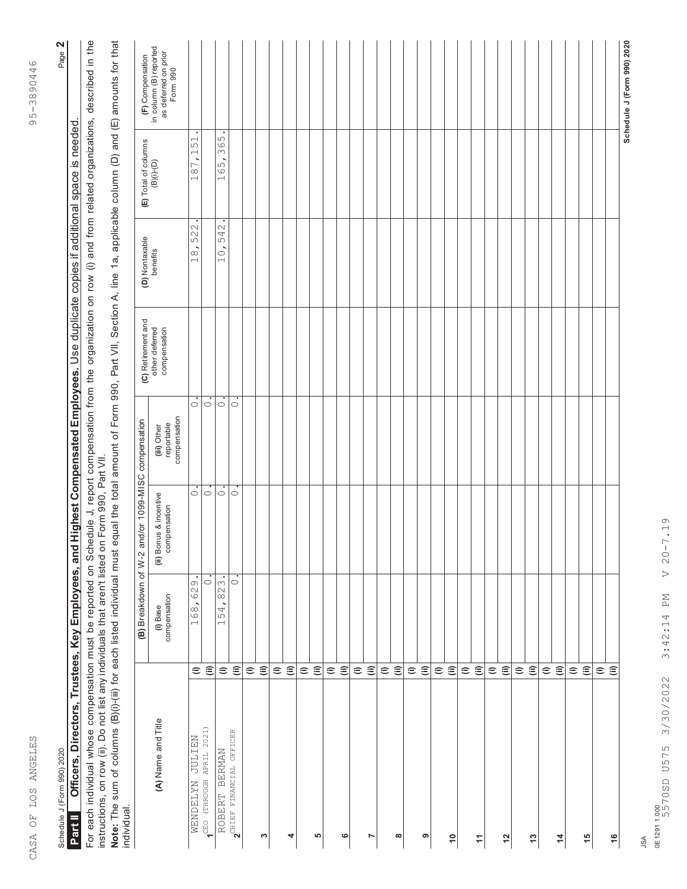| ļ<br>$\mathbf{r}$<br>11<br>11<br>Ξ<br>¢<br>$\circ$<br>こう<br>$\frac{1}{2}$<br>$-5 -$ |
|-------------------------------------------------------------------------------------|
|                                                                                     |
|                                                                                     |
|                                                                                     |
|                                                                                     |
|                                                                                     |
|                                                                                     |
|                                                                                     |
|                                                                                     |
| <u>ם הההיינו ל</u>                                                                  |
| <b>CEFFECTER CCF EC FCFI</b><br>10.4241                                             |
|                                                                                     |

95-3890446

Page 2

Schedule J (Form 990) 2020 Page **2** Schedule J (Form 990) 2020

Officers, Directors, Trustees, Key Employees, and Highest Compensated Employees. Use duplicate copies if additional space is needed. Officers, Directors, Trustees, Key Employees, and Highest Compensated Employees. Use duplicate copies if additional space is needed **Part II** 

For each individual whose compensation must be reported on Schedule J, report compensation from the organization on row (i) and from related organizations, described in the<br>instructions, on row (ii). Do not list any indivi For each individual whose compensation must be reported on Schedule J, report compensation from the organization on row (i) and from related organizations, described in the instructions, on row (ii). Do not list any individuals that aren't listed on Form 990, Part VII.

ndividual.<br>Note: The sum of columns (B)(i)-(iii) for each listed individual must equal the total amount of Form 990, Part VII, Section A, line 1a, applicable column (D) and (E) amounts for that<br>individual. **Note:** The sum of columns (B)(i)-(iii) for each listed individual must equal the total amount of Form 990, Part VII, Section A, line 1a, applicable column (D) and (E) amounts for that individual.

|                                                   |                          |                                                                                          | (B) Breakdown of W-2 and/or 1099-MISC compensation |                                           | (C) Retirement and<br>other deferred | (D) Nontaxable<br>benefits | (E) Total of columns<br>(B)(i)-(D)                  | (F) Compensation<br>in column (B) reported |
|---------------------------------------------------|--------------------------|------------------------------------------------------------------------------------------|----------------------------------------------------|-------------------------------------------|--------------------------------------|----------------------------|-----------------------------------------------------|--------------------------------------------|
| (A) Name and Title                                |                          | (i) Base<br>compensation                                                                 | (ii) Bonus & incentive<br>compensation             | compensation<br>reportable<br>(iii) Other | compensation                         |                            |                                                     | as deferred on prior<br>Form 990           |
| <b>NAITILIP</b><br><b>WENDELYN</b>                | $\widehat{=}$            | $\bullet$<br>C)<br>$\overline{6}$<br>168,                                                | $\circ$                                            | $\circ$                                   |                                      | 522<br>$\frac{8}{18}$      | $\bullet$<br>151<br>$\overline{\phantom{a}}$<br>187 |                                            |
| $(THROUGH$ APRIL 2021)                            | $\widehat{\equiv}$       | $\circ$                                                                                  | $\circ$                                            | $\circ$                                   |                                      |                            |                                                     |                                            |
| <b>BERMAN</b><br>ROBERT                           | $\widehat{=}$            | ٠<br>$\sim$<br>$\stackrel{\textstyle\bigcirc}{\infty}$<br>54<br>$\overline{\phantom{0}}$ | $\circ$                                            | $\circ$                                   |                                      | 542<br>10,                 | 365<br>165                                          |                                            |
| $2^{\text{CHIEF}}$ FINANCIAL OFFICER              | $\widehat{\equiv}$       | $\circ$                                                                                  | $\circ$                                            | $\circ$                                   |                                      |                            |                                                     |                                            |
|                                                   | $\widehat{=}$            |                                                                                          |                                                    |                                           |                                      |                            |                                                     |                                            |
| $\boldsymbol{\sim}$                               | $\widehat{\equiv}$       |                                                                                          |                                                    |                                           |                                      |                            |                                                     |                                            |
|                                                   | $\widehat{=}$            |                                                                                          |                                                    |                                           |                                      |                            |                                                     |                                            |
| 4                                                 | $\widehat{\equiv}$       |                                                                                          |                                                    |                                           |                                      |                            |                                                     |                                            |
|                                                   | $\widehat{=}$            |                                                                                          |                                                    |                                           |                                      |                            |                                                     |                                            |
| ю                                                 | $\widehat{\equiv}$       |                                                                                          |                                                    |                                           |                                      |                            |                                                     |                                            |
|                                                   | $\widehat{=}$            |                                                                                          |                                                    |                                           |                                      |                            |                                                     |                                            |
| $\mathbf  \, \mathbf  \, \mathbf  \, \mathbf  \,$ | $\widehat{\mathbf{u}}$   |                                                                                          |                                                    |                                           |                                      |                            |                                                     |                                            |
|                                                   | $\widehat{=}$            |                                                                                          |                                                    |                                           |                                      |                            |                                                     |                                            |
| N                                                 | $\widehat{\equiv}$       |                                                                                          |                                                    |                                           |                                      |                            |                                                     |                                            |
|                                                   | $\widehat{=}$            |                                                                                          |                                                    |                                           |                                      |                            |                                                     |                                            |
| $\infty$                                          | $\widehat{\equiv}$       |                                                                                          |                                                    |                                           |                                      |                            |                                                     |                                            |
|                                                   | $\widehat{=}$            |                                                                                          |                                                    |                                           |                                      |                            |                                                     |                                            |
| თ                                                 | $\widehat{\equiv}$       |                                                                                          |                                                    |                                           |                                      |                            |                                                     |                                            |
|                                                   | $\widehat{=}$            |                                                                                          |                                                    |                                           |                                      |                            |                                                     |                                            |
| $\tilde{c}$                                       | $\widehat{\mathfrak{m}}$ |                                                                                          |                                                    |                                           |                                      |                            |                                                     |                                            |
|                                                   | $\widehat{=}$            |                                                                                          |                                                    |                                           |                                      |                            |                                                     |                                            |
| $\tilde{t}$                                       | $\widehat{\equiv}$       |                                                                                          |                                                    |                                           |                                      |                            |                                                     |                                            |
|                                                   | $\widehat{=}$            |                                                                                          |                                                    |                                           |                                      |                            |                                                     |                                            |
| $\frac{2}{3}$                                     | $\widehat{\equiv}$       |                                                                                          |                                                    |                                           |                                      |                            |                                                     |                                            |
|                                                   | $\widehat{=}$            |                                                                                          |                                                    |                                           |                                      |                            |                                                     |                                            |
| $\frac{3}{2}$                                     | $\widehat{\equiv}$       |                                                                                          |                                                    |                                           |                                      |                            |                                                     |                                            |
|                                                   | $\widehat{=}$            |                                                                                          |                                                    |                                           |                                      |                            |                                                     |                                            |
| $\frac{4}{4}$                                     | $\widehat{\equiv}$       |                                                                                          |                                                    |                                           |                                      |                            |                                                     |                                            |
|                                                   | $\widehat{=}$            |                                                                                          |                                                    |                                           |                                      |                            |                                                     |                                            |
| $\frac{15}{2}$                                    | $\widehat{\equiv}$       |                                                                                          |                                                    |                                           |                                      |                            |                                                     |                                            |
|                                                   | $\widehat{=}$            |                                                                                          |                                                    |                                           |                                      |                            |                                                     |                                            |
| 16                                                | $\widehat{\equiv}$       |                                                                                          |                                                    |                                           |                                      |                            |                                                     |                                            |
|                                                   |                          |                                                                                          |                                                    |                                           |                                      |                            |                                                     | Schedule J (Form 990) 2020                 |

5570SD U575 3/30/2022 3:42:14 PM V 20-7.193:42:14 PM 0E12911.000<br>5570SD U575 3/30/2022

 $V 20 - 7.19$ 

JSA 0E1291 1.000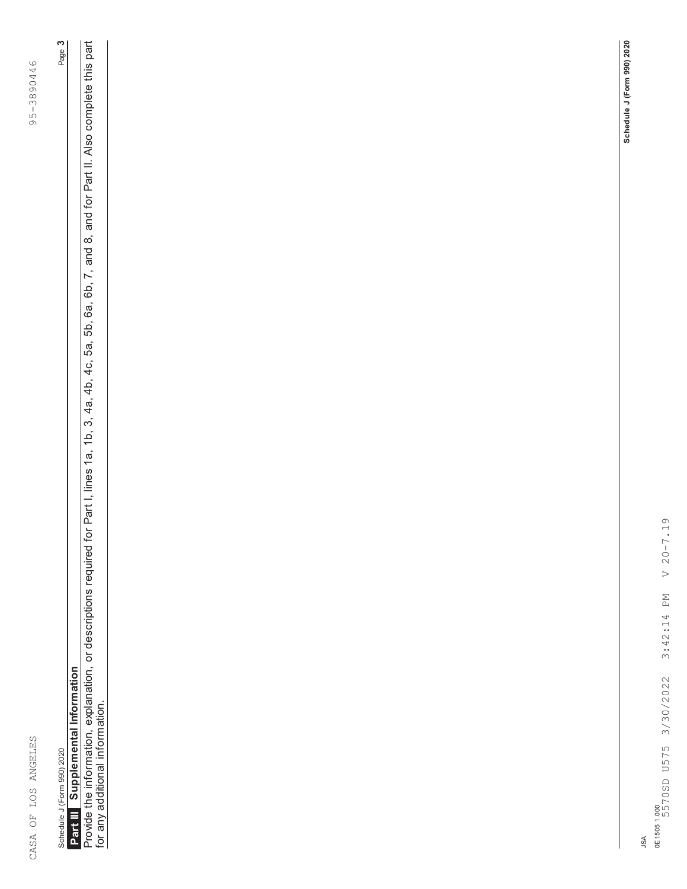| ļ<br>᠈<br>₹                                                      |  |
|------------------------------------------------------------------|--|
| ינד<br>ד<br>$\overline{\phantom{0}}$<br>J<br>$\overline{a}$<br>Ć |  |
| $\frac{1}{2}$<br>ה<br>כס                                         |  |
| $\mathcal{C}$                                                    |  |
| $\sim -5$<br>$\frac{1}{3}$                                       |  |
| ר<br>ה<br>١                                                      |  |
|                                                                  |  |
|                                                                  |  |
|                                                                  |  |
|                                                                  |  |
|                                                                  |  |
|                                                                  |  |
|                                                                  |  |
|                                                                  |  |
|                                                                  |  |
|                                                                  |  |
|                                                                  |  |
|                                                                  |  |
|                                                                  |  |
|                                                                  |  |
|                                                                  |  |
|                                                                  |  |
|                                                                  |  |
|                                                                  |  |
|                                                                  |  |
|                                                                  |  |
|                                                                  |  |
|                                                                  |  |
|                                                                  |  |
|                                                                  |  |
|                                                                  |  |
|                                                                  |  |
|                                                                  |  |
|                                                                  |  |
|                                                                  |  |
|                                                                  |  |
|                                                                  |  |
|                                                                  |  |
|                                                                  |  |
|                                                                  |  |
|                                                                  |  |
|                                                                  |  |
|                                                                  |  |
|                                                                  |  |
|                                                                  |  |
|                                                                  |  |
|                                                                  |  |
|                                                                  |  |
|                                                                  |  |
|                                                                  |  |
|                                                                  |  |
|                                                                  |  |
|                                                                  |  |
|                                                                  |  |
|                                                                  |  |
|                                                                  |  |
|                                                                  |  |
|                                                                  |  |
|                                                                  |  |
|                                                                  |  |
|                                                                  |  |
|                                                                  |  |
|                                                                  |  |
| l<br>l                                                           |  |
|                                                                  |  |
| $\frac{1}{2}$                                                    |  |
|                                                                  |  |
|                                                                  |  |
| י<br>ו<br>ı                                                      |  |
|                                                                  |  |
| $\overline{\phantom{a}}$                                         |  |
|                                                                  |  |
| j<br>j                                                           |  |
| i                                                                |  |
|                                                                  |  |

Schedule J (Form 990) 2020 Page **3 Supplemental Information Schedule J (Form 990) 2020<br><b>Part III** Supplemental Information

for any additional information.

Page 3

Provide the information, explanation, or descriptions required for Part I, lines 1a, 1b, 3, 4a, 4b, 4c, 5a, 5b, 6a, 6b, 7, and 8, and for Part II. Also complete this part<br>for any additional information. Provide the information, explanation, or descriptions required for Part I, lines 1a, 1b, 3, 4a, 4b, 4c, 5a, 5b, 6a, 6b, 7, and 8, and for Part II. Also complete this part

JSA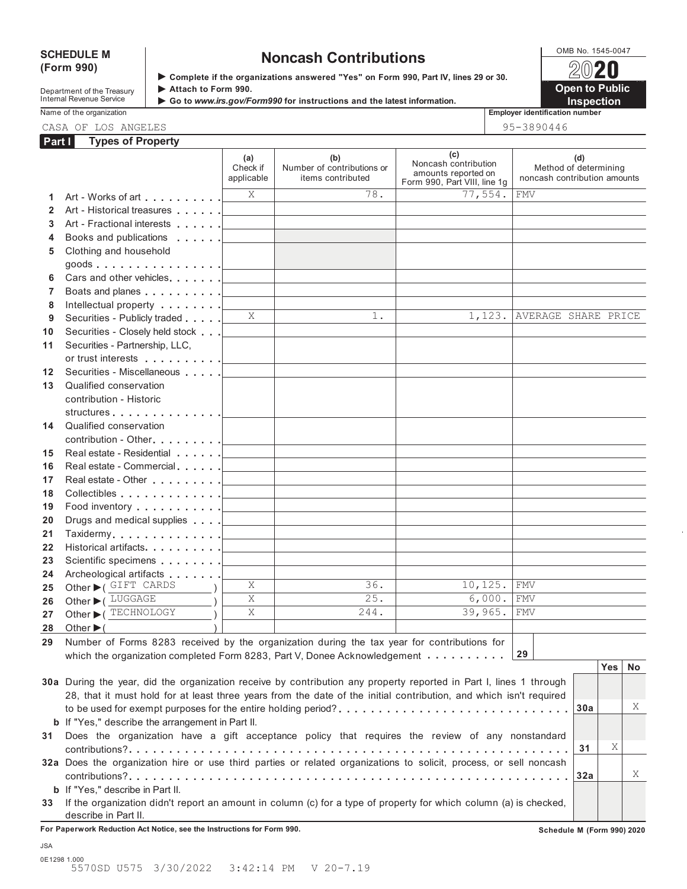## **(Form 990)**

# SCHEDULE M<br>
(Form 990) **SCHEDULE M Noncash Contributions**<br>  $\sqrt{2020}$

**Department of the Treasury <b>Attach to Form 990.**<br>
Internal Revenue Service **Attach to Form 990.**<br> **Attach to Form 990.**<br> **Attach to Form 990.** 

**Complete if the organizations answered "Yes" on Form 990, Part IV, lines 29 or 30.**



**Name of the organization** 

| ıployer identification num |  |
|----------------------------|--|
|                            |  |

CASA OF LOS ANGELES 95-3890446

| AE COANALE |  |
|------------|--|

| Part I         | <b>Types of Property</b>                                                                                                                                                                         |                               |                                                                            |                                                                                    |                                                       |     |     |    |
|----------------|--------------------------------------------------------------------------------------------------------------------------------------------------------------------------------------------------|-------------------------------|----------------------------------------------------------------------------|------------------------------------------------------------------------------------|-------------------------------------------------------|-----|-----|----|
|                |                                                                                                                                                                                                  | (a)<br>Check if<br>applicable | (b)<br>Number of contributions or<br>items contributed                     | (c)<br>Noncash contribution<br>amounts reported on<br>Form 990, Part VIII, line 1g | Method of determining<br>noncash contribution amounts | (d) |     |    |
| 1.             | Art - Works of art                                                                                                                                                                               | X                             | 78.                                                                        | 77,554.                                                                            | <b>FMV</b>                                            |     |     |    |
| $\overline{2}$ |                                                                                                                                                                                                  |                               |                                                                            |                                                                                    |                                                       |     |     |    |
| 3              |                                                                                                                                                                                                  |                               |                                                                            |                                                                                    |                                                       |     |     |    |
| 4              | Books and publications <b>Exercise 2 Lines Exercise 2 Lines Report 3 Lines Report 3 Report 3 Report 3 Report 3 Report 3 Report 3 Report 3 Report 3 Report 3 Report 3 Report 3 Report 3 Repor</b> |                               |                                                                            |                                                                                    |                                                       |     |     |    |
| 5              | Clothing and household                                                                                                                                                                           |                               |                                                                            |                                                                                    |                                                       |     |     |    |
|                | goods <u> ________</u>                                                                                                                                                                           |                               |                                                                            |                                                                                    |                                                       |     |     |    |
| 6              |                                                                                                                                                                                                  |                               | the control of the control of the control of the control of the control of |                                                                                    |                                                       |     |     |    |
| $\overline{7}$ |                                                                                                                                                                                                  |                               | the control of the control of the control of the control of the control of |                                                                                    |                                                       |     |     |    |
| 8              | Intellectual property   _ _ _ _ _ _                                                                                                                                                              |                               |                                                                            |                                                                                    |                                                       |     |     |    |
| 9              | Securities - Publicly traded <b>Allen Lines</b>                                                                                                                                                  | X                             | $1$ .                                                                      | 1,123.                                                                             | AVERAGE SHARE PRICE                                   |     |     |    |
| 10             |                                                                                                                                                                                                  |                               |                                                                            |                                                                                    |                                                       |     |     |    |
| 11             | Securities - Partnership, LLC,                                                                                                                                                                   |                               |                                                                            |                                                                                    |                                                       |     |     |    |
|                |                                                                                                                                                                                                  |                               |                                                                            |                                                                                    |                                                       |     |     |    |
| 12             | Securities - Miscellaneous                                                                                                                                                                       |                               |                                                                            |                                                                                    |                                                       |     |     |    |
| 13             | Qualified conservation                                                                                                                                                                           |                               |                                                                            |                                                                                    |                                                       |     |     |    |
|                | contribution - Historic                                                                                                                                                                          |                               |                                                                            |                                                                                    |                                                       |     |     |    |
|                | structures                                                                                                                                                                                       |                               |                                                                            |                                                                                    |                                                       |     |     |    |
| 14             | Qualified conservation                                                                                                                                                                           |                               |                                                                            |                                                                                    |                                                       |     |     |    |
|                |                                                                                                                                                                                                  |                               | the control of the control of the control of the control of                |                                                                                    |                                                       |     |     |    |
| 15             | Real estate - Residential [100]                                                                                                                                                                  |                               |                                                                            |                                                                                    |                                                       |     |     |    |
| 16             |                                                                                                                                                                                                  |                               | the control of the control of the control of the control of the control of |                                                                                    |                                                       |     |     |    |
| 17             |                                                                                                                                                                                                  |                               | <u> 1980 - Johann Barbara, martxa alemaniar a</u>                          |                                                                                    |                                                       |     |     |    |
| 18             | Collectibles <u>  _ _ _ _ _</u>                                                                                                                                                                  |                               | the control of the control of the control of the control of the control of |                                                                                    |                                                       |     |     |    |
| 19             | Food inventory $\ldots \ldots \ldots$                                                                                                                                                            |                               | <u> 1980 - Johann Barn, mars eta bainar eta idazlea (</u>                  |                                                                                    |                                                       |     |     |    |
| 20             | Drugs and medical supplies <u>  _ _ _ _ _ _</u>                                                                                                                                                  |                               | the control of the control of the control of the control of the control of |                                                                                    |                                                       |     |     |    |
| 21             |                                                                                                                                                                                                  |                               | the control of the control of the control of the control of the control of |                                                                                    |                                                       |     |     |    |
| 22             |                                                                                                                                                                                                  |                               | the control of the control of the control of the control of the control of |                                                                                    |                                                       |     |     |    |
| 23             |                                                                                                                                                                                                  |                               |                                                                            |                                                                                    |                                                       |     |     |    |
| 24             | Archeological artifacts [100]                                                                                                                                                                    |                               |                                                                            |                                                                                    |                                                       |     |     |    |
| 25             | Other CHET CARDS                                                                                                                                                                                 | X                             | 36.                                                                        | 10, 125.                                                                           | <b>FMV</b>                                            |     |     |    |
| 26             | Other ▶ (LUGGAGE                                                                                                                                                                                 | X                             | 25.                                                                        | 6,000.                                                                             | <b>FMV</b>                                            |     |     |    |
| 27             | Other C TECHNOLOGY                                                                                                                                                                               | X                             | 244.                                                                       | 39,965.                                                                            | <b>FMV</b>                                            |     |     |    |
| 28             | Other $\blacktriangleright$ (                                                                                                                                                                    |                               |                                                                            |                                                                                    |                                                       |     |     |    |
| 29             | Number of Forms 8283 received by the organization during the tax year for contributions for                                                                                                      |                               |                                                                            |                                                                                    |                                                       |     |     |    |
|                | which the organization completed Form 8283, Part V, Donee Acknowledgement                                                                                                                        |                               |                                                                            |                                                                                    | 29                                                    |     |     |    |
|                |                                                                                                                                                                                                  |                               |                                                                            |                                                                                    |                                                       |     | Yes | No |
|                | 30a During the year, did the organization receive by contribution any property reported in Part I, lines 1 through                                                                               |                               |                                                                            |                                                                                    |                                                       |     |     |    |
|                | 28, that it must hold for at least three years from the date of the initial contribution, and which isn't required                                                                               |                               |                                                                            |                                                                                    |                                                       |     |     |    |
|                | to be used for exempt purposes for the entire holding period?                                                                                                                                    |                               |                                                                            |                                                                                    |                                                       | 30a |     | Χ  |
|                | <b>b</b> If "Yes," describe the arrangement in Part II.                                                                                                                                          |                               |                                                                            |                                                                                    |                                                       |     |     |    |
| 31             | Does the organization have a gift acceptance policy that requires the review of any nonstandard                                                                                                  |                               |                                                                            |                                                                                    |                                                       |     |     |    |
|                |                                                                                                                                                                                                  |                               |                                                                            |                                                                                    |                                                       | 31  | Χ   |    |
|                | 32a Does the organization hire or use third parties or related organizations to solicit, process, or sell noncash                                                                                |                               |                                                                            |                                                                                    |                                                       |     |     |    |
|                |                                                                                                                                                                                                  |                               |                                                                            |                                                                                    |                                                       | 32a |     | Χ  |
|                | <b>b</b> If "Yes," describe in Part II.                                                                                                                                                          |                               |                                                                            |                                                                                    |                                                       |     |     |    |

**33** If the organization didn't report an amount in column (c) for a type of property for which column (a) is checked, describe in Part II.

**For Paperwork Reduction Act Notice, see the Instructions for Form 990. Schedule M (Form 990) 2020**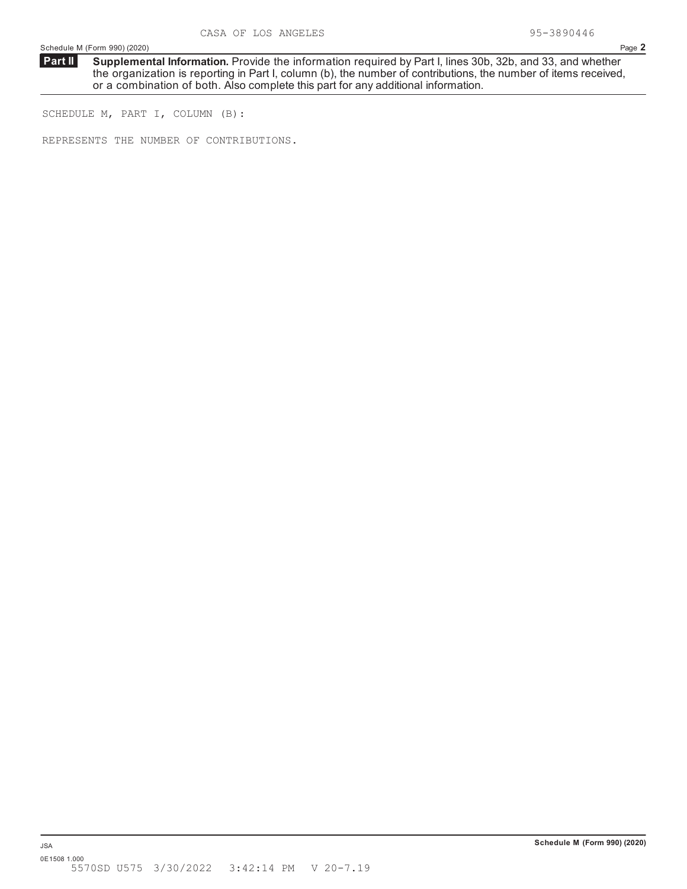**Supplemental Information.** Provide the information required by Part I, lines 30b, 32b, and 33, and whether the organization is reporting in Part I, column (b), the number of contributions, the number of items received, or a combination of both. Also complete this part for any additional information. **Part II**

SCHEDULE M, PART I, COLUMN (B):

REPRESENTS THE NUMBER OF CONTRIBUTIONS.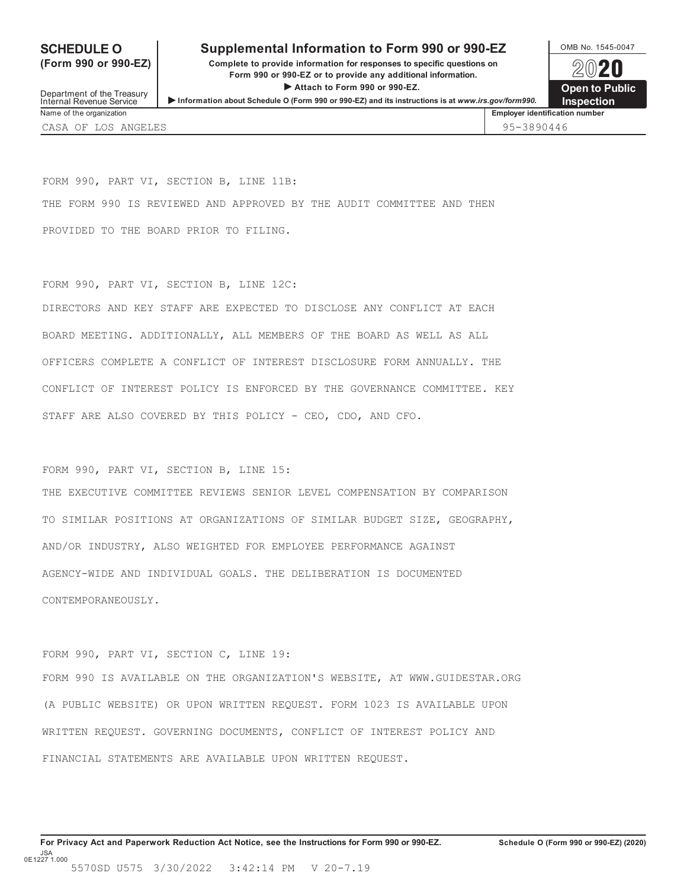## **SCHEDULE O** Supplemental Information to Form 990 or 990-EZ <br>  $\frac{\text{OMB No. }1545-0047}{\text{OMB No. }1545-0047}$

**(Form 990 or 990-EZ) Complete to provide information for responses to specific questions on Form 990 or 990-EZ or to provide any additional information.** Form 990 or 990-EZ or to provide any additional information.<br>
Attach to Form 990 or 990-EZ.<br> **Open to Public Internal Revenue Service 
Internal Revenue Service 
Internal Revenue Service 
Internal Revenue Service 
Internal Revenue Service

<b>Internal Revenue Service Internal Revenue Service Internal Revenue Service Inter** 

Name of the organization **Employer identification number Employer identification number** 

CASA OF LOS ANGELES 95-3890446

FORM 990, PART VI, SECTION B, LINE 11B: THE FORM 990 IS REVIEWED AND APPROVED BY THE AUDIT COMMITTEE AND THEN PROVIDED TO THE BOARD PRIOR TO FILING.

FORM 990, PART VI, SECTION B, LINE 12C: DIRECTORS AND KEY STAFF ARE EXPECTED TO DISCLOSE ANY CONFLICT AT EACH BOARD MEETING. ADDITIONALLY, ALL MEMBERS OF THE BOARD AS WELL AS ALL OFFICERS COMPLETE A CONFLICT OF INTEREST DISCLOSURE FORM ANNUALLY. THE CONFLICT OF INTEREST POLICY IS ENFORCED BY THE GOVERNANCE COMMITTEE. KEY STAFF ARE ALSO COVERED BY THIS POLICY - CEO, CDO, AND CFO.

FORM 990, PART VI, SECTION B, LINE 15:

THE EXECUTIVE COMMITTEE REVIEWS SENIOR LEVEL COMPENSATION BY COMPARISON TO SIMILAR POSITIONS AT ORGANIZATIONS OF SIMILAR BUDGET SIZE, GEOGRAPHY, AND/OR INDUSTRY, ALSO WEIGHTED FOR EMPLOYEE PERFORMANCE AGAINST AGENCY-WIDE AND INDIVIDUAL GOALS. THE DELIBERATION IS DOCUMENTED CONTEMPORANEOUSLY.

FORM 990, PART VI, SECTION C, LINE 19:

FORM 990 IS AVAILABLE ON THE ORGANIZATION'S WEBSITE, AT WWW.GUIDESTAR.ORG (A PUBLIC WEBSITE) OR UPON WRITTEN REQUEST. FORM 1023 IS AVAILABLE UPON WRITTEN REQUEST. GOVERNING DOCUMENTS, CONFLICT OF INTEREST POLICY AND FINANCIAL STATEMENTS ARE AVAILABLE UPON WRITTEN REQUEST.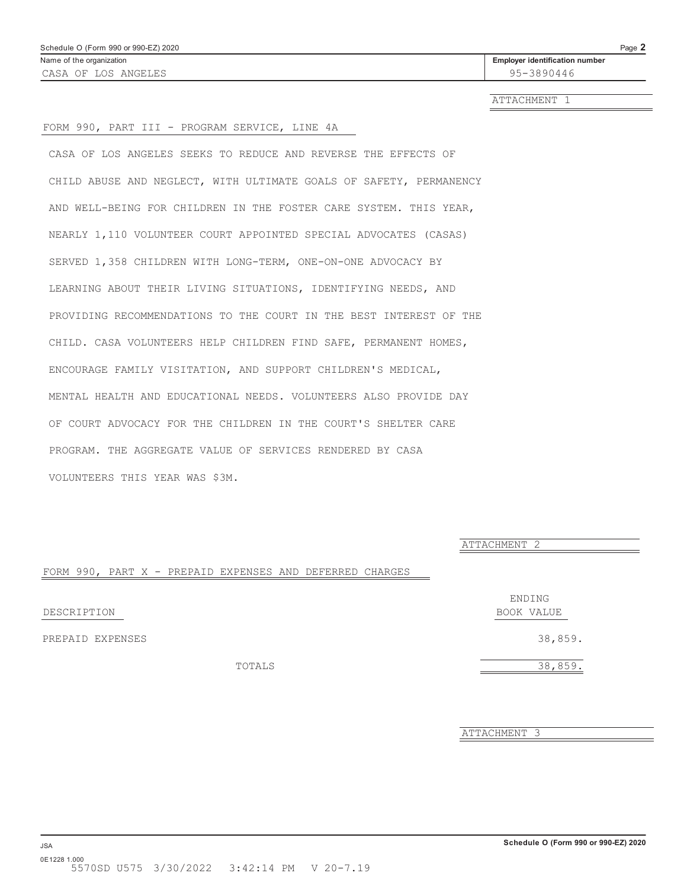ATTACHMENT 1

## FORM 990, PART III - PROGRAM SERVICE, LINE 4A

CASA OF LOS ANGELES SEEKS TO REDUCE AND REVERSE THE EFFECTS OF CHILD ABUSE AND NEGLECT, WITH ULTIMATE GOALS OF SAFETY, PERMANENCY AND WELL-BEING FOR CHILDREN IN THE FOSTER CARE SYSTEM. THIS YEAR, NEARLY 1,110 VOLUNTEER COURT APPOINTED SPECIAL ADVOCATES (CASAS) SERVED 1,358 CHILDREN WITH LONG-TERM, ONE-ON-ONE ADVOCACY BY LEARNING ABOUT THEIR LIVING SITUATIONS, IDENTIFYING NEEDS, AND PROVIDING RECOMMENDATIONS TO THE COURT IN THE BEST INTEREST OF THE CHILD. CASA VOLUNTEERS HELP CHILDREN FIND SAFE, PERMANENT HOMES, ENCOURAGE FAMILY VISITATION, AND SUPPORT CHILDREN'S MEDICAL, MENTAL HEALTH AND EDUCATIONAL NEEDS. VOLUNTEERS ALSO PROVIDE DAY OF COURT ADVOCACY FOR THE CHILDREN IN THE COURT'S SHELTER CARE PROGRAM. THE AGGREGATE VALUE OF SERVICES RENDERED BY CASA VOLUNTEERS THIS YEAR WAS \$3M.

ATTACHMENT 2

## FORM 990, PART X - PREPAID EXPENSES AND DEFERRED CHARGES

DESCRIPTION BOOK VALUE

PREPAID EXPENSES 38,859.

ENDING

TOTALS 38,859.

ATTACHMENT 3